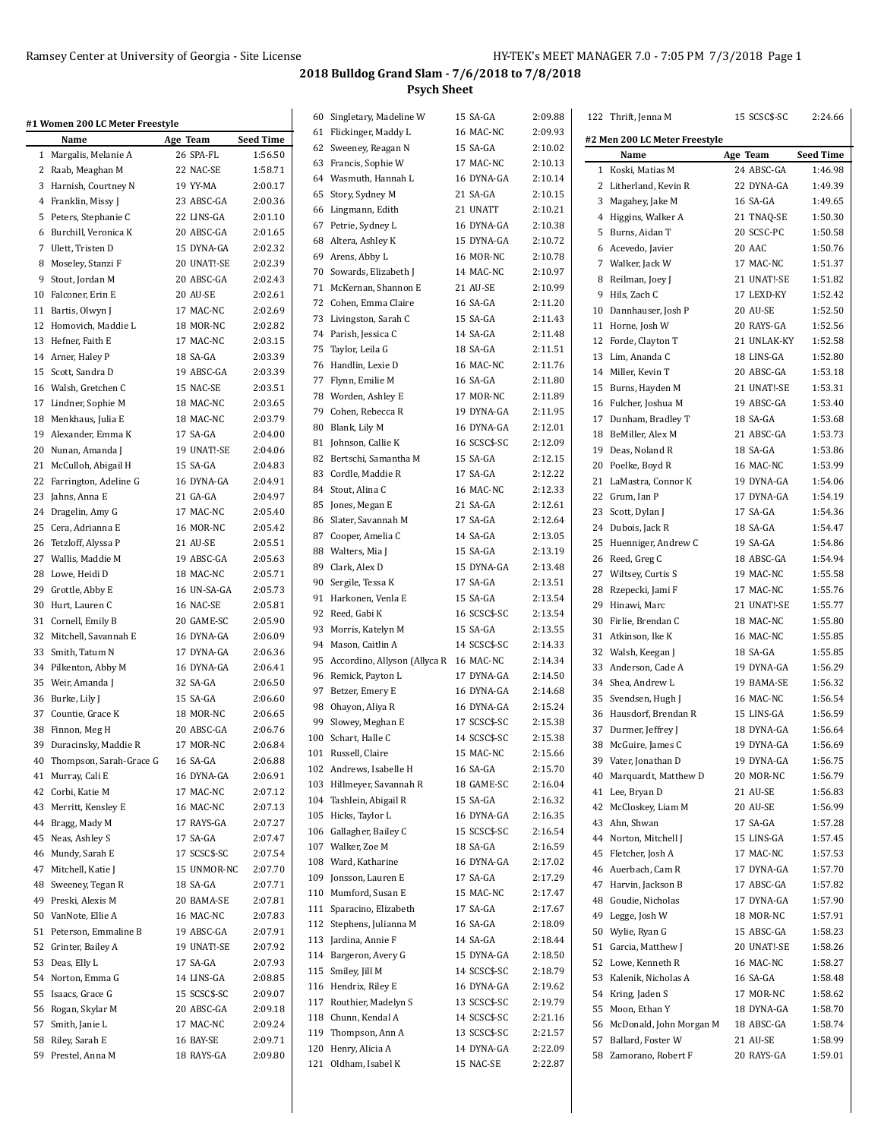| #1 Women 200 LC Meter Freestyle |              |                  |    | 60 Singletary, Madeline W                 | 15 SA-GA     | 2:09.88 | 122 Thrift, Jenna M           | 15 SCSC\$-SC | 2:24.66          |
|---------------------------------|--------------|------------------|----|-------------------------------------------|--------------|---------|-------------------------------|--------------|------------------|
| Name                            | Age Team     | <b>Seed Time</b> |    | 61 Flickinger, Maddy L                    | 16 MAC-NC    | 2:09.93 | #2 Men 200 LC Meter Freestyle |              |                  |
| 1 Margalis, Melanie A           | 26 SPA-FL    | 1:56.50          |    | 62 Sweeney, Reagan N                      | 15 SA-GA     | 2:10.02 | Name                          | Age Team     | <b>Seed Time</b> |
| 2 Raab, Meaghan M               | 22 NAC-SE    | 1:58.71          |    | 63 Francis, Sophie W                      | 17 MAC-NC    | 2:10.13 | 1 Koski, Matias M             | 24 ABSC-GA   | 1:46.98          |
| 3 Harnish, Courtney N           | 19 YY-MA     | 2:00.17          |    | 64 Wasmuth, Hannah L                      | 16 DYNA-GA   | 2:10.14 | 2 Litherland, Kevin R         | 22 DYNA-GA   | 1:49.39          |
| 4 Franklin, Missy J             | 23 ABSC-GA   | 2:00.36          |    | 65 Story, Sydney M                        | 21 SA-GA     | 2:10.15 | 3 Magahey, Jake M             | 16 SA-GA     | 1:49.65          |
| 5 Peters, Stephanie C           | 22 LINS-GA   | 2:01.10          |    | 66 Lingmann, Edith                        | 21 UNATT     | 2:10.21 | 4 Higgins, Walker A           | 21 TNAQ-SE   | 1:50.30          |
| 6 Burchill, Veronica K          | 20 ABSC-GA   | 2:01.65          |    | 67 Petrie, Sydney L                       | 16 DYNA-GA   | 2:10.38 | 5 Burns, Aidan T              | 20 SCSC-PC   | 1:50.58          |
| 7 Ulett, Tristen D              | 15 DYNA-GA   | 2:02.32          |    | 68 Altera, Ashley K                       | 15 DYNA-GA   | 2:10.72 | 6 Acevedo, Javier             | 20 AAC       | 1:50.76          |
| 8 Moseley, Stanzi F             | 20 UNAT!-SE  | 2:02.39          |    | 69 Arens, Abby L                          | 16 MOR-NC    | 2:10.78 | 7 Walker, Jack W              | 17 MAC-NC    | 1:51.37          |
| 9 Stout, Jordan M               | 20 ABSC-GA   | 2:02.43          |    | 70 Sowards, Elizabeth J                   | 14 MAC-NC    | 2:10.97 | 8 Reilman, Joey J             | 21 UNAT!-SE  | 1:51.82          |
| 10 Falconer, Erin E             | 20 AU-SE     | 2:02.61          |    | 71 McKernan, Shannon E                    | 21 AU-SE     | 2:10.99 | 9 Hils, Zach C                | 17 LEXD-KY   | 1:52.42          |
| 11 Bartis, Olwyn J              | 17 MAC-NC    | 2:02.69          |    | 72 Cohen, Emma Claire                     | 16 SA-GA     | 2:11.20 | 10 Dannhauser, Josh P         | 20 AU-SE     | 1:52.50          |
| 12 Homovich, Maddie L           | 18 MOR-NC    | 2:02.82          |    | 73 Livingston, Sarah C                    | 15 SA-GA     | 2:11.43 | 11 Horne, Josh W              | 20 RAYS-GA   | 1:52.56          |
| 13 Hefner, Faith E              | 17 MAC-NC    | 2:03.15          |    | 74 Parish, Jessica C                      | 14 SA-GA     | 2:11.48 | 12 Forde, Clayton T           | 21 UNLAK-KY  | 1:52.58          |
| 14 Arner, Haley P               | 18 SA-GA     | 2:03.39          |    | 75 Taylor, Leila G                        | 18 SA-GA     | 2:11.51 | 13 Lim, Ananda C              | 18 LINS-GA   | 1:52.80          |
| 15 Scott, Sandra D              | 19 ABSC-GA   | 2:03.39          |    | 76 Handlin, Lexie D                       | 16 MAC-NC    | 2:11.76 | 14 Miller, Kevin T            | 20 ABSC-GA   | 1:53.18          |
| 16 Walsh, Gretchen C            | 15 NAC-SE    | 2:03.51          |    | 77 Flynn, Emilie M                        | 16 SA-GA     | 2:11.80 | 15 Burns, Hayden M            | 21 UNAT!-SE  | 1:53.31          |
| 17 Lindner, Sophie M            | 18 MAC-NC    | 2:03.65          |    | 78 Worden, Ashley E                       | 17 MOR-NC    | 2:11.89 | 16 Fulcher, Joshua M          | 19 ABSC-GA   | 1:53.40          |
| 18 Menkhaus, Julia E            | 18 MAC-NC    | 2:03.79          |    | 79 Cohen, Rebecca R                       | 19 DYNA-GA   | 2:11.95 | 17 Dunham, Bradley T          | 18 SA-GA     | 1:53.68          |
| 19 Alexander, Emma K            | 17 SA-GA     | 2:04.00          |    | 80 Blank, Lily M                          | 16 DYNA-GA   | 2:12.01 | 18 BeMiller, Alex M           | 21 ABSC-GA   | 1:53.73          |
| 20 Nunan, Amanda J              | 19 UNAT!-SE  | 2:04.06          |    | 81 Johnson, Callie K                      | 16 SCSC\$-SC | 2:12.09 | 19 Deas, Noland R             | 18 SA-GA     | 1:53.86          |
| 21 McCulloh, Abigail H          | 15 SA-GA     | 2:04.83          |    | 82 Bertschi, Samantha M                   | 15 SA-GA     | 2:12.15 | 20 Poelke, Boyd R             | 16 MAC-NC    | 1:53.99          |
| 22 Farrington, Adeline G        | 16 DYNA-GA   | 2:04.91          |    | 83 Cordle, Maddie R                       | 17 SA-GA     | 2:12.22 | 21 LaMastra, Connor K         | 19 DYNA-GA   | 1:54.06          |
| 23 Jahns, Anna E                | 21 GA-GA     | 2:04.97          |    | 84 Stout, Alina C                         | 16 MAC-NC    | 2:12.33 | 22 Grum, Ian P                | 17 DYNA-GA   | 1:54.19          |
| 24 Dragelin, Amy G              | 17 MAC-NC    | 2:05.40          |    | 85 Jones, Megan E                         | 21 SA-GA     | 2:12.61 | 23 Scott, Dylan J             | 17 SA-GA     | 1:54.36          |
| 25 Cera, Adrianna E             | 16 MOR-NC    | 2:05.42          |    | 86 Slater, Savannah M                     | 17 SA-GA     | 2:12.64 | 24 Dubois, Jack R             | 18 SA-GA     | 1:54.47          |
| 26 Tetzloff, Alyssa P           | 21 AU-SE     | 2:05.51          |    | 87 Cooper, Amelia C                       | 14 SA-GA     | 2:13.05 | 25 Huenniger, Andrew C        | 19 SA-GA     | 1:54.86          |
| 27 Wallis, Maddie M             | 19 ABSC-GA   | 2:05.63          |    | 88 Walters, Mia J                         | 15 SA-GA     | 2:13.19 | 26 Reed, Greg C               | 18 ABSC-GA   | 1:54.94          |
| 28 Lowe, Heidi D                | 18 MAC-NC    | 2:05.71          |    | 89 Clark, Alex D                          | 15 DYNA-GA   | 2:13.48 | 27 Wiltsey, Curtis S          | 19 MAC-NC    | 1:55.58          |
| 29 Grottle, Abby E              | 16 UN-SA-GA  | 2:05.73          |    | 90 Sergile, Tessa K                       | 17 SA-GA     | 2:13.51 | 28 Rzepecki, Jami F           | 17 MAC-NC    | 1:55.76          |
|                                 |              | 2:05.81          |    | 91 Harkonen, Venla E                      | 15 SA-GA     | 2:13.54 |                               |              | 1:55.77          |
| 30 Hurt, Lauren C               | 16 NAC-SE    |                  |    | 92 Reed, Gabi K                           | 16 SCSC\$-SC | 2:13.54 | 29 Hinawi, Marc               | 21 UNAT!-SE  |                  |
| 31 Cornell, Emily B             | 20 GAME-SC   | 2:05.90          |    | 93 Morris, Katelyn M                      | 15 SA-GA     | 2:13.55 | 30 Firlie, Brendan C          | 18 MAC-NC    | 1:55.80          |
| 32 Mitchell, Savannah E         | 16 DYNA-GA   | 2:06.09          |    | 94 Mason, Caitlin A                       | 14 SCSC\$-SC | 2:14.33 | 31 Atkinson, Ike K            | 16 MAC-NC    | 1:55.85          |
| 33 Smith, Tatum N               | 17 DYNA-GA   | 2:06.36          |    | 95 Accordino, Allyson (Allyca R 16 MAC-NC |              | 2:14.34 | 32 Walsh, Keegan J            | 18 SA-GA     | 1:55.85          |
| 34 Pilkenton, Abby M            | 16 DYNA-GA   | 2:06.41          |    | 96 Remick, Payton L                       | 17 DYNA-GA   | 2:14.50 | 33 Anderson, Cade A           | 19 DYNA-GA   | 1:56.29          |
| 35 Weir, Amanda J               | 32 SA-GA     | 2:06.50          |    | 97 Betzer, Emery E                        | 16 DYNA-GA   | 2:14.68 | 34 Shea, Andrew L             | 19 BAMA-SE   | 1:56.32          |
| 36 Burke, Lily J                | 15 SA-GA     | 2:06.60          |    | 98 Ohayon, Aliya R                        | 16 DYNA-GA   | 2:15.24 | 35 Svendsen, Hugh J           | 16 MAC-NC    | 1:56.54          |
| 37 Countie, Grace K             | 18 MOR-NC    | 2:06.65          | 99 | Slowey, Meghan E                          | 17 SCSC\$-SC | 2:15.38 | 36 Hausdorf, Brendan R        | 15 LINS-GA   | 1:56.59          |
| 38 Finnon, Meg H                | 20 ABSC-GA   | 2:06.76          |    | 100 Schart, Halle C                       | 14 SCSC\$-SC | 2:15.38 | 37 Durmer, Jeffrey J          | 18 DYNA-GA   | 1:56.64          |
| 39 Duracinsky, Maddie R         | 17 MOR-NC    | 2:06.84          |    | 101 Russell, Claire                       | 15 MAC-NC    | 2:15.66 | 38 McGuire, James C           | 19 DYNA-GA   | 1:56.69          |
| 40 Thompson, Sarah-Grace G      | 16 SA-GA     | 2:06.88          |    | 102 Andrews, Isabelle H                   | 16 SA-GA     | 2:15.70 | 39 Vater, Jonathan D          | 19 DYNA-GA   | 1:56.75          |
| 41 Murray, Cali E               | 16 DYNA-GA   | 2:06.91          |    | 103 Hillmeyer, Savannah R                 | 18 GAME-SC   | 2:16.04 | 40 Marquardt, Matthew D       | 20 MOR-NC    | 1:56.79          |
| 42 Corbi, Katie M               | 17 MAC-NC    | 2:07.12          |    | 104 Tashlein, Abigail R                   | 15 SA-GA     | 2:16.32 | 41 Lee, Bryan D               | 21 AU-SE     | 1:56.83          |
| 43 Merritt, Kensley E           | 16 MAC-NC    | 2:07.13          |    | 105 Hicks, Taylor L                       | 16 DYNA-GA   | 2:16.35 | 42 McCloskey, Liam M          | 20 AU-SE     | 1:56.99          |
| 44 Bragg, Mady M                | 17 RAYS-GA   | 2:07.27          |    | 106 Gallagher, Bailey C                   | 15 SCSC\$-SC | 2:16.54 | 43 Ahn, Shwan                 | 17 SA-GA     | 1:57.28          |
| 45 Neas, Ashley S               | 17 SA-GA     | 2:07.47          |    | 107 Walker, Zoe M                         | 18 SA-GA     | 2:16.59 | 44 Norton, Mitchell J         | 15 LINS-GA   | 1:57.45          |
| 46 Mundy, Sarah E               | 17 SCSC\$-SC | 2:07.54          |    | 108 Ward, Katharine                       | 16 DYNA-GA   | 2:17.02 | 45 Fletcher, Josh A           | 17 MAC-NC    | 1:57.53          |
| 47 Mitchell, Katie J            | 15 UNMOR-NC  | 2:07.70          |    | 109 Jonsson, Lauren E                     | 17 SA-GA     | 2:17.29 | 46 Auerbach, Cam R            | 17 DYNA-GA   | 1:57.70          |
| 48 Sweeney, Tegan R             | 18 SA-GA     | 2:07.71          |    | 110 Mumford, Susan E                      | 15 MAC-NC    | 2:17.47 | 47 Harvin, Jackson B          | 17 ABSC-GA   | 1:57.82          |
| 49 Preski, Alexis M             | 20 BAMA-SE   | 2:07.81          |    | 111 Sparacino, Elizabeth                  | 17 SA-GA     | 2:17.67 | 48 Goudie, Nicholas           | 17 DYNA-GA   | 1:57.90          |
| 50 VanNote, Ellie A             | 16 MAC-NC    | 2:07.83          |    | 112 Stephens, Julianna M                  | 16 SA-GA     | 2:18.09 | 49 Legge, Josh W              | 18 MOR-NC    | 1:57.91          |
| 51 Peterson, Emmaline B         | 19 ABSC-GA   | 2:07.91          |    | 113 Jardina, Annie F                      | 14 SA-GA     | 2:18.44 | 50 Wylie, Ryan G              | 15 ABSC-GA   | 1:58.23          |
| 52 Grinter, Bailey A            | 19 UNAT!-SE  | 2:07.92          |    | 114 Bargeron, Avery G                     | 15 DYNA-GA   | 2:18.50 | 51 Garcia, Matthew J          | 20 UNAT!-SE  | 1:58.26          |
| 53 Deas, Elly L                 | 17 SA-GA     | 2:07.93          |    |                                           |              |         | 52 Lowe, Kenneth R            | 16 MAC-NC    | 1:58.27          |
| 54 Norton, Emma G               | 14 LINS-GA   | 2:08.85          |    | 115 Smiley, Jill M                        | 14 SCSC\$-SC | 2:18.79 | 53 Kalenik, Nicholas A        | 16 SA-GA     | 1:58.48          |
| 55 Isaacs, Grace G              | 15 SCSC\$-SC | 2:09.07          |    | 116 Hendrix, Riley E                      | 16 DYNA-GA   | 2:19.62 | 54 Kring, Jaden S             | 17 MOR-NC    | 1:58.62          |
| 56 Rogan, Skylar M              | 20 ABSC-GA   | 2:09.18          |    | 117 Routhier, Madelyn S                   | 13 SCSC\$-SC | 2:19.79 | 55 Moon, Ethan Y              | 18 DYNA-GA   | 1:58.70          |
| 57 Smith, Janie L               | 17 MAC-NC    | 2:09.24          |    | 118 Chunn, Kendal A                       | 14 SCSC\$-SC | 2:21.16 | 56 McDonald, John Morgan M    | 18 ABSC-GA   | 1:58.74          |
| 58 Riley, Sarah E               | 16 BAY-SE    | 2:09.71          |    | 119 Thompson, Ann A                       | 13 SCSC\$-SC | 2:21.57 | 57 Ballard, Foster W          | 21 AU-SE     | 1:58.99          |
| 59 Prestel, Anna M              | 18 RAYS-GA   | 2:09.80          |    | 120 Henry, Alicia A                       | 14 DYNA-GA   | 2:22.09 | 58 Zamorano, Robert F         | 20 RAYS-GA   | 1:59.01          |
|                                 |              |                  |    | 121 Oldham, Isabel K                      | 15 NAC-SE    | 2:22.87 |                               |              |                  |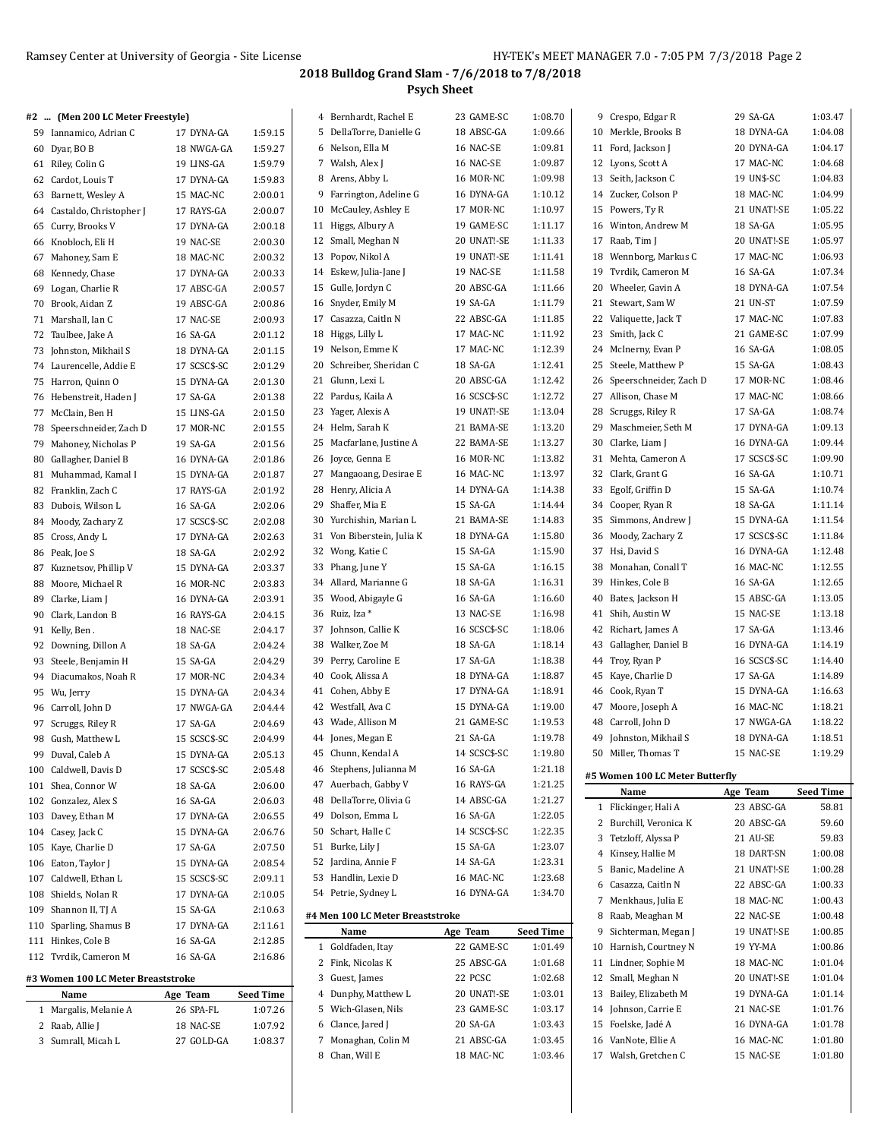Crespo, Edgar R 29 SA-GA 1:03.47

## **2018 Bulldog Grand Slam - 7/6/2018 to 7/8/2018 Psych Sheet**

| #2  (Men 200 LC Meter Freestyle) |            |         |
|----------------------------------|------------|---------|
| 59 Iannamico, Adrian C           | 17 DYNA-GA | 1:59.15 |
| 60 Dyar, BO B                    | 18 NWGA-GA | 1:59.27 |

| Riley, Colin G<br>61<br>19 LINS-GA<br>62 Cardot, Louis T<br>17 DYNA-GA<br>63 Barnett, Wesley A<br>15 MAC-NC<br>64 Castaldo, Christopher J<br>17 RAYS-GA<br>Curry, Brooks V<br>65<br>17 DYNA-GA<br>66<br>Knobloch, Eli H<br>19 NAC-SE<br>67 Mahoney, Sam E<br>18 MAC-NC<br>Kennedy, Chase<br>17 DYNA-GA<br>68<br>17 ABSC-GA<br>69<br>Logan, Charlie R<br>70<br>Brook, Aidan Z<br>19 ABSC-GA<br>71 Marshall, Ian C<br>17 NAC-SE<br>72 Taulbee, Jake A<br>16 SA-GA<br>73<br>Johnston, Mikhail S<br>18 DYNA-GA<br>74<br>Laurencelle, Addie E<br>17 SCSC\$-SC<br>Harron, Quinn O<br>75<br>15 DYNA-GA<br>76<br>17 SA-GA<br>Hebenstreit, Haden J<br>77<br>McClain, Ben H<br>15 LINS-GA<br>78 Speerschneider, Zach D<br>17 MOR-NC<br>79<br>Mahoney, Nicholas P<br>19 SA-GA<br>80 Gallagher, Daniel B<br>16 DYNA-GA<br>81<br>Muhammad, Kamal I<br>15 DYNA-GA<br>17 RAYS-GA<br>82<br>Franklin, Zach C<br>Dubois, Wilson L<br>16 SA-GA<br>83<br>Moody, Zachary Z<br>17 SCSC\$-SC<br>84<br>Cross, Andy L<br>85<br>17 DYNA-GA<br>86<br>Peak, Joe S<br>18 SA-GA<br>87<br>Kuznetsov, Phillip V<br>15 DYNA-GA<br>Moore, Michael R<br>16 MOR-NC<br>88<br>Clarke, Liam J<br>89<br>16 DYNA-GA<br>90 Clark, Landon B<br>16 RAYS-GA<br>91<br>Kelly, Ben.<br>18 NAC-SE<br>92<br>Downing, Dillon A<br>18 SA-GA<br>93<br>Steele, Benjamin H<br>15 SA-GA<br>94<br>Diacumakos, Noah R<br>17 MOR-NC<br>95<br>Wu, Jerry<br>15 DYNA-GA<br>96 Carroll, John D<br>17 NWGA-GA<br>17 SA-GA<br>97<br>Scruggs, Riley R<br>98 Gush, Matthew L<br>15 SCSC\$-SC<br>99<br>Duval, Caleb A<br>15 DYNA-GA<br>17 SCSC\$-SC<br>100 Caldwell, Davis D | 1:59.79<br>1:59.83<br>2:00.01<br>2:00.07<br>2:00.18<br>2:00.30<br>2:00.32<br>2:00.33<br>2:00.57<br>2:00.86<br>2:00.93<br>2:01.12<br>2:01.15<br>2:01.29<br>2:01.30<br>2:01.38<br>2:01.50<br>2:01.55 |
|----------------------------------------------------------------------------------------------------------------------------------------------------------------------------------------------------------------------------------------------------------------------------------------------------------------------------------------------------------------------------------------------------------------------------------------------------------------------------------------------------------------------------------------------------------------------------------------------------------------------------------------------------------------------------------------------------------------------------------------------------------------------------------------------------------------------------------------------------------------------------------------------------------------------------------------------------------------------------------------------------------------------------------------------------------------------------------------------------------------------------------------------------------------------------------------------------------------------------------------------------------------------------------------------------------------------------------------------------------------------------------------------------------------------------------------------------------------------------------------------------------------------------------------------------------------------------------------------------------|----------------------------------------------------------------------------------------------------------------------------------------------------------------------------------------------------|
|                                                                                                                                                                                                                                                                                                                                                                                                                                                                                                                                                                                                                                                                                                                                                                                                                                                                                                                                                                                                                                                                                                                                                                                                                                                                                                                                                                                                                                                                                                                                                                                                          |                                                                                                                                                                                                    |
|                                                                                                                                                                                                                                                                                                                                                                                                                                                                                                                                                                                                                                                                                                                                                                                                                                                                                                                                                                                                                                                                                                                                                                                                                                                                                                                                                                                                                                                                                                                                                                                                          |                                                                                                                                                                                                    |
|                                                                                                                                                                                                                                                                                                                                                                                                                                                                                                                                                                                                                                                                                                                                                                                                                                                                                                                                                                                                                                                                                                                                                                                                                                                                                                                                                                                                                                                                                                                                                                                                          |                                                                                                                                                                                                    |
|                                                                                                                                                                                                                                                                                                                                                                                                                                                                                                                                                                                                                                                                                                                                                                                                                                                                                                                                                                                                                                                                                                                                                                                                                                                                                                                                                                                                                                                                                                                                                                                                          |                                                                                                                                                                                                    |
|                                                                                                                                                                                                                                                                                                                                                                                                                                                                                                                                                                                                                                                                                                                                                                                                                                                                                                                                                                                                                                                                                                                                                                                                                                                                                                                                                                                                                                                                                                                                                                                                          |                                                                                                                                                                                                    |
|                                                                                                                                                                                                                                                                                                                                                                                                                                                                                                                                                                                                                                                                                                                                                                                                                                                                                                                                                                                                                                                                                                                                                                                                                                                                                                                                                                                                                                                                                                                                                                                                          |                                                                                                                                                                                                    |
|                                                                                                                                                                                                                                                                                                                                                                                                                                                                                                                                                                                                                                                                                                                                                                                                                                                                                                                                                                                                                                                                                                                                                                                                                                                                                                                                                                                                                                                                                                                                                                                                          |                                                                                                                                                                                                    |
|                                                                                                                                                                                                                                                                                                                                                                                                                                                                                                                                                                                                                                                                                                                                                                                                                                                                                                                                                                                                                                                                                                                                                                                                                                                                                                                                                                                                                                                                                                                                                                                                          |                                                                                                                                                                                                    |
|                                                                                                                                                                                                                                                                                                                                                                                                                                                                                                                                                                                                                                                                                                                                                                                                                                                                                                                                                                                                                                                                                                                                                                                                                                                                                                                                                                                                                                                                                                                                                                                                          |                                                                                                                                                                                                    |
|                                                                                                                                                                                                                                                                                                                                                                                                                                                                                                                                                                                                                                                                                                                                                                                                                                                                                                                                                                                                                                                                                                                                                                                                                                                                                                                                                                                                                                                                                                                                                                                                          |                                                                                                                                                                                                    |
|                                                                                                                                                                                                                                                                                                                                                                                                                                                                                                                                                                                                                                                                                                                                                                                                                                                                                                                                                                                                                                                                                                                                                                                                                                                                                                                                                                                                                                                                                                                                                                                                          |                                                                                                                                                                                                    |
|                                                                                                                                                                                                                                                                                                                                                                                                                                                                                                                                                                                                                                                                                                                                                                                                                                                                                                                                                                                                                                                                                                                                                                                                                                                                                                                                                                                                                                                                                                                                                                                                          |                                                                                                                                                                                                    |
|                                                                                                                                                                                                                                                                                                                                                                                                                                                                                                                                                                                                                                                                                                                                                                                                                                                                                                                                                                                                                                                                                                                                                                                                                                                                                                                                                                                                                                                                                                                                                                                                          |                                                                                                                                                                                                    |
|                                                                                                                                                                                                                                                                                                                                                                                                                                                                                                                                                                                                                                                                                                                                                                                                                                                                                                                                                                                                                                                                                                                                                                                                                                                                                                                                                                                                                                                                                                                                                                                                          |                                                                                                                                                                                                    |
|                                                                                                                                                                                                                                                                                                                                                                                                                                                                                                                                                                                                                                                                                                                                                                                                                                                                                                                                                                                                                                                                                                                                                                                                                                                                                                                                                                                                                                                                                                                                                                                                          |                                                                                                                                                                                                    |
|                                                                                                                                                                                                                                                                                                                                                                                                                                                                                                                                                                                                                                                                                                                                                                                                                                                                                                                                                                                                                                                                                                                                                                                                                                                                                                                                                                                                                                                                                                                                                                                                          |                                                                                                                                                                                                    |
|                                                                                                                                                                                                                                                                                                                                                                                                                                                                                                                                                                                                                                                                                                                                                                                                                                                                                                                                                                                                                                                                                                                                                                                                                                                                                                                                                                                                                                                                                                                                                                                                          |                                                                                                                                                                                                    |
|                                                                                                                                                                                                                                                                                                                                                                                                                                                                                                                                                                                                                                                                                                                                                                                                                                                                                                                                                                                                                                                                                                                                                                                                                                                                                                                                                                                                                                                                                                                                                                                                          |                                                                                                                                                                                                    |
|                                                                                                                                                                                                                                                                                                                                                                                                                                                                                                                                                                                                                                                                                                                                                                                                                                                                                                                                                                                                                                                                                                                                                                                                                                                                                                                                                                                                                                                                                                                                                                                                          | 2:01.56                                                                                                                                                                                            |
|                                                                                                                                                                                                                                                                                                                                                                                                                                                                                                                                                                                                                                                                                                                                                                                                                                                                                                                                                                                                                                                                                                                                                                                                                                                                                                                                                                                                                                                                                                                                                                                                          | 2:01.86                                                                                                                                                                                            |
|                                                                                                                                                                                                                                                                                                                                                                                                                                                                                                                                                                                                                                                                                                                                                                                                                                                                                                                                                                                                                                                                                                                                                                                                                                                                                                                                                                                                                                                                                                                                                                                                          | 2:01.87                                                                                                                                                                                            |
|                                                                                                                                                                                                                                                                                                                                                                                                                                                                                                                                                                                                                                                                                                                                                                                                                                                                                                                                                                                                                                                                                                                                                                                                                                                                                                                                                                                                                                                                                                                                                                                                          | 2:01.92                                                                                                                                                                                            |
|                                                                                                                                                                                                                                                                                                                                                                                                                                                                                                                                                                                                                                                                                                                                                                                                                                                                                                                                                                                                                                                                                                                                                                                                                                                                                                                                                                                                                                                                                                                                                                                                          | 2:02.06                                                                                                                                                                                            |
|                                                                                                                                                                                                                                                                                                                                                                                                                                                                                                                                                                                                                                                                                                                                                                                                                                                                                                                                                                                                                                                                                                                                                                                                                                                                                                                                                                                                                                                                                                                                                                                                          | 2:02.08                                                                                                                                                                                            |
|                                                                                                                                                                                                                                                                                                                                                                                                                                                                                                                                                                                                                                                                                                                                                                                                                                                                                                                                                                                                                                                                                                                                                                                                                                                                                                                                                                                                                                                                                                                                                                                                          | 2:02.63                                                                                                                                                                                            |
|                                                                                                                                                                                                                                                                                                                                                                                                                                                                                                                                                                                                                                                                                                                                                                                                                                                                                                                                                                                                                                                                                                                                                                                                                                                                                                                                                                                                                                                                                                                                                                                                          | 2:02.92                                                                                                                                                                                            |
|                                                                                                                                                                                                                                                                                                                                                                                                                                                                                                                                                                                                                                                                                                                                                                                                                                                                                                                                                                                                                                                                                                                                                                                                                                                                                                                                                                                                                                                                                                                                                                                                          | 2:03.37                                                                                                                                                                                            |
|                                                                                                                                                                                                                                                                                                                                                                                                                                                                                                                                                                                                                                                                                                                                                                                                                                                                                                                                                                                                                                                                                                                                                                                                                                                                                                                                                                                                                                                                                                                                                                                                          | 2:03.83                                                                                                                                                                                            |
|                                                                                                                                                                                                                                                                                                                                                                                                                                                                                                                                                                                                                                                                                                                                                                                                                                                                                                                                                                                                                                                                                                                                                                                                                                                                                                                                                                                                                                                                                                                                                                                                          | 2:03.91                                                                                                                                                                                            |
|                                                                                                                                                                                                                                                                                                                                                                                                                                                                                                                                                                                                                                                                                                                                                                                                                                                                                                                                                                                                                                                                                                                                                                                                                                                                                                                                                                                                                                                                                                                                                                                                          | 2:04.15                                                                                                                                                                                            |
|                                                                                                                                                                                                                                                                                                                                                                                                                                                                                                                                                                                                                                                                                                                                                                                                                                                                                                                                                                                                                                                                                                                                                                                                                                                                                                                                                                                                                                                                                                                                                                                                          | 2:04.17                                                                                                                                                                                            |
|                                                                                                                                                                                                                                                                                                                                                                                                                                                                                                                                                                                                                                                                                                                                                                                                                                                                                                                                                                                                                                                                                                                                                                                                                                                                                                                                                                                                                                                                                                                                                                                                          | 2:04.24                                                                                                                                                                                            |
|                                                                                                                                                                                                                                                                                                                                                                                                                                                                                                                                                                                                                                                                                                                                                                                                                                                                                                                                                                                                                                                                                                                                                                                                                                                                                                                                                                                                                                                                                                                                                                                                          | 2:04.29                                                                                                                                                                                            |
|                                                                                                                                                                                                                                                                                                                                                                                                                                                                                                                                                                                                                                                                                                                                                                                                                                                                                                                                                                                                                                                                                                                                                                                                                                                                                                                                                                                                                                                                                                                                                                                                          | 2:04.34                                                                                                                                                                                            |
|                                                                                                                                                                                                                                                                                                                                                                                                                                                                                                                                                                                                                                                                                                                                                                                                                                                                                                                                                                                                                                                                                                                                                                                                                                                                                                                                                                                                                                                                                                                                                                                                          | 2:04.34                                                                                                                                                                                            |
|                                                                                                                                                                                                                                                                                                                                                                                                                                                                                                                                                                                                                                                                                                                                                                                                                                                                                                                                                                                                                                                                                                                                                                                                                                                                                                                                                                                                                                                                                                                                                                                                          | 2:04.44                                                                                                                                                                                            |
|                                                                                                                                                                                                                                                                                                                                                                                                                                                                                                                                                                                                                                                                                                                                                                                                                                                                                                                                                                                                                                                                                                                                                                                                                                                                                                                                                                                                                                                                                                                                                                                                          | 2:04.69                                                                                                                                                                                            |
|                                                                                                                                                                                                                                                                                                                                                                                                                                                                                                                                                                                                                                                                                                                                                                                                                                                                                                                                                                                                                                                                                                                                                                                                                                                                                                                                                                                                                                                                                                                                                                                                          | 2:04.99                                                                                                                                                                                            |
|                                                                                                                                                                                                                                                                                                                                                                                                                                                                                                                                                                                                                                                                                                                                                                                                                                                                                                                                                                                                                                                                                                                                                                                                                                                                                                                                                                                                                                                                                                                                                                                                          | 2:05.13                                                                                                                                                                                            |
|                                                                                                                                                                                                                                                                                                                                                                                                                                                                                                                                                                                                                                                                                                                                                                                                                                                                                                                                                                                                                                                                                                                                                                                                                                                                                                                                                                                                                                                                                                                                                                                                          | 2:05.48                                                                                                                                                                                            |
| Shea, Connor W<br>18 SA-GA<br>101                                                                                                                                                                                                                                                                                                                                                                                                                                                                                                                                                                                                                                                                                                                                                                                                                                                                                                                                                                                                                                                                                                                                                                                                                                                                                                                                                                                                                                                                                                                                                                        | 2:06.00                                                                                                                                                                                            |
| 16 SA-GA<br>102 Gonzalez, Alex S                                                                                                                                                                                                                                                                                                                                                                                                                                                                                                                                                                                                                                                                                                                                                                                                                                                                                                                                                                                                                                                                                                                                                                                                                                                                                                                                                                                                                                                                                                                                                                         | 2:06.03                                                                                                                                                                                            |
| 103 Davey, Ethan M<br>17 DYNA-GA                                                                                                                                                                                                                                                                                                                                                                                                                                                                                                                                                                                                                                                                                                                                                                                                                                                                                                                                                                                                                                                                                                                                                                                                                                                                                                                                                                                                                                                                                                                                                                         | 2:06.55                                                                                                                                                                                            |
| 104 Casey, Jack C<br>15 DYNA-GA                                                                                                                                                                                                                                                                                                                                                                                                                                                                                                                                                                                                                                                                                                                                                                                                                                                                                                                                                                                                                                                                                                                                                                                                                                                                                                                                                                                                                                                                                                                                                                          | 2:06.76                                                                                                                                                                                            |
| 105 Kaye, Charlie D<br>17 SA-GA                                                                                                                                                                                                                                                                                                                                                                                                                                                                                                                                                                                                                                                                                                                                                                                                                                                                                                                                                                                                                                                                                                                                                                                                                                                                                                                                                                                                                                                                                                                                                                          | 2:07.50                                                                                                                                                                                            |
| 106 Eaton, Taylor J<br>15 DYNA-GA                                                                                                                                                                                                                                                                                                                                                                                                                                                                                                                                                                                                                                                                                                                                                                                                                                                                                                                                                                                                                                                                                                                                                                                                                                                                                                                                                                                                                                                                                                                                                                        | 2:08.54                                                                                                                                                                                            |
| 107 Caldwell, Ethan L<br>15 SCSC\$-SC                                                                                                                                                                                                                                                                                                                                                                                                                                                                                                                                                                                                                                                                                                                                                                                                                                                                                                                                                                                                                                                                                                                                                                                                                                                                                                                                                                                                                                                                                                                                                                    | 2:09.11                                                                                                                                                                                            |
| 108 Shields, Nolan R<br>17 DYNA-GA                                                                                                                                                                                                                                                                                                                                                                                                                                                                                                                                                                                                                                                                                                                                                                                                                                                                                                                                                                                                                                                                                                                                                                                                                                                                                                                                                                                                                                                                                                                                                                       | 2:10.05                                                                                                                                                                                            |
| 109 Shannon II, TJ A<br>15 SA-GA                                                                                                                                                                                                                                                                                                                                                                                                                                                                                                                                                                                                                                                                                                                                                                                                                                                                                                                                                                                                                                                                                                                                                                                                                                                                                                                                                                                                                                                                                                                                                                         | 2:10.63                                                                                                                                                                                            |
| 110 Sparling, Shamus B<br>17 DYNA-GA                                                                                                                                                                                                                                                                                                                                                                                                                                                                                                                                                                                                                                                                                                                                                                                                                                                                                                                                                                                                                                                                                                                                                                                                                                                                                                                                                                                                                                                                                                                                                                     |                                                                                                                                                                                                    |
| 16 SA-GA<br>111 Hinkes, Cole B                                                                                                                                                                                                                                                                                                                                                                                                                                                                                                                                                                                                                                                                                                                                                                                                                                                                                                                                                                                                                                                                                                                                                                                                                                                                                                                                                                                                                                                                                                                                                                           | 2:11.61                                                                                                                                                                                            |
| 16 SA-GA<br>112 Tvrdik, Cameron M                                                                                                                                                                                                                                                                                                                                                                                                                                                                                                                                                                                                                                                                                                                                                                                                                                                                                                                                                                                                                                                                                                                                                                                                                                                                                                                                                                                                                                                                                                                                                                        | 2:12.85                                                                                                                                                                                            |
| #3 Women 100 LC Meter Breaststroke                                                                                                                                                                                                                                                                                                                                                                                                                                                                                                                                                                                                                                                                                                                                                                                                                                                                                                                                                                                                                                                                                                                                                                                                                                                                                                                                                                                                                                                                                                                                                                       | 2:16.86                                                                                                                                                                                            |

| F3 Women 100 LC Meter Breaststroke- |          |           |
|-------------------------------------|----------|-----------|
| Name                                | Ago Toam | Sood Time |

 $\overline{a}$ 

| Name                  | Age ream   | seea lime |
|-----------------------|------------|-----------|
| 1 Margalis, Melanie A | 26 SPA-FL  | 1:07.26   |
| 2 Raab, Allie J       | 18 NAC-SE  | 1:07.92   |
| 3 Sumrall. Micah L    | 27 GOLD-GA | 1:08.37   |
|                       |            |           |

| 16 SCSC\$-SC<br>37<br>Johnson, Callie K<br>1:18.06<br>38 Walker, Zoe M<br>18 SA-GA<br>1:18.14<br>Perry, Caroline E<br>17 SA-GA<br>39<br>1:18.38<br>Cook, Alissa A<br>18 DYNA-GA<br>1:18.87<br>Cohen, Abby E<br>41<br>17 DYNA-GA<br>1:18.91<br>Westfall, Ava C<br>42<br>15 DYNA-GA<br>1:19.00<br>21 GAME-SC<br>Wade, Allison M<br>1:19.53<br>21 SA-GA<br>1:19.78<br>44 Jones, Megan E<br>14 SCSC\$-SC<br>45 Chunn, Kendal A<br>1:19.80<br>Stephens, Julianna M<br>16 SA-GA<br>46<br>1:21.18<br>47<br>Auerbach, Gabby V<br>16 RAYS-GA<br>1:21.25<br>14 ABSC-GA<br>48<br>DellaTorre, Olivia G<br>1:21.27<br>Dolson, Emma L<br>16 SA-GA<br>49<br>1:22.05<br>14 SCSC\$-SC<br>50<br>Schart, Halle C<br>1:22.35<br>15 SA-GA<br>51<br>Burke, Lily J<br>1:23.07<br>14 SA-GA<br>52<br>Jardina, Annie F<br>1:23.31<br>16 MAC-NC<br>53<br>Handlin, Lexie D<br>1:23.68<br>Petrie, Sydney L<br>16 DYNA-GA<br>54<br>1:34.70<br>#4 Men 100 LC Meter Breaststroke<br>Seed Time<br>Name<br>Age Team<br>22 GAME-SC<br>Goldfaden, Itay<br>1:01.49 |
|-------------------------------------------------------------------------------------------------------------------------------------------------------------------------------------------------------------------------------------------------------------------------------------------------------------------------------------------------------------------------------------------------------------------------------------------------------------------------------------------------------------------------------------------------------------------------------------------------------------------------------------------------------------------------------------------------------------------------------------------------------------------------------------------------------------------------------------------------------------------------------------------------------------------------------------------------------------------------------------------------------------------------------|
|                                                                                                                                                                                                                                                                                                                                                                                                                                                                                                                                                                                                                                                                                                                                                                                                                                                                                                                                                                                                                               |
|                                                                                                                                                                                                                                                                                                                                                                                                                                                                                                                                                                                                                                                                                                                                                                                                                                                                                                                                                                                                                               |
|                                                                                                                                                                                                                                                                                                                                                                                                                                                                                                                                                                                                                                                                                                                                                                                                                                                                                                                                                                                                                               |
|                                                                                                                                                                                                                                                                                                                                                                                                                                                                                                                                                                                                                                                                                                                                                                                                                                                                                                                                                                                                                               |
|                                                                                                                                                                                                                                                                                                                                                                                                                                                                                                                                                                                                                                                                                                                                                                                                                                                                                                                                                                                                                               |
|                                                                                                                                                                                                                                                                                                                                                                                                                                                                                                                                                                                                                                                                                                                                                                                                                                                                                                                                                                                                                               |
|                                                                                                                                                                                                                                                                                                                                                                                                                                                                                                                                                                                                                                                                                                                                                                                                                                                                                                                                                                                                                               |
|                                                                                                                                                                                                                                                                                                                                                                                                                                                                                                                                                                                                                                                                                                                                                                                                                                                                                                                                                                                                                               |
|                                                                                                                                                                                                                                                                                                                                                                                                                                                                                                                                                                                                                                                                                                                                                                                                                                                                                                                                                                                                                               |
|                                                                                                                                                                                                                                                                                                                                                                                                                                                                                                                                                                                                                                                                                                                                                                                                                                                                                                                                                                                                                               |
|                                                                                                                                                                                                                                                                                                                                                                                                                                                                                                                                                                                                                                                                                                                                                                                                                                                                                                                                                                                                                               |
|                                                                                                                                                                                                                                                                                                                                                                                                                                                                                                                                                                                                                                                                                                                                                                                                                                                                                                                                                                                                                               |
|                                                                                                                                                                                                                                                                                                                                                                                                                                                                                                                                                                                                                                                                                                                                                                                                                                                                                                                                                                                                                               |
|                                                                                                                                                                                                                                                                                                                                                                                                                                                                                                                                                                                                                                                                                                                                                                                                                                                                                                                                                                                                                               |
|                                                                                                                                                                                                                                                                                                                                                                                                                                                                                                                                                                                                                                                                                                                                                                                                                                                                                                                                                                                                                               |
|                                                                                                                                                                                                                                                                                                                                                                                                                                                                                                                                                                                                                                                                                                                                                                                                                                                                                                                                                                                                                               |
|                                                                                                                                                                                                                                                                                                                                                                                                                                                                                                                                                                                                                                                                                                                                                                                                                                                                                                                                                                                                                               |
|                                                                                                                                                                                                                                                                                                                                                                                                                                                                                                                                                                                                                                                                                                                                                                                                                                                                                                                                                                                                                               |
|                                                                                                                                                                                                                                                                                                                                                                                                                                                                                                                                                                                                                                                                                                                                                                                                                                                                                                                                                                                                                               |
|                                                                                                                                                                                                                                                                                                                                                                                                                                                                                                                                                                                                                                                                                                                                                                                                                                                                                                                                                                                                                               |
|                                                                                                                                                                                                                                                                                                                                                                                                                                                                                                                                                                                                                                                                                                                                                                                                                                                                                                                                                                                                                               |
| Ruiz, Iza *<br>13 NAC-SE<br>36<br>1:16.98                                                                                                                                                                                                                                                                                                                                                                                                                                                                                                                                                                                                                                                                                                                                                                                                                                                                                                                                                                                     |
| Wood, Abigayle G<br>16 SA-GA<br>1:16.60                                                                                                                                                                                                                                                                                                                                                                                                                                                                                                                                                                                                                                                                                                                                                                                                                                                                                                                                                                                       |
| Allard, Marianne G<br>18 SA-GA<br>1:16.31<br>34                                                                                                                                                                                                                                                                                                                                                                                                                                                                                                                                                                                                                                                                                                                                                                                                                                                                                                                                                                               |
| Phang, June Y<br>15 SA-GA<br>1:16.15                                                                                                                                                                                                                                                                                                                                                                                                                                                                                                                                                                                                                                                                                                                                                                                                                                                                                                                                                                                          |
| Wong, Katie C<br>15 SA-GA<br>32<br>1:15.90                                                                                                                                                                                                                                                                                                                                                                                                                                                                                                                                                                                                                                                                                                                                                                                                                                                                                                                                                                                    |
| 31<br>Von Biberstein, Julia K<br>18 DYNA-GA<br>1:15.80                                                                                                                                                                                                                                                                                                                                                                                                                                                                                                                                                                                                                                                                                                                                                                                                                                                                                                                                                                        |
| Yurchishin, Marian L<br>21 BAMA-SE<br>1:14.83                                                                                                                                                                                                                                                                                                                                                                                                                                                                                                                                                                                                                                                                                                                                                                                                                                                                                                                                                                                 |
| 29<br>Shaffer, Mia E<br>15 SA-GA<br>1:14.44                                                                                                                                                                                                                                                                                                                                                                                                                                                                                                                                                                                                                                                                                                                                                                                                                                                                                                                                                                                   |
| Henry, Alicia A<br>14 DYNA-GA<br>28<br>1:14.38                                                                                                                                                                                                                                                                                                                                                                                                                                                                                                                                                                                                                                                                                                                                                                                                                                                                                                                                                                                |
| 16 MAC-NC<br>1:13.97<br>27<br>Mangaoang, Desirae E                                                                                                                                                                                                                                                                                                                                                                                                                                                                                                                                                                                                                                                                                                                                                                                                                                                                                                                                                                            |
| Joyce, Genna E<br>16 MOR-NC<br>1:13.82                                                                                                                                                                                                                                                                                                                                                                                                                                                                                                                                                                                                                                                                                                                                                                                                                                                                                                                                                                                        |
| Macfarlane, Justine A<br>22 BAMA-SE<br>1:13.27                                                                                                                                                                                                                                                                                                                                                                                                                                                                                                                                                                                                                                                                                                                                                                                                                                                                                                                                                                                |
| 24<br>Helm, Sarah K<br>1:13.20                                                                                                                                                                                                                                                                                                                                                                                                                                                                                                                                                                                                                                                                                                                                                                                                                                                                                                                                                                                                |
| Yager, Alexis A<br>1:13.04<br>21 BAMA-SE                                                                                                                                                                                                                                                                                                                                                                                                                                                                                                                                                                                                                                                                                                                                                                                                                                                                                                                                                                                      |
| 19 UNAT!-SE                                                                                                                                                                                                                                                                                                                                                                                                                                                                                                                                                                                                                                                                                                                                                                                                                                                                                                                                                                                                                   |
| 16 SCSC\$-SC<br>1:12.72<br>22<br>Pardus, Kaila A                                                                                                                                                                                                                                                                                                                                                                                                                                                                                                                                                                                                                                                                                                                                                                                                                                                                                                                                                                              |
| 21<br>Glunn, Lexi L<br>20 ABSC-GA<br>1:12.42                                                                                                                                                                                                                                                                                                                                                                                                                                                                                                                                                                                                                                                                                                                                                                                                                                                                                                                                                                                  |
| Schreiber, Sheridan C<br>18 SA-GA<br>1:12.41                                                                                                                                                                                                                                                                                                                                                                                                                                                                                                                                                                                                                                                                                                                                                                                                                                                                                                                                                                                  |
| Nelson, Emme K<br>17 MAC-NC<br>1:12.39<br>19                                                                                                                                                                                                                                                                                                                                                                                                                                                                                                                                                                                                                                                                                                                                                                                                                                                                                                                                                                                  |
| 17 MAC-NC<br>Higgs, Lilly L<br>1:11.92<br>18                                                                                                                                                                                                                                                                                                                                                                                                                                                                                                                                                                                                                                                                                                                                                                                                                                                                                                                                                                                  |
| 22 ABSC-GA<br>17<br>Casazza, Caitln N<br>1:11.85                                                                                                                                                                                                                                                                                                                                                                                                                                                                                                                                                                                                                                                                                                                                                                                                                                                                                                                                                                              |
| Snyder, Emily M<br>19 SA-GA<br>16<br>1:11.79                                                                                                                                                                                                                                                                                                                                                                                                                                                                                                                                                                                                                                                                                                                                                                                                                                                                                                                                                                                  |
| 20 ABSC-GA<br>Gulle, Jordyn C<br>1:11.66                                                                                                                                                                                                                                                                                                                                                                                                                                                                                                                                                                                                                                                                                                                                                                                                                                                                                                                                                                                      |
| 19 NAC-SE<br>1:11.58<br>14<br>Eskew, Julia-Jane J                                                                                                                                                                                                                                                                                                                                                                                                                                                                                                                                                                                                                                                                                                                                                                                                                                                                                                                                                                             |
| Popov, Nikol A<br>19 UNAT!-SE<br>1:11.41                                                                                                                                                                                                                                                                                                                                                                                                                                                                                                                                                                                                                                                                                                                                                                                                                                                                                                                                                                                      |
| Small, Meghan N<br>20 UNAT!-SE<br>1:11.33                                                                                                                                                                                                                                                                                                                                                                                                                                                                                                                                                                                                                                                                                                                                                                                                                                                                                                                                                                                     |
| Higgs, Albury A<br>19 GAME-SC<br>1:11.17                                                                                                                                                                                                                                                                                                                                                                                                                                                                                                                                                                                                                                                                                                                                                                                                                                                                                                                                                                                      |
| McCauley, Ashley E<br>17 MOR-NC<br>1:10.97                                                                                                                                                                                                                                                                                                                                                                                                                                                                                                                                                                                                                                                                                                                                                                                                                                                                                                                                                                                    |
| 16 DYNA-GA<br>1:10.12<br>Farrington, Adeline G                                                                                                                                                                                                                                                                                                                                                                                                                                                                                                                                                                                                                                                                                                                                                                                                                                                                                                                                                                                |
| 16 MOR-NC<br>Arens, Abby L<br>1:09.98                                                                                                                                                                                                                                                                                                                                                                                                                                                                                                                                                                                                                                                                                                                                                                                                                                                                                                                                                                                         |
| 16 NAC-SE<br>7<br>Walsh, Alex J<br>1:09.87                                                                                                                                                                                                                                                                                                                                                                                                                                                                                                                                                                                                                                                                                                                                                                                                                                                                                                                                                                                    |
| Nelson, Ella M<br>16 NAC-SE<br>1:09.81                                                                                                                                                                                                                                                                                                                                                                                                                                                                                                                                                                                                                                                                                                                                                                                                                                                                                                                                                                                        |
| DellaTorre, Danielle G<br>18 ABSC-GA<br>1:09.66                                                                                                                                                                                                                                                                                                                                                                                                                                                                                                                                                                                                                                                                                                                                                                                                                                                                                                                                                                               |
| Bernhardt, Rachel E<br>23 GAME-SC<br>1:08.70                                                                                                                                                                                                                                                                                                                                                                                                                                                                                                                                                                                                                                                                                                                                                                                                                                                                                                                                                                                  |
|                                                                                                                                                                                                                                                                                                                                                                                                                                                                                                                                                                                                                                                                                                                                                                                                                                                                                                                                                                                                                               |

| Name                | Age Team    | <b>Seed Time</b> |
|---------------------|-------------|------------------|
| 1 Goldfaden, Itay   | 22 GAME-SC  | 1:01.49          |
| 2 Fink, Nicolas K   | 25 ABSC-GA  | 1:01.68          |
| 3 Guest, James      | 22 PCSC     | 1:02.68          |
| 4 Dunphy, Matthew L | 20 UNAT!-SE | 1:03.01          |
| 5 Wich-Glasen, Nils | 23 GAME-SC  | 1:03.17          |
| 6 Clance, Jared J   | 20 SA-GA    | 1:03.43          |
| 7 Monaghan, Colin M | 21 ABSC-GA  | 1:03.45          |
| 8 Chan, Will E      | 18 MAC-NC   | 1:03.46          |

| 1:09.66 |    | 10 Merkle, Brooks B             |          | 18 DYNA-GA   | 1:04.08          |
|---------|----|---------------------------------|----------|--------------|------------------|
| 1:09.81 | 11 | Ford, Jackson J                 |          | 20 DYNA-GA   | 1:04.17          |
| 1:09.87 |    | 12 Lyons, Scott A               |          | 17 MAC-NC    | 1:04.68          |
| 1:09.98 |    | 13 Seith, Jackson C             |          | 19 UN\$-SC   | 1:04.83          |
| 1:10.12 |    | 14 Zucker, Colson P             |          | 18 MAC-NC    | 1:04.99          |
| 1:10.97 |    |                                 |          | 21 UNAT!-SE  | 1:05.22          |
|         |    | 15 Powers, Ty R                 |          |              |                  |
| 1:11.17 |    | 16 Winton, Andrew M             |          | 18 SA-GA     | 1:05.95          |
| 1:11.33 | 17 | Raab, Tim J                     |          | 20 UNAT!-SE  | 1:05.97          |
| 1:11.41 |    | 18 Wennborg, Markus C           |          | 17 MAC-NC    | 1:06.93          |
| 1:11.58 |    | 19 Tvrdik, Cameron M            |          | 16 SA-GA     | 1:07.34          |
| 1:11.66 |    | 20 Wheeler, Gavin A             |          | 18 DYNA-GA   | 1:07.54          |
| 1:11.79 |    | 21 Stewart, Sam W               |          | 21 UN-ST     | 1:07.59          |
| 1:11.85 |    | 22 Valiquette, Jack T           |          | 17 MAC-NC    | 1:07.83          |
| 1:11.92 |    | 23 Smith, Jack C                |          | 21 GAME-SC   | 1:07.99          |
| 1:12.39 |    | 24 McInerny, Evan P             |          | 16 SA-GA     | 1:08.05          |
| 1:12.41 |    | 25 Steele, Matthew P            |          | 15 SA-GA     | 1:08.43          |
| 1:12.42 |    | 26 Speerschneider, Zach D       |          | 17 MOR-NC    | 1:08.46          |
| 1:12.72 |    | 27 Allison, Chase M             |          | 17 MAC-NC    | 1:08.66          |
| 1:13.04 |    | 28 Scruggs, Riley R             |          | 17 SA-GA     | 1:08.74          |
| 1:13.20 |    | 29 Maschmeier, Seth M           |          | 17 DYNA-GA   | 1:09.13          |
| 1:13.27 |    | 30 Clarke, Liam J               |          | 16 DYNA-GA   | 1:09.44          |
| 1:13.82 | 31 | Mehta, Cameron A                |          | 17 SCSC\$-SC | 1:09.90          |
| 1:13.97 |    | 32 Clark, Grant G               |          | 16 SA-GA     | 1:10.71          |
| 1:14.38 |    | 33 Egolf, Griffin D             |          | 15 SA-GA     | 1:10.74          |
| 1:14.44 |    | 34 Cooper, Ryan R               |          | 18 SA-GA     | 1:11.14          |
| 1:14.83 |    | 35 Simmons, Andrew J            |          | 15 DYNA-GA   | 1:11.54          |
| 1:15.80 |    | 36 Moody, Zachary Z             |          | 17 SCSC\$-SC | 1:11.84          |
| 1:15.90 | 37 | Hsi, David S                    |          | 16 DYNA-GA   | 1:12.48          |
| 1:16.15 |    | 38 Monahan, Conall T            |          | 16 MAC-NC    | 1:12.55          |
| 1:16.31 |    | 39 Hinkes, Cole B               |          | 16 SA-GA     | 1:12.65          |
| 1:16.60 |    | 40 Bates, Jackson H             |          | 15 ABSC-GA   | 1:13.05          |
| 1:16.98 |    | 41 Shih, Austin W               |          | 15 NAC-SE    | 1:13.18          |
| 1:18.06 |    | 42 Richart, James A             |          | 17 SA-GA     | 1:13.46          |
| 1:18.14 |    | 43 Gallagher, Daniel B          |          | 16 DYNA-GA   | 1:14.19          |
| 1:18.38 |    | 44 Troy, Ryan P                 |          | 16 SCSC\$-SC | 1:14.40          |
| 1:18.87 |    | 45 Kaye, Charlie D              |          | 17 SA-GA     | 1:14.89          |
| 1:18.91 |    | 46 Cook, Ryan T                 |          | 15 DYNA-GA   | 1:16.63          |
| 1:19.00 | 47 | Moore, Joseph A                 |          | 16 MAC-NC    | 1:18.21          |
| 1:19.53 |    | 48 Carroll, John D              |          | 17 NWGA-GA   | 1:18.22          |
| 1:19.78 |    | 49 Johnston, Mikhail S          |          | 18 DYNA-GA   | 1:18.51          |
| 1:19.80 | 50 | Miller, Thomas T                |          | 15 NAC-SE    | 1:19.29          |
| 1:21.18 |    |                                 |          |              |                  |
| 1:21.25 |    | #5 Women 100 LC Meter Butterfly |          |              |                  |
| 1:21.27 |    | Name                            | Age Team |              | <b>Seed Time</b> |
| 1:22.05 |    | 1 Flickinger, Hali A            |          | 23 ABSC-GA   | 58.81            |
|         |    | 2 Burchill, Veronica K          |          | 20 ABSC-GA   | 59.60            |
| 1:22.35 |    | 3 Tetzloff, Alyssa P            |          | 21 AU-SE     | 59.83            |
| 1:23.07 | 4  | Kinsey, Hallie M                |          | 18 DART-SN   | 1:00.08          |
| 1:23.31 | 5  | Banic, Madeline A               |          | 21 UNAT!-SE  | 1:00.28          |

|  | Banne, maachine 11     | ,, ,,,,,, ,,, |         |
|--|------------------------|---------------|---------|
|  | 6 Casazza, Caitln N    | 22 ABSC-GA    | 1:00.33 |
|  | 7 Menkhaus, Julia E    | 18 MAC-NC     | 1:00.43 |
|  | 8 Raab, Meaghan M      | 22 NAC-SE     | 1:00.48 |
|  | 9 Sichterman, Megan J  | 19 UNAT!-SE   | 1:00.85 |
|  | 10 Harnish, Courtney N | 19 YY-MA      | 1:00.86 |
|  | 11 Lindner, Sophie M   | 18 MAC-NC     | 1:01.04 |
|  | 12 Small, Meghan N     | 20 UNAT!-SE   | 1:01.04 |
|  | 13 Bailey, Elizabeth M | 19 DYNA-GA    | 1:01.14 |
|  | 14 Johnson, Carrie E   | 21 NAC-SE     | 1:01.76 |
|  | 15 Foelske, Jadé A     | 16 DYNA-GA    | 1:01.78 |
|  | 16 VanNote. Ellie A    | 16 MAC-NC     | 1:01.80 |
|  | 17 Walsh, Gretchen C   | 15 NAC-SE     | 1:01.80 |
|  |                        |               |         |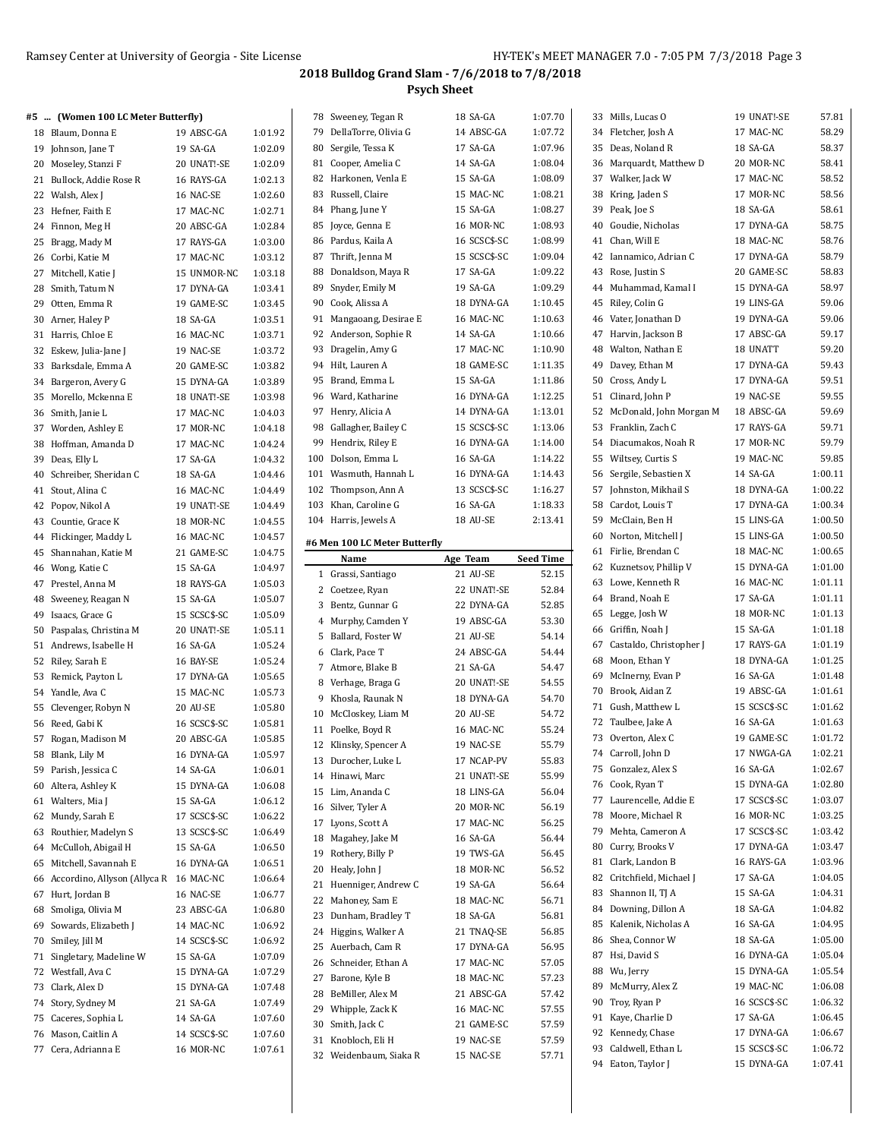| #5 | (Women 100 LC Meter Butterfly)            |              |         |    | 78 Sweeney, Tegan R           | 18 SA-GA     | 1:07.70          | 33 Mills. Lucas O          | 19 UNAT!-SE  | 57.81   |
|----|-------------------------------------------|--------------|---------|----|-------------------------------|--------------|------------------|----------------------------|--------------|---------|
|    | 18 Blaum, Donna E                         | 19 ABSC-GA   | 1:01.92 |    | 79 DellaTorre, Olivia G       | 14 ABSC-GA   | 1:07.72          | 34 Fletcher, Josh A        | 17 MAC-NC    | 58.29   |
|    | 19 Johnson, Jane T                        | 19 SA-GA     | 1:02.09 |    | 80 Sergile, Tessa K           | 17 SA-GA     | 1:07.96          | 35 Deas, Noland R          | 18 SA-GA     | 58.37   |
|    | 20 Moseley, Stanzi F                      | 20 UNAT!-SE  | 1:02.09 |    | 81 Cooper, Amelia C           | 14 SA-GA     | 1:08.04          | 36 Marquardt, Matthew D    | 20 MOR-NC    | 58.41   |
|    | 21 Bullock, Addie Rose R                  | 16 RAYS-GA   | 1:02.13 |    | 82 Harkonen, Venla E          | 15 SA-GA     | 1:08.09          | 37 Walker, Jack W          | 17 MAC-NC    | 58.52   |
|    | 22 Walsh, Alex J                          | 16 NAC-SE    | 1:02.60 |    | 83 Russell, Claire            | 15 MAC-NC    | 1:08.21          | 38 Kring, Jaden S          | 17 MOR-NC    | 58.56   |
|    | 23 Hefner, Faith E                        | 17 MAC-NC    | 1:02.71 |    | 84 Phang, June Y              | 15 SA-GA     | 1:08.27          | 39 Peak, Joe S             | 18 SA-GA     | 58.61   |
|    | 24 Finnon, Meg H                          | 20 ABSC-GA   | 1:02.84 |    | 85 Joyce, Genna E             | 16 MOR-NC    | 1:08.93          | 40 Goudie, Nicholas        | 17 DYNA-GA   | 58.75   |
|    |                                           |              | 1:03.00 |    | 86 Pardus, Kaila A            | 16 SCSC\$-SC | 1:08.99          | 41 Chan, Will E            | 18 MAC-NC    | 58.76   |
|    | 25 Bragg, Mady M                          | 17 RAYS-GA   |         |    | 87 Thrift, Jenna M            | 15 SCSC\$-SC | 1:09.04          | 42 Iannamico, Adrian C     | 17 DYNA-GA   | 58.79   |
|    | 26 Corbi, Katie M                         | 17 MAC-NC    | 1:03.12 |    |                               |              | 1:09.22          |                            |              | 58.83   |
|    | 27 Mitchell, Katie J                      | 15 UNMOR-NC  | 1:03.18 | 88 | Donaldson, Maya R             | 17 SA-GA     |                  | 43 Rose, Justin S          | 20 GAME-SC   |         |
|    | 28 Smith, Tatum N                         | 17 DYNA-GA   | 1:03.41 |    | 89 Snyder, Emily M            | 19 SA-GA     | 1:09.29          | 44 Muhammad, Kamal I       | 15 DYNA-GA   | 58.97   |
|    | 29 Otten, Emma R                          | 19 GAME-SC   | 1:03.45 |    | 90 Cook, Alissa A             | 18 DYNA-GA   | 1:10.45          | 45 Riley, Colin G          | 19 LINS-GA   | 59.06   |
|    | 30 Arner, Haley P                         | 18 SA-GA     | 1:03.51 |    | 91 Mangaoang, Desirae E       | 16 MAC-NC    | 1:10.63          | 46 Vater, Jonathan D       | 19 DYNA-GA   | 59.06   |
|    | 31 Harris, Chloe E                        | 16 MAC-NC    | 1:03.71 |    | 92 Anderson, Sophie R         | 14 SA-GA     | 1:10.66          | 47 Harvin, Jackson B       | 17 ABSC-GA   | 59.17   |
|    | 32 Eskew, Julia-Jane J                    | 19 NAC-SE    | 1:03.72 |    | 93 Dragelin, Amy G            | 17 MAC-NC    | 1:10.90          | 48 Walton, Nathan E        | 18 UNATT     | 59.20   |
|    | 33 Barksdale, Emma A                      | 20 GAME-SC   | 1:03.82 |    | 94 Hilt, Lauren A             | 18 GAME-SC   | 1:11.35          | 49 Davey, Ethan M          | 17 DYNA-GA   | 59.43   |
|    | 34 Bargeron, Avery G                      | 15 DYNA-GA   | 1:03.89 |    | 95 Brand, Emma L              | 15 SA-GA     | 1:11.86          | 50 Cross, Andy L           | 17 DYNA-GA   | 59.51   |
|    | 35 Morello, Mckenna E                     | 18 UNAT!-SE  | 1:03.98 |    | 96 Ward, Katharine            | 16 DYNA-GA   | 1:12.25          | 51 Clinard, John P         | 19 NAC-SE    | 59.55   |
|    | 36 Smith, Janie L                         | 17 MAC-NC    | 1:04.03 |    | 97 Henry, Alicia A            | 14 DYNA-GA   | 1:13.01          | 52 McDonald, John Morgan M | 18 ABSC-GA   | 59.69   |
|    | 37 Worden, Ashley E                       | 17 MOR-NC    | 1:04.18 |    | 98 Gallagher, Bailey C        | 15 SCSC\$-SC | 1:13.06          | 53 Franklin, Zach C        | 17 RAYS-GA   | 59.71   |
|    | 38 Hoffman, Amanda D                      | 17 MAC-NC    | 1:04.24 |    | 99 Hendrix, Riley E           | 16 DYNA-GA   | 1:14.00          | 54 Diacumakos, Noah R      | 17 MOR-NC    | 59.79   |
|    | 39 Deas, Elly L                           | 17 SA-GA     | 1:04.32 |    | 100 Dolson, Emma L            | 16 SA-GA     | 1:14.22          | 55 Wiltsey, Curtis S       | 19 MAC-NC    | 59.85   |
|    | 40 Schreiber, Sheridan C                  | 18 SA-GA     | 1:04.46 |    | 101 Wasmuth, Hannah L         | 16 DYNA-GA   | 1:14.43          | 56 Sergile, Sebastien X    | 14 SA-GA     | 1:00.11 |
|    | 41 Stout, Alina C                         | 16 MAC-NC    | 1:04.49 |    | 102 Thompson, Ann A           | 13 SCSC\$-SC | 1:16.27          | 57 Johnston, Mikhail S     | 18 DYNA-GA   | 1:00.22 |
|    | 42 Popov, Nikol A                         | 19 UNAT!-SE  | 1:04.49 |    | 103 Khan, Caroline G          | 16 SA-GA     | 1:18.33          | 58 Cardot, Louis T         | 17 DYNA-GA   | 1:00.34 |
|    | 43 Countie, Grace K                       | 18 MOR-NC    | 1:04.55 |    | 104 Harris, Jewels A          | 18 AU-SE     | 2:13.41          | 59 McClain, Ben H          | 15 LINS-GA   | 1:00.50 |
|    | 44 Flickinger, Maddy L                    | 16 MAC-NC    | 1:04.57 |    |                               |              |                  | 60 Norton, Mitchell J      | 15 LINS-GA   | 1:00.50 |
|    | 45 Shannahan, Katie M                     | 21 GAME-SC   | 1:04.75 |    | #6 Men 100 LC Meter Butterfly |              |                  | 61 Firlie, Brendan C       | 18 MAC-NC    | 1:00.65 |
|    |                                           |              |         |    | Name                          | Age Team     | <b>Seed Time</b> | 62 Kuznetsov, Phillip V    | 15 DYNA-GA   | 1:01.00 |
|    | 46 Wong, Katie C                          | 15 SA-GA     | 1:04.97 |    | 1 Grassi, Santiago            | 21 AU-SE     | 52.15            | 63 Lowe, Kenneth R         |              | 1:01.11 |
|    | 47 Prestel, Anna M                        | 18 RAYS-GA   | 1:05.03 |    | 2 Coetzee, Ryan               | 22 UNAT!-SE  | 52.84            |                            | 16 MAC-NC    |         |
|    | 48 Sweeney, Reagan N                      | 15 SA-GA     | 1:05.07 |    | 3 Bentz, Gunnar G             | 22 DYNA-GA   | 52.85            | 64 Brand, Noah E           | 17 SA-GA     | 1:01.11 |
|    | 49 Isaacs, Grace G                        | 15 SCSC\$-SC | 1:05.09 |    | 4 Murphy, Camden Y            | 19 ABSC-GA   | 53.30            | 65 Legge, Josh W           | 18 MOR-NC    | 1:01.13 |
|    | 50 Paspalas, Christina M                  | 20 UNAT!-SE  | 1:05.11 |    | 5 Ballard, Foster W           | 21 AU-SE     | 54.14            | 66 Griffin, Noah J         | 15 SA-GA     | 1:01.18 |
|    | 51 Andrews, Isabelle H                    | 16 SA-GA     | 1:05.24 |    | 6 Clark, Pace T               | 24 ABSC-GA   | 54.44            | 67 Castaldo, Christopher J | 17 RAYS-GA   | 1:01.19 |
|    | 52 Riley, Sarah E                         | 16 BAY-SE    | 1:05.24 |    | 7 Atmore, Blake B             | 21 SA-GA     | 54.47            | 68 Moon, Ethan Y           | 18 DYNA-GA   | 1:01.25 |
|    | 53 Remick, Payton L                       | 17 DYNA-GA   | 1:05.65 |    | 8 Verhage, Braga G            | 20 UNAT!-SE  | 54.55            | 69 McInerny, Evan P        | 16 SA-GA     | 1:01.48 |
|    | 54 Yandle, Ava C                          | 15 MAC-NC    | 1:05.73 |    | 9 Khosla, Raunak N            | 18 DYNA-GA   | 54.70            | 70 Brook, Aidan Z          | 19 ABSC-GA   | 1:01.61 |
|    | 55 Clevenger, Robyn N                     | 20 AU-SE     | 1:05.80 |    | 10 McCloskey, Liam M          | 20 AU-SE     | 54.72            | 71 Gush, Matthew L         | 15 SCSC\$-SC | 1:01.62 |
|    | 56 Reed, Gabi K                           | 16 SCSC\$-SC | 1:05.81 |    | 11 Poelke, Boyd R             | 16 MAC-NC    | 55.24            | 72 Taulbee, Jake A         | 16 SA-GA     | 1:01.63 |
|    | 57 Rogan, Madison M                       | 20 ABSC-GA   | 1:05.85 |    | 12 Klinsky, Spencer A         | 19 NAC-SE    | 55.79            | 73 Overton, Alex C         | 19 GAME-SC   | 1:01.72 |
|    | 58 Blank, Lily M                          | 16 DYNA-GA   | 1:05.97 |    | 13 Durocher, Luke L           | 17 NCAP-PV   | 55.83            | 74 Carroll, John D         | 17 NWGA-GA   | 1:02.21 |
|    | 59 Parish, Jessica C                      | 14 SA-GA     | 1:06.01 |    |                               |              |                  | 75 Gonzalez, Alex S        | 16 SA-GA     | 1:02.67 |
|    | 60 Altera, Ashley K                       | 15 DYNA-GA   | 1:06.08 |    | 14 Hinawi, Marc               | 21 UNAT!-SE  | 55.99<br>56.04   | 76 Cook, Ryan T            | 15 DYNA-GA   | 1:02.80 |
|    | 61 Walters, Mia J                         | 15 SA-GA     | 1:06.12 |    | 15 Lim, Ananda C              | 18 LINS-GA   |                  | 77 Laurencelle, Addie E    | 17 SCSC\$-SC | 1:03.07 |
|    | 62 Mundy, Sarah E                         | 17 SCSC\$-SC | 1:06.22 |    | 16 Silver, Tyler A            | 20 MOR-NC    | 56.19            | 78 Moore, Michael R        | 16 MOR-NC    | 1:03.25 |
|    | 63 Routhier, Madelyn S                    | 13 SCSC\$-SC | 1:06.49 |    | 17 Lyons, Scott A             | 17 MAC-NC    | 56.25            | 79 Mehta, Cameron A        | 17 SCSC\$-SC | 1:03.42 |
|    | 64 McCulloh, Abigail H                    | 15 SA-GA     | 1:06.50 |    | 18 Magahey, Jake M            | 16 SA-GA     | 56.44            | 80 Curry, Brooks V         | 17 DYNA-GA   | 1:03.47 |
|    | 65 Mitchell, Savannah E                   | 16 DYNA-GA   | 1:06.51 |    | 19 Rothery, Billy P           | 19 TWS-GA    | 56.45            | 81 Clark, Landon B         | 16 RAYS-GA   | 1:03.96 |
|    | 66 Accordino, Allyson (Allyca R 16 MAC-NC |              | 1:06.64 |    | 20 Healy, John J              | 18 MOR-NC    | 56.52            | 82 Critchfield, Michael J  | 17 SA-GA     | 1:04.05 |
|    | 67 Hurt, Jordan B                         | 16 NAC-SE    | 1:06.77 |    | 21 Huenniger, Andrew C        | 19 SA-GA     | 56.64            | 83 Shannon II, TJ A        | 15 SA-GA     | 1:04.31 |
|    |                                           |              | 1:06.80 |    | 22 Mahoney, Sam E             | 18 MAC-NC    | 56.71            | 84 Downing, Dillon A       | 18 SA-GA     | 1:04.82 |
|    | 68 Smoliga, Olivia M                      | 23 ABSC-GA   |         |    | 23 Dunham, Bradley T          | 18 SA-GA     | 56.81            | 85 Kalenik, Nicholas A     | 16 SA-GA     | 1:04.95 |
|    | 69 Sowards, Elizabeth J                   | 14 MAC-NC    | 1:06.92 |    | 24 Higgins, Walker A          | 21 TNAQ-SE   | 56.85            |                            |              |         |
|    | 70 Smiley, Jill M                         | 14 SCSC\$-SC | 1:06.92 |    | 25 Auerbach, Cam R            | 17 DYNA-GA   | 56.95            | 86 Shea, Connor W          | 18 SA-GA     | 1:05.00 |
|    | 71 Singletary, Madeline W                 | 15 SA-GA     | 1:07.09 |    | 26 Schneider, Ethan A         | 17 MAC-NC    | 57.05            | 87 Hsi, David S            | 16 DYNA-GA   | 1:05.04 |
|    | 72 Westfall, Ava C                        | 15 DYNA-GA   | 1:07.29 |    | 27 Barone, Kyle B             | 18 MAC-NC    | 57.23            | 88 Wu, Jerry               | 15 DYNA-GA   | 1:05.54 |
|    | 73 Clark, Alex D                          | 15 DYNA-GA   | 1:07.48 |    | 28 BeMiller, Alex M           | 21 ABSC-GA   | 57.42            | 89 McMurry, Alex Z         | 19 MAC-NC    | 1:06.08 |
|    | 74 Story, Sydney M                        | 21 SA-GA     | 1:07.49 |    | 29 Whipple, Zack K            | 16 MAC-NC    | 57.55            | 90 Troy, Ryan P            | 16 SCSC\$-SC | 1:06.32 |
|    | 75 Caceres, Sophia L                      | 14 SA-GA     | 1:07.60 |    | 30 Smith, Jack C              | 21 GAME-SC   | 57.59            | 91 Kaye, Charlie D         | 17 SA-GA     | 1:06.45 |
|    | 76 Mason, Caitlin A                       | 14 SCSC\$-SC | 1:07.60 |    | 31 Knobloch, Eli H            | 19 NAC-SE    | 57.59            | 92 Kennedy, Chase          | 17 DYNA-GA   | 1:06.67 |
|    | 77 Cera, Adrianna E                       | 16 MOR-NC    | 1:07.61 |    | 32 Weidenbaum, Siaka R        | 15 NAC-SE    | 57.71            | 93 Caldwell, Ethan L       | 15 SCSC\$-SC | 1:06.72 |
|    |                                           |              |         |    |                               |              |                  | 94 Eaton, Taylor J         | 15 DYNA-GA   | 1:07.41 |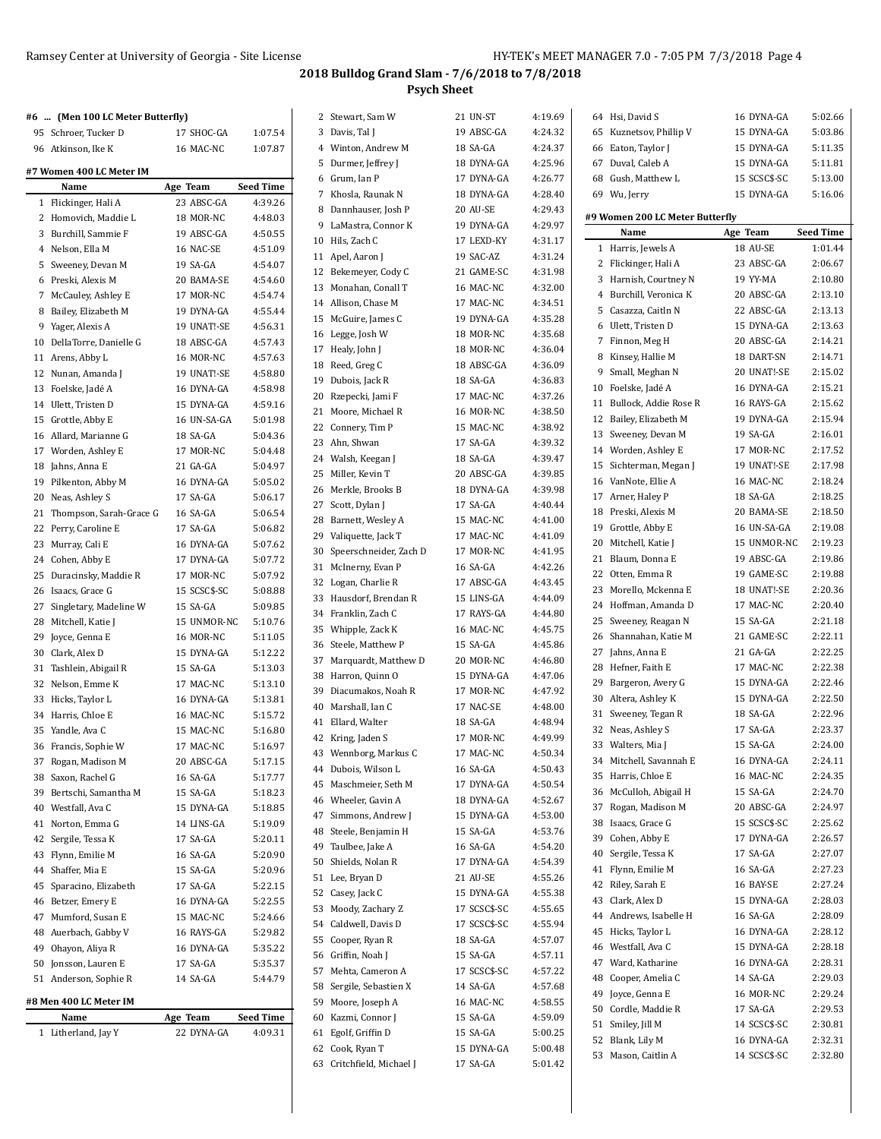|    | #6  (Men 100 LC Meter Butterfly) |              |                  | 2 Stewart, Sam W          | 21 UN-ST              | 4:19.69 |    | 64 Hsi, David S                 | 16 DYNA-GA   | 5:02.66          |
|----|----------------------------------|--------------|------------------|---------------------------|-----------------------|---------|----|---------------------------------|--------------|------------------|
|    | 95 Schroer, Tucker D             | 17 SHOC-GA   | 1:07.54          | 3 Davis, Tal J            | 19 ABSC-GA            | 4:24.32 | 65 | Kuznetsov, Phillip V            | 15 DYNA-GA   | 5:03.86          |
|    | 96 Atkinson, Ike K               | 16 MAC-NC    | 1:07.87          | 4 Winton, Andrew M        | 18 SA-GA              | 4:24.37 |    | 66 Eaton, Taylor J              | 15 DYNA-GA   | 5:11.35          |
|    |                                  |              |                  | 5 Durmer, Jeffrey J       | 18 DYNA-GA            | 4:25.96 |    | 67 Duval, Caleb A               | 15 DYNA-GA   | 5:11.81          |
|    | #7 Women 400 LC Meter IM         |              |                  | 6 Grum, Ian P             | 17 DYNA-GA            | 4:26.77 | 68 | Gush, Matthew L                 | 15 SCSC\$-SC | 5:13.00          |
|    | Name                             | Age Team     | <b>Seed Time</b> | 7 Khosla, Raunak N        | 18 DYNA-GA            | 4:28.40 |    | 69 Wu, Jerry                    | 15 DYNA-GA   | 5:16.06          |
|    | 1 Flickinger, Hali A             | 23 ABSC-GA   | 4:39.26          | 8 Dannhauser, Josh P      | 20 AU-SE              | 4:29.43 |    |                                 |              |                  |
|    | 2 Homovich, Maddie L             | 18 MOR-NC    | 4:48.03          | 9 LaMastra, Connor K      | 19 DYNA-GA            | 4:29.97 |    | #9 Women 200 LC Meter Butterfly |              |                  |
|    | 3 Burchill, Sammie F             | 19 ABSC-GA   | 4:50.55          | 10 Hils, Zach C           | 17 LEXD-KY            | 4:31.17 |    | Name                            | Age Team     | <b>Seed Time</b> |
|    | 4 Nelson, Ella M                 | 16 NAC-SE    | 4:51.09          | 11 Apel, Aaron J          | 19 SAC-AZ             | 4:31.24 |    | 1 Harris, Jewels A              | 18 AU-SE     | 1:01.44          |
|    | 5 Sweeney, Devan M               | 19 SA-GA     | 4:54.07          | 12 Bekemeyer, Cody C      | 21 GAME-SC            | 4:31.98 |    | 2 Flickinger, Hali A            | 23 ABSC-GA   | 2:06.67          |
|    | 6 Preski, Alexis M               | 20 BAMA-SE   | 4:54.60          | 13 Monahan, Conall T      | 16 MAC-NC             | 4:32.00 |    | 3 Harnish, Courtney N           | 19 YY-MA     | 2:10.80          |
|    | 7 McCauley, Ashley E             | 17 MOR-NC    | 4:54.74          | 14 Allison, Chase M       | 17 MAC-NC             | 4:34.51 |    | 4 Burchill, Veronica K          | 20 ABSC-GA   | 2:13.10          |
|    | 8 Bailey, Elizabeth M            | 19 DYNA-GA   | 4:55.44          | 15 McGuire, James C       | 19 DYNA-GA            | 4:35.28 |    | 5 Casazza, Caitln N             | 22 ABSC-GA   | 2:13.13          |
|    | 9 Yager, Alexis A                | 19 UNAT!-SE  | 4:56.31          | 16 Legge, Josh W          | 18 MOR-NC             | 4:35.68 |    | 6 Ulett, Tristen D              | 15 DYNA-GA   | 2:13.63          |
|    | 10 DellaTorre, Danielle G        | 18 ABSC-GA   | 4:57.43          | 17 Healy, John J          | 18 MOR-NC             | 4:36.04 |    | 7 Finnon, Meg H                 | 20 ABSC-GA   | 2:14.21          |
|    | 11 Arens, Abby L                 | 16 MOR-NC    | 4:57.63          | 18 Reed, Greg C           | 18 ABSC-GA            | 4:36.09 |    | 8 Kinsey, Hallie M              | 18 DART-SN   | 2:14.71          |
|    | 12 Nunan, Amanda J               | 19 UNAT!-SE  | 4:58.80          | 19 Dubois, Jack R         | 18 SA-GA              | 4:36.83 |    | 9 Small, Meghan N               | 20 UNAT!-SE  | 2:15.02          |
|    | 13 Foelske, Jadé A               | 16 DYNA-GA   | 4:58.98          | 20 Rzepecki, Jami F       | 17 MAC-NC             | 4.37.26 |    | 10 Foelske, Jadé A              | 16 DYNA-GA   | 2:15.21          |
|    | 14 Ulett, Tristen D              | 15 DYNA-GA   | 4:59.16          | 21 Moore, Michael R       | 16 MOR-NC             | 4:38.50 |    | 11 Bullock, Addie Rose R        | 16 RAYS-GA   | 2:15.62          |
|    | 15 Grottle, Abby E               | 16 UN-SA-GA  | 5:01.98          | 22 Connery, Tim P         | 15 MAC-NC             | 4:38.92 |    | 12 Bailey, Elizabeth M          | 19 DYNA-GA   | 2:15.94          |
|    | 16 Allard, Marianne G            | 18 SA-GA     | 5:04.36          | 23 Ahn, Shwan             | 17 SA-GA              | 4:39.32 | 13 | Sweeney, Devan M                | 19 SA-GA     | 2:16.01          |
|    | 17 Worden, Ashley E              | 17 MOR-NC    | 5:04.48          | 24 Walsh, Keegan J        | 18 SA-GA              | 4:39.47 | 14 | Worden, Ashley E                | 17 MOR-NC    | 2:17.52          |
|    | 18 Jahns, Anna E                 | 21 GA-GA     | 5:04.97          | 25 Miller, Kevin T        | 20 ABSC-GA            | 4:39.85 |    | 15 Sichterman, Megan J          | 19 UNAT!-SE  | 2:17.98          |
|    | 19 Pilkenton, Abby M             | 16 DYNA-GA   | 5:05.02          | 26 Merkle, Brooks B       | 18 DYNA-GA            | 4:39.98 |    | 16 VanNote, Ellie A             | 16 MAC-NC    | 2:18.24          |
|    | 20 Neas, Ashley S                | 17 SA-GA     | 5:06.17          |                           |                       | 4:40.44 |    | 17 Arner, Haley P               | 18 SA-GA     | 2:18.25          |
|    | 21 Thompson, Sarah-Grace G       | 16 SA-GA     | 5:06.54          | 27 Scott, Dylan J         | 17 SA-GA<br>15 MAC-NC | 4:41.00 | 18 | Preski, Alexis M                | 20 BAMA-SE   | 2:18.50          |
|    | 22 Perry, Caroline E             | 17 SA-GA     | 5:06.82          | 28 Barnett, Wesley A      |                       | 4:41.09 |    | 19 Grottle, Abby E              | 16 UN-SA-GA  | 2:19.08          |
|    | 23 Murray, Cali E                | 16 DYNA-GA   | 5:07.62          | 29 Valiquette, Jack T     | 17 MAC-NC             |         |    | 20 Mitchell, Katie J            | 15 UNMOR-NC  | 2:19.23          |
|    | 24 Cohen, Abby E                 | 17 DYNA-GA   | 5:07.72          | 30 Speerschneider, Zach D | 17 MOR-NC             | 4:41.95 |    | 21 Blaum, Donna E               | 19 ABSC-GA   | 2:19.86          |
|    | 25 Duracinsky, Maddie R          | 17 MOR-NC    | 5:07.92          | 31 McInerny, Evan P       | 16 SA-GA              | 4:42.26 |    | 22 Otten, Emma R                | 19 GAME-SC   | 2:19.88          |
|    | 26 Isaacs, Grace G               | 15 SCSC\$-SC | 5:08.88          | 32 Logan, Charlie R       | 17 ABSC-GA            | 4:43.45 | 23 | Morello, Mckenna E              | 18 UNAT!-SE  | 2:20.36          |
|    | 27 Singletary, Madeline W        | 15 SA-GA     | 5:09.85          | 33 Hausdorf, Brendan R    | 15 LINS-GA            | 4:44.09 |    | 24 Hoffman, Amanda D            | 17 MAC-NC    | 2:20.40          |
|    | 28 Mitchell, Katie J             | 15 UNMOR-NC  | 5:10.76          | 34 Franklin, Zach C       | 17 RAYS-GA            | 4:44.80 |    | 25 Sweeney, Reagan N            | 15 SA-GA     | 2:21.18          |
|    | 29 Joyce, Genna E                | 16 MOR-NC    | 5:11.05          | 35 Whipple, Zack K        | 16 MAC-NC             | 4:45.75 |    | 26 Shannahan, Katie M           | 21 GAME-SC   | 2:22.11          |
|    | 30 Clark, Alex D                 | 15 DYNA-GA   | 5:12.22          | 36 Steele, Matthew P      | 15 SA-GA              | 4:45.86 | 27 | Jahns, Anna E                   | 21 GA-GA     | 2:22.25          |
|    | 31 Tashlein, Abigail R           | 15 SA-GA     | 5:13.03          | 37 Marquardt, Matthew D   | 20 MOR-NC             | 4:46.80 | 28 | Hefner, Faith E                 | 17 MAC-NC    | 2:22.38          |
|    | 32 Nelson, Emme K                | 17 MAC-NC    | 5:13.10          | 38 Harron, Quinn O        | 15 DYNA-GA            | 4.47.06 | 29 | Bargeron, Avery G               | 15 DYNA-GA   | 2:22.46          |
|    | 33 Hicks, Taylor L               | 16 DYNA-GA   | 5:13.81          | 39 Diacumakos, Noah R     | 17 MOR-NC             | 4:47.92 |    | 30 Altera, Ashley K             | 15 DYNA-GA   | 2:22.50          |
|    | 34 Harris, Chloe E               | 16 MAC-NC    | 5:15.72          | 40 Marshall, Ian C        | 17 NAC-SE             | 4:48.00 |    | 31 Sweeney, Tegan R             | 18 SA-GA     | 2:22.96          |
|    | 35 Yandle, Ava C                 | 15 MAC-NC    | 5:16.80          | 41 Ellard, Walter         | 18 SA-GA              | 4:48.94 |    | 32 Neas, Ashley S               | 17 SA-GA     | 2:23.37          |
|    | 36 Francis, Sophie W             | 17 MAC-NC    | 5:16.97          | 42 Kring, Jaden S         | 17 MOR-NC             | 4:49.99 |    | 33 Walters, Mia J               | 15 SA-GA     | 2:24.00          |
| 37 | Rogan, Madison M                 | 20 ABSC-GA   | 5:17.15          | 43 Wennborg, Markus C     | 17 MAC-NC             | 4:50.34 |    | 34 Mitchell, Savannah E         | 16 DYNA-GA   | 2:24.11          |
|    | 38 Saxon, Rachel G               | 16 SA-GA     | 5:17.77          | 44 Dubois, Wilson L       | 16 SA-GA              | 4:50.43 |    | 35 Harris, Chloe E              | 16 MAC-NC    | 2:24.35          |
|    | 39 Bertschi, Samantha M          | 15 SA-GA     | 5:18.23          | 45 Maschmeier, Seth M     | 17 DYNA-GA            | 4:50.54 |    | 36 McCulloh, Abigail H          | 15 SA-GA     | 2:24.70          |
|    | 40 Westfall, Ava C               | 15 DYNA-GA   | 5:18.85          | 46 Wheeler, Gavin A       | 18 DYNA-GA            | 4:52.67 | 37 | Rogan, Madison M                | 20 ABSC-GA   | 2:24.97          |
|    | 41 Norton, Emma G                | 14 LINS-GA   | 5:19.09          | 47 Simmons, Andrew J      | 15 DYNA-GA            | 4.53.00 | 38 | Isaacs, Grace G                 | 15 SCSC\$-SC | 2:25.62          |
|    | 42 Sergile, Tessa K              | 17 SA-GA     | 5:20.11          | 48 Steele, Benjamin H     | 15 SA-GA              | 4.53.76 | 39 | Cohen, Abby E                   | 17 DYNA-GA   | 2:26.57          |
|    | 43 Flynn, Emilie M               | 16 SA-GA     | 5:20.90          | 49 Taulbee, Jake A        | 16 SA-GA              | 4:54.20 | 40 | Sergile, Tessa K                | 17 SA-GA     | 2:27.07          |
|    | 44 Shaffer, Mia E                | 15 SA-GA     | 5:20.96          | 50 Shields, Nolan R       | 17 DYNA-GA            | 4.54.39 |    | 41 Flynn, Emilie M              | 16 SA-GA     | 2:27.23          |
|    | 45 Sparacino, Elizabeth          |              |                  | 51 Lee, Bryan D           | 21 AU-SE              | 4:55.26 |    | 42 Riley, Sarah E               | 16 BAY-SE    | 2:27.24          |
|    |                                  | 17 SA-GA     | 5:22.15          | 52 Casey, Jack C          | 15 DYNA-GA            | 4:55.38 | 43 | Clark, Alex D                   | 15 DYNA-GA   | 2:28.03          |
|    | 46 Betzer, Emery E               | 16 DYNA-GA   | 5:22.55          | 53 Moody, Zachary Z       | 17 SCSC\$-SC          | 4:55.65 | 44 | Andrews, Isabelle H             | 16 SA-GA     | 2:28.09          |
|    | 47 Mumford, Susan E              | 15 MAC-NC    | 5:24.66          | 54 Caldwell, Davis D      | 17 SCSC\$-SC          | 4:55.94 |    |                                 |              |                  |
|    | 48 Auerbach, Gabby V             | 16 RAYS-GA   | 5:29.82          | 55 Cooper, Ryan R         | 18 SA-GA              | 4.57.07 |    | 45 Hicks, Taylor L              | 16 DYNA-GA   | 2:28.12          |
|    | 49 Ohayon, Aliya R               | 16 DYNA-GA   | 5:35.22          | 56 Griffin, Noah J        | 15 SA-GA              | 4:57.11 |    | 46 Westfall, Ava C              | 15 DYNA-GA   | 2:28.18          |
|    | 50 Jonsson, Lauren E             | 17 SA-GA     | 5:35.37          | 57 Mehta, Cameron A       | 17 SCSC\$-SC          | 4:57.22 | 47 | Ward, Katharine                 | 16 DYNA-GA   | 2:28.31          |
|    | 51 Anderson, Sophie R            | 14 SA-GA     | 5:44.79          | 58 Sergile, Sebastien X   | 14 SA-GA              | 4.57.68 | 48 | Cooper, Amelia C                | 14 SA-GA     | 2:29.03          |
|    | #8 Men 400 LC Meter IM           |              |                  | 59 Moore, Joseph A        | 16 MAC-NC             | 4:58.55 | 49 | Joyce, Genna E                  | 16 MOR-NC    | 2:29.24          |
|    | Name                             | Age Team     | Seed Time        | 60 Kazmi, Connor J        | 15 SA-GA              | 4.59.09 |    | 50 Cordle, Maddie R             | 17 SA-GA     | 2:29.53          |
|    | 1 Litherland, Jay Y              | 22 DYNA-GA   | 4:09.31          | 61 Egolf, Griffin D       | 15 SA-GA              | 5:00.25 |    | 51 Smiley, Jill M               | 14 SCSC\$-SC | 2:30.81          |
|    |                                  |              |                  | 62 Cook, Ryan T           | 15 DYNA-GA            | 5:00.48 |    | 52 Blank, Lily M                | 16 DYNA-GA   | 2:32.31          |
|    |                                  |              |                  | 63 Critchfield, Michael J | 17 SA-GA              | 5:01.42 |    | 53 Mason, Caitlin A             | 14 SCSC\$-SC | 2:32.80          |
|    |                                  |              |                  |                           |                       |         |    |                                 |              |                  |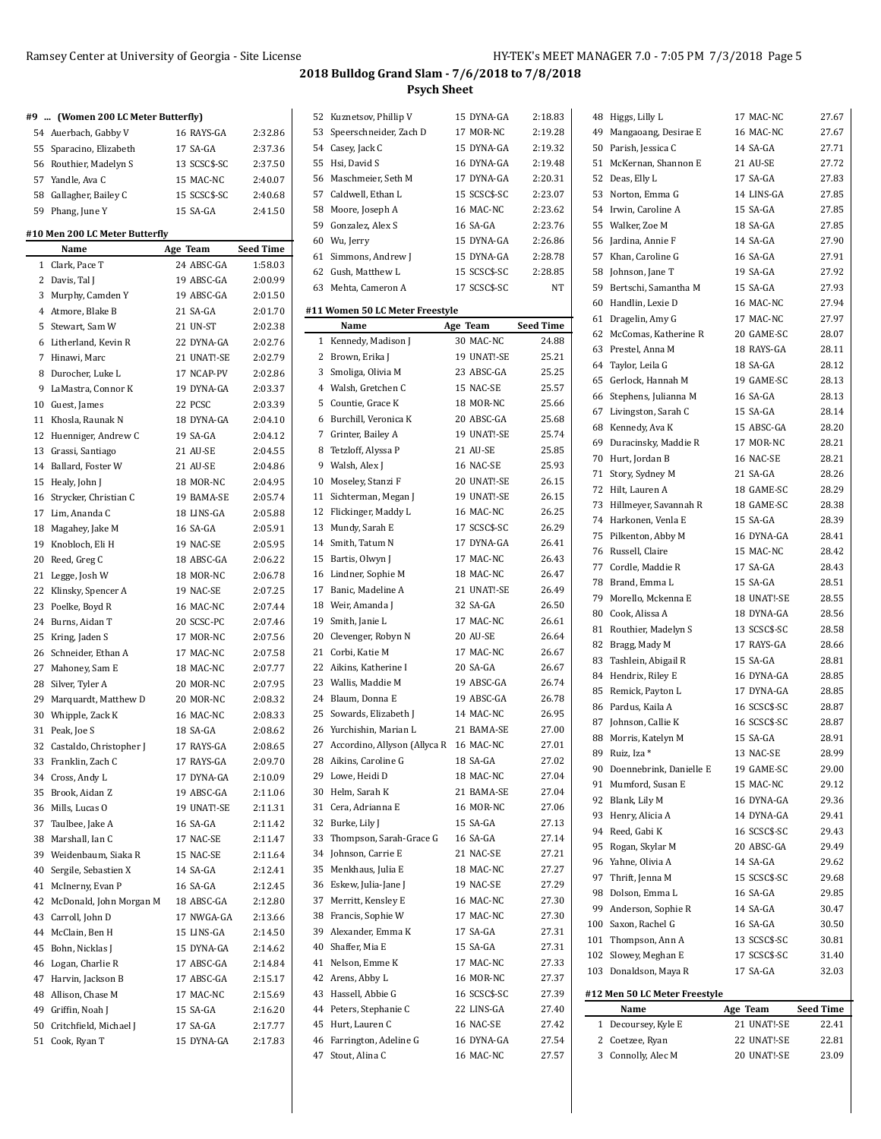|              | #9  (Women 200 LC Meter Butterfly)     |                        |                    |
|--------------|----------------------------------------|------------------------|--------------------|
|              | 54 Auerbach, Gabby V                   | 16 RAYS-GA             | 2:32.86            |
|              | 55 Sparacino, Elizabeth                | 17 SA-GA               | 2:37.36            |
|              | 56 Routhier, Madelyn S                 | 13 SCSC\$-SC           | 2:37.50            |
|              | 57 Yandle, Ava C                       | 15 MAC-NC              | 2:40.07            |
|              | 58 Gallagher, Bailey C                 | 15 SCSC\$-SC           | 2:40.68            |
|              | 59 Phang, June Y                       | 15 SA-GA               | 2:41.50            |
|              |                                        |                        |                    |
|              | #10 Men 200 LC Meter Butterfly         |                        |                    |
|              | Name                                   | Age Team               | <b>Seed Time</b>   |
| $\mathbf{1}$ | Clark. Pace T                          | 24 ABSC-GA             | 1:58.03            |
|              | 2 Davis, Tal J                         | 19 ABSC-GA             | 2:00.99            |
| 3            | Murphy, Camden Y                       | 19 ABSC-GA             | 2:01.50            |
|              | 4 Atmore, Blake B                      | 21 SA-GA               | 2:01.70            |
| 5            | Stewart, Sam W                         | 21 UN-ST               | 2:02.38            |
| 6            | Litherland, Kevin R                    | 22 DYNA-GA             | 2:02.76            |
| 7            | Hinawi, Marc                           | 21 UNAT!-SE            | 2:02.79            |
| 8            | Durocher, Luke L                       | 17 NCAP-PV             | 2:02.86            |
| 9            | LaMastra, Connor K                     | 19 DYNA-GA             | 2:03.37            |
|              | 10 Guest, James                        | 22 PCSC                | 2:03.39            |
| 11           | Khosla, Raunak N                       | 18 DYNA-GA             | 2:04.10            |
| 12           | Huenniger, Andrew C                    | 19 SA-GA               | 2:04.12            |
|              | 13 Grassi, Santiago                    | 21 AU-SE               | 2:04.55            |
|              | 14 Ballard, Foster W                   | 21 AU-SE               | 2:04.86            |
| 15           | Healy, John J                          | 18 MOR-NC              | 2:04.95            |
| 16           | Strycker, Christian C                  | 19 BAMA-SE             | 2:05.74            |
| 17           | Lim, Ananda C                          | 18 LINS-GA             | 2:05.88            |
| 18           | Magahey, Jake M                        | 16 SA-GA               | 2:05.91            |
| 19           | Knobloch, Eli H                        | 19 NAC-SE              | 2:05.95            |
|              | 20 Reed, Greg C                        | 18 ABSC-GA             | 2:06.22            |
| 21           | Legge, Josh W                          | 18 MOR-NC              | 2:06.78            |
| 22           | Klinsky, Spencer A                     | 19 NAC-SE              | 2:07.25            |
| 23           | Poelke, Boyd R                         | 16 MAC-NC              | 2:07.44            |
| 24           | Burns, Aidan T                         | 20 SCSC-PC             | 2:07.46            |
| 25           | Kring, Jaden S                         | 17 MOR-NC              | 2:07.56            |
| 26           | Schneider, Ethan A                     | 17 MAC-NC              | 2:07.58            |
|              | 27 Mahoney, Sam E                      | 18 MAC-NC              | 2:07.77            |
|              | 28 Silver, Tyler A                     | 20 MOR-NC              | 2:07.95            |
| 29           | Marquardt, Matthew D                   | 20 MOR-NC              | 2:08.32            |
|              | 30 Whipple, Zack K                     | 16 MAC-NC              | 2:08.33            |
| 31           | Peak, Joe S                            | 18 SA-GA               | 2:08.62            |
| 32           | Castaldo, Christopher J                | 17 RAYS-GA             | 2:08.65            |
| 33           | Franklin, Zach C                       | 17 RAYS-GA             | 2:09.70            |
|              | 34 Cross, Andy L                       | 17 DYNA-GA             | 2:10.09            |
| 35           | Brook, Aidan Z                         | 19 ABSC-GA             | 2:11.06            |
|              | Mills, Lucas O                         |                        | 2:11.31            |
| 36           |                                        | 19 UNAT!-SE            |                    |
| 37           | Taulbee, Jake A                        | 16 SA-GA               | 2:11.42            |
| 38           | Marshall, Ian C                        | 17 NAC-SE              | 2:11.47            |
| 39           | Weidenbaum, Siaka R                    | 15 NAC-SE              | 2:11.64            |
| 40           | Sergile, Sebastien X                   | 14 SA-GA               | 2:12.41            |
| 41           | McInerny, Evan P                       | 16 SA-GA               | 2:12.45            |
| 42           | McDonald, John Morgan M                | 18 ABSC-GA             | 2:12.80            |
| 43           | Carroll, John D                        | 17 NWGA-GA             | 2:13.66            |
| 44           | McClain, Ben H                         | 15 LINS-GA             | 2:14.50            |
| 45           |                                        | 15 DYNA-GA             | 2:14.62            |
|              | Bohn, Nicklas J                        |                        |                    |
| 46           | Logan, Charlie R                       | 17 ABSC-GA             | 2:14.84            |
| 47           | Harvin, Jackson B                      | 17 ABSC-GA             | 2:15.17            |
| 48           | Allison, Chase M                       | 17 MAC-NC              | 2:15.69            |
|              | 49 Griffin, Noah J                     | 15 SA-GA               | 2:16.20            |
| 50<br>51     | Critchfield, Michael J<br>Cook, Ryan T | 17 SA-GA<br>15 DYNA-GA | 2:17.77<br>2:17.83 |

| 52 | Kuznetsov, Phillip V            | 15 DYNA-GA   | 2:18.83          |
|----|---------------------------------|--------------|------------------|
| 53 | Speerschneider, Zach D          | 17 MOR-NC    | 2:19.28          |
|    | 54 Casey, Jack C                | 15 DYNA-GA   | 2:19.32          |
| 55 | Hsi, David S                    | 16 DYNA-GA   | 2:19.48          |
| 56 | Maschmeier, Seth M              | 17 DYNA-GA   | 2:20.31          |
|    | 57 Caldwell, Ethan L            | 15 SCSC\$-SC | 2:23.07          |
| 58 | Moore, Joseph A                 | 16 MAC-NC    | 2:23.62          |
| 59 | Gonzalez, Alex S                | 16 SA-GA     | 2:23.76          |
|    |                                 | 15 DYNA-GA   | 2:26.86          |
| 60 | Wu, Jerry                       |              |                  |
|    | 61 Simmons, Andrew J            | 15 DYNA-GA   | 2:28.78          |
|    | 62 Gush, Matthew L              | 15 SCSC\$-SC | 2:28.85          |
|    | 63 Mehta, Cameron A             | 17 SCSC\$-SC | <b>NT</b>        |
|    | #11 Women 50 LC Meter Freestyle |              |                  |
|    | Name                            | Age Team     | <b>Seed Time</b> |
| 1  | Kennedy, Madison J              | 30 MAC-NC    | 24.88            |
| 2  | Brown, Erika J                  | 19 UNAT!-SE  | 25.21            |
| 3  | Smoliga, Olivia M               | 23 ABSC-GA   | 25.25            |
| 4  | Walsh, Gretchen C               | 15 NAC-SE    | 25.57            |
| 5  | Countie, Grace K                | 18 MOR-NC    | 25.66            |
| 6  | Burchill, Veronica K            | 20 ABSC-GA   | 25.68            |
| 7  | Grinter, Bailey A               | 19 UNAT!-SE  | 25.74            |
| 8  | Tetzloff, Alyssa P              | 21 AU-SE     | 25.85            |
| 9  | Walsh, Alex J                   | 16 NAC-SE    | 25.93            |
| 10 | Moseley, Stanzi F               | 20 UNAT!-SE  | 26.15            |
| 11 | Sichterman, Megan J             | 19 UNAT!-SE  | 26.15            |
|    | 12 Flickinger, Maddy L          | 16 MAC-NC    | 26.25            |
| 13 | Mundy, Sarah E                  | 17 SCSC\$-SC | 26.29            |
| 14 | Smith, Tatum N                  | 17 DYNA-GA   | 26.41            |
| 15 | Bartis, Olwyn J                 | 17 MAC-NC    | 26.43            |
| 16 |                                 | 18 MAC-NC    | 26.47            |
|    | Lindner, Sophie M               |              |                  |
|    | 17 Banic, Madeline A            | 21 UNAT!-SE  | 26.49            |
|    | 18 Weir, Amanda J               | 32 SA-GA     | 26.50            |
| 19 | Smith, Janie L                  | 17 MAC-NC    | 26.61            |
| 20 | Clevenger, Robyn N              | 20 AU-SE     | 26.64            |
| 21 | Corbi, Katie M                  | 17 MAC-NC    | 26.67            |
| 22 | Aikins, Katherine I             | 20 SA-GA     | 26.67            |
|    | 23 Wallis, Maddie M             | 19 ABSC-GA   | 26.74            |
| 24 | Blaum, Donna E                  | 19 ABSC-GA   | 26.78            |
| 25 | Sowards, Elizabeth J            | 14 MAC-NC    | 26.95            |
| 26 | Yurchishin, Marian L            | 21 BAMA-SE   | 27.00            |
| 27 | Accordino, Allyson (Allyca R    | 16 MAC-NC    | 27.01            |
| 28 | Aikins, Caroline G              | 18 SA-GA     | 27.02            |
| 29 | Lowe, Heidi D                   | 18 MAC-NC    | 27.04            |
| 30 | Helm, Sarah K                   | 21 BAMA-SE   | 27.04            |
| 31 | Cera, Adrianna E                | 16 MOR-NC    | 27.06            |
| 32 | Burke, Lily J                   | 15 SA-GA     | 27.13            |
| 33 | Thompson, Sarah-Grace G         | 16 SA-GA     | 27.14            |
| 34 | Johnson, Carrie E               | 21 NAC-SE    | 27.21            |
| 35 | Menkhaus, Julia E               | 18 MAC-NC    | 27.27            |
| 36 | Eskew, Julia-Jane J             | 19 NAC-SE    | 27.29            |
| 37 | Merritt, Kensley E              | 16 MAC-NC    | 27.30            |
| 38 | Francis, Sophie W               | 17 MAC-NC    | 27.30            |
| 39 | Alexander, Emma K               | 17 SA-GA     | 27.31            |
| 40 | Shaffer, Mia E                  | 15 SA-GA     | 27.31            |
| 41 | Nelson, Emme K                  | 17 MAC-NC    | 27.33            |
| 42 | Arens, Abby L                   | 16 MOR-NC    | 27.37            |
| 43 | Hassell, Abbie G                | 16 SCSC\$-SC | 27.39            |
| 44 | Peters, Stephanie C             | 22 LINS-GA   | 27.40            |
| 45 | Hurt, Lauren C                  | 16 NAC-SE    | 27.42            |
| 46 | Farrington, Adeline G           | 16 DYNA-GA   | 27.54            |
| 47 | Stout, Alina C                  | 16 MAC-NC    | 27.57            |
|    |                                 |              |                  |

| 48 | Higgs, Lilly L                | 17 MAC-NC    | 27.67            |
|----|-------------------------------|--------------|------------------|
|    | 49 Mangaoang, Desirae E       | 16 MAC-NC    | 27.67            |
|    | 50 Parish, Jessica C          | 14 SA-GA     | 27.71            |
| 51 | McKernan, Shannon E           | 21 AU-SE     | 27.72            |
|    | 52 Deas, Elly L               | 17 SA-GA     | 27.83            |
| 53 | Norton, Emma G                | 14 LINS-GA   | 27.85            |
|    | 54 Irwin, Caroline A          | 15 SA-GA     | 27.85            |
| 55 | Walker, Zoe M                 | 18 SA-GA     | 27.85            |
|    | 56 Jardina, Annie F           | 14 SA-GA     | 27.90            |
| 57 | Khan, Caroline G              | 16 SA-GA     | 27.91            |
| 58 | Johnson, Jane T               | 19 SA-GA     | 27.92            |
| 59 | Bertschi, Samantha M          | 15 SA-GA     | 27.93            |
|    | 60 Handlin, Lexie D           | 16 MAC-NC    | 27.94            |
| 61 |                               | 17 MAC-NC    |                  |
|    | Dragelin, Amy G               |              | 27.97            |
|    | 62 McComas, Katherine R       | 20 GAME-SC   | 28.07            |
| 63 | Prestel, Anna M               | 18 RAYS-GA   | 28.11            |
|    | 64 Taylor, Leila G            | 18 SA-GA     | 28.12            |
| 65 | Gerlock, Hannah M             | 19 GAME-SC   | 28.13            |
|    | 66 Stephens, Julianna M       | 16 SA-GA     | 28.13            |
|    | 67 Livingston, Sarah C        | 15 SA-GA     | 28.14            |
| 68 | Kennedy, Ava K                | 15 ABSC-GA   | 28.20            |
|    | 69 Duracinsky, Maddie R       | 17 MOR-NC    | 28.21            |
|    | 70 Hurt, Jordan B             | 16 NAC-SE    | 28.21            |
|    | 71 Story, Sydney M            | 21 SA-GA     | 28.26            |
|    | 72 Hilt, Lauren A             | 18 GAME-SC   | 28.29            |
| 73 | Hillmeyer, Savannah R         | 18 GAME-SC   | 28.38            |
|    | 74 Harkonen, Venla E          | 15 SA-GA     | 28.39            |
| 75 | Pilkenton, Abby M             | 16 DYNA-GA   | 28.41            |
|    | 76 Russell, Claire            | 15 MAC-NC    | 28.42            |
|    | 77 Cordle, Maddie R           | 17 SA-GA     | 28.43            |
| 78 | Brand, Emma L                 | 15 SA-GA     | 28.51            |
|    | 79 Morello, Mckenna E         | 18 UNAT!-SE  | 28.55            |
|    | 80 Cook, Alissa A             | 18 DYNA-GA   | 28.56            |
| 81 | Routhier, Madelyn S           | 13 SCSC\$-SC | 28.58            |
|    | 82 Bragg, Mady M              | 17 RAYS-GA   | 28.66            |
| 83 | Tashlein, Abigail R           | 15 SA-GA     | 28.81            |
|    | 84 Hendrix, Riley E           | 16 DYNA-GA   | 28.85            |
| 85 | Remick, Payton L              | 17 DYNA-GA   | 28.85            |
|    | 86 Pardus, Kaila A            | 16 SCSC\$-SC | 28.87            |
| 87 | Johnson, Callie K             | 16 SCSC\$-SC | 28.87            |
|    | 88 Morris, Katelyn M          | 15 SA-GA     | 28.91            |
|    | 89 Ruiz, Iza *                | 13 NAC-SE    | 28.99            |
|    | 90 Doennebrink, Danielle E    | 19 GAME-SC   | 29.00            |
| 91 | Mumford, Susan E              | 15 MAC-NC    | 29.12            |
|    | 92 Blank, Lily M              | 16 DYNA-GA   | 29.36            |
| 93 | Henry, Alicia A               | 14 DYNA-GA   |                  |
|    |                               | 16 SCSC\$-SC | 29.41            |
|    | 94 Reed, Gabi K               |              | 29.43            |
| 95 | Rogan, Skylar M               | 20 ABSC-GA   | 29.49            |
|    | 96 Yahne, Olivia A            | 14 SA-GA     | 29.62            |
| 97 | Thrift, Jenna M               | 15 SCSC\$-SC | 29.68            |
|    | 98 Dolson, Emma L             | 16 SA-GA     | 29.85            |
|    | 99 Anderson, Sophie R         | 14 SA-GA     | 30.47            |
|    | 100 Saxon, Rachel G           | 16 SA-GA     | 30.50            |
|    | 101 Thompson, Ann A           | 13 SCSC\$-SC | 30.81            |
|    | 102 Slowey, Meghan E          | 17 SCSC\$-SC | 31.40            |
|    | 103 Donaldson, Maya R         | 17 SA-GA     | 32.03            |
|    | #12 Men 50 LC Meter Freestyle |              |                  |
|    | Name                          | Age Team     | <b>Seed Time</b> |
| 1  | Decoursey, Kyle E             | 21 UNAT!-SE  | 22.41            |
| 2  | Coetzee, Ryan                 | 22 UNAT!-SE  | 22.81            |
| 3  | Connolly, Alec M              | 20 UNAT!-SE  | 23.09            |
|    |                               |              |                  |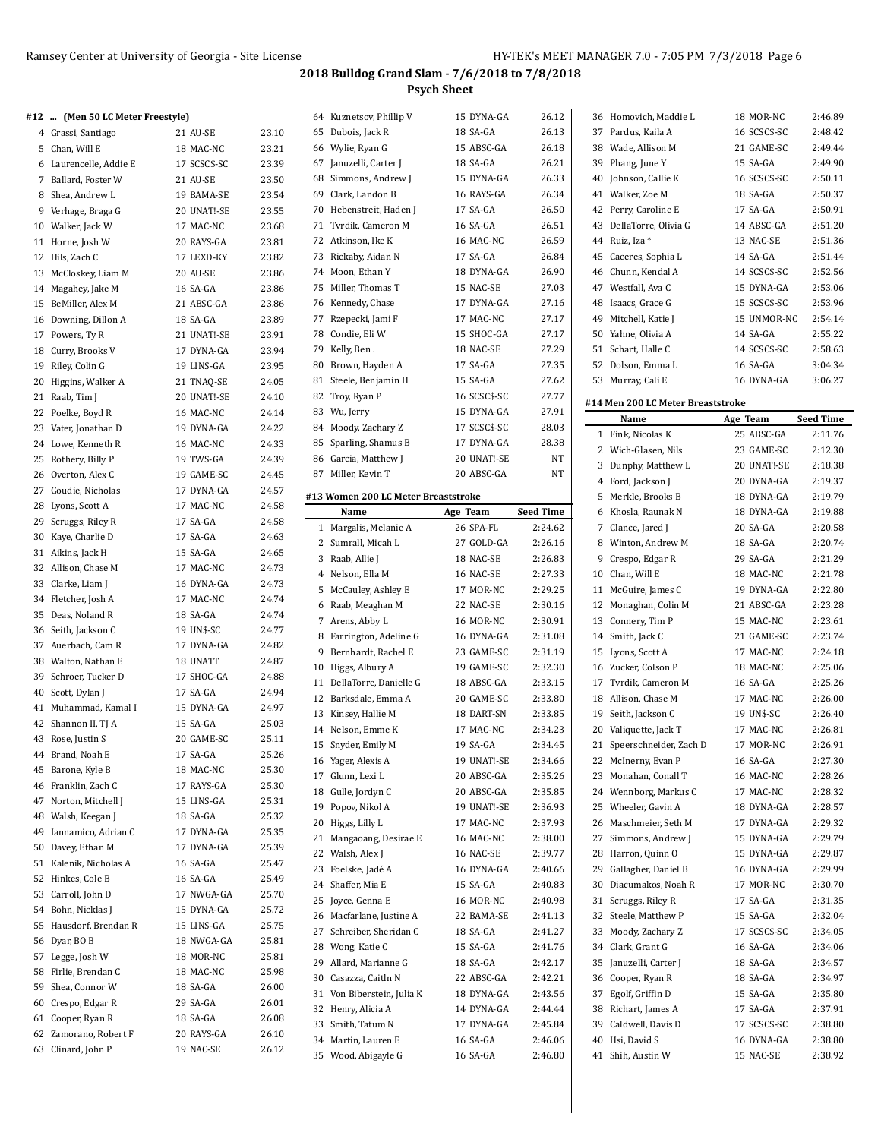| #12  (Men 50 LC Meter Freestyle) |              |       | 64 Kuznetsov, Phillip V             | 15 DYNA-GA   | 26.12            | 36 Homovich, Maddie L             | 18 MOR-NC    | 2:46.89          |
|----------------------------------|--------------|-------|-------------------------------------|--------------|------------------|-----------------------------------|--------------|------------------|
| 4 Grassi, Santiago               | 21 AU-SE     | 23.10 | 65 Dubois, Jack R                   | 18 SA-GA     | 26.13            | 37 Pardus, Kaila A                | 16 SCSC\$-SC | 2:48.42          |
| 5 Chan, Will E                   | 18 MAC-NC    | 23.21 | 66 Wylie, Ryan G                    | 15 ABSC-GA   | 26.18            | 38 Wade, Allison M                | 21 GAME-SC   | 2:49.44          |
| 6 Laurencelle, Addie E           | 17 SCSC\$-SC | 23.39 | 67 Januzelli, Carter J              | 18 SA-GA     | 26.21            | 39 Phang, June Y                  | 15 SA-GA     | 2:49.90          |
| 7 Ballard, Foster W              | 21 AU-SE     | 23.50 | 68 Simmons, Andrew J                | 15 DYNA-GA   | 26.33            | 40 Johnson, Callie K              | 16 SCSC\$-SC | 2:50.11          |
| 8 Shea, Andrew L                 | 19 BAMA-SE   | 23.54 | 69 Clark, Landon B                  | 16 RAYS-GA   | 26.34            | 41 Walker, Zoe M                  | 18 SA-GA     | 2:50.37          |
| 9 Verhage, Braga G               | 20 UNAT!-SE  | 23.55 | 70 Hebenstreit, Haden J             | 17 SA-GA     | 26.50            | 42 Perry, Caroline E              | 17 SA-GA     | 2:50.91          |
|                                  | 17 MAC-NC    | 23.68 | 71 Tvrdik, Cameron M                | 16 SA-GA     | 26.51            | 43 DellaTorre, Olivia G           | 14 ABSC-GA   | 2:51.20          |
| 10 Walker, Jack W                |              |       | 72 Atkinson, Ike K                  | 16 MAC-NC    | 26.59            | 44 Ruiz, Iza *                    | 13 NAC-SE    | 2:51.36          |
| 11 Horne, Josh W                 | 20 RAYS-GA   | 23.81 |                                     |              |                  | 45 Caceres, Sophia L              |              |                  |
| 12 Hils, Zach C                  | 17 LEXD-KY   | 23.82 | 73 Rickaby, Aidan N                 | 17 SA-GA     | 26.84            |                                   | 14 SA-GA     | 2:51.44          |
| 13 McCloskey, Liam M             | 20 AU-SE     | 23.86 | 74 Moon, Ethan Y                    | 18 DYNA-GA   | 26.90            | 46 Chunn, Kendal A                | 14 SCSC\$-SC | 2:52.56          |
| 14 Magahey, Jake M               | 16 SA-GA     | 23.86 | 75 Miller, Thomas T                 | 15 NAC-SE    | 27.03            | 47 Westfall, Ava C                | 15 DYNA-GA   | 2:53.06          |
| 15 BeMiller, Alex M              | 21 ABSC-GA   | 23.86 | 76 Kennedy, Chase                   | 17 DYNA-GA   | 27.16            | 48 Isaacs, Grace G                | 15 SCSC\$-SC | 2:53.96          |
| 16 Downing, Dillon A             | 18 SA-GA     | 23.89 | 77 Rzepecki, Jami F                 | 17 MAC-NC    | 27.17            | 49 Mitchell, Katie J              | 15 UNMOR-NC  | 2:54.14          |
| 17 Powers, Ty R                  | 21 UNAT!-SE  | 23.91 | 78 Condie, Eli W                    | 15 SHOC-GA   | 27.17            | 50 Yahne, Olivia A                | 14 SA-GA     | 2:55.22          |
| 18 Curry, Brooks V               | 17 DYNA-GA   | 23.94 | 79 Kelly, Ben.                      | 18 NAC-SE    | 27.29            | 51 Schart, Halle C                | 14 SCSC\$-SC | 2:58.63          |
| 19 Riley, Colin G                | 19 LINS-GA   | 23.95 | 80 Brown, Hayden A                  | 17 SA-GA     | 27.35            | 52 Dolson, Emma L                 | 16 SA-GA     | 3:04.34          |
| 20 Higgins, Walker A             | 21 TNAQ-SE   | 24.05 | 81 Steele, Benjamin H               | 15 SA-GA     | 27.62            | 53 Murray, Cali E                 | 16 DYNA-GA   | 3:06.27          |
| 21 Raab, Tim J                   | 20 UNAT!-SE  | 24.10 | 82 Troy, Ryan P                     | 16 SCSC\$-SC | 27.77            | #14 Men 200 LC Meter Breaststroke |              |                  |
| 22 Poelke, Boyd R                | 16 MAC-NC    | 24.14 | 83 Wu, Jerry                        | 15 DYNA-GA   | 27.91            |                                   |              |                  |
| 23 Vater, Jonathan D             | 19 DYNA-GA   | 24.22 | 84 Moody, Zachary Z                 | 17 SCSC\$-SC | 28.03            | Name                              | Age Team     | <b>Seed Time</b> |
| 24 Lowe, Kenneth R               | 16 MAC-NC    | 24.33 | 85 Sparling, Shamus B               | 17 DYNA-GA   | 28.38            | 1 Fink, Nicolas K                 | 25 ABSC-GA   | 2:11.76          |
| 25 Rothery, Billy P              | 19 TWS-GA    | 24.39 | 86 Garcia, Matthew J                | 20 UNAT!-SE  | NT               | 2 Wich-Glasen, Nils               | 23 GAME-SC   | 2:12.30          |
| 26 Overton, Alex C               | 19 GAME-SC   | 24.45 | 87 Miller, Kevin T                  | 20 ABSC-GA   | NΤ               | 3 Dunphy, Matthew L               | 20 UNAT!-SE  | 2:18.38          |
| 27 Goudie, Nicholas              | 17 DYNA-GA   | 24.57 |                                     |              |                  | 4 Ford, Jackson J                 | 20 DYNA-GA   | 2:19.37          |
| 28 Lyons, Scott A                | 17 MAC-NC    | 24.58 | #13 Women 200 LC Meter Breaststroke |              |                  | 5 Merkle, Brooks B                | 18 DYNA-GA   | 2:19.79          |
| 29 Scruggs, Riley R              | 17 SA-GA     | 24.58 | Name                                | Age Team     | <b>Seed Time</b> | 6 Khosla, Raunak N                | 18 DYNA-GA   | 2:19.88          |
|                                  |              |       | 1 Margalis, Melanie A               | 26 SPA-FL    | 2:24.62          | 7 Clance, Jared J                 | 20 SA-GA     | 2:20.58          |
| 30 Kaye, Charlie D               | 17 SA-GA     | 24.63 | 2 Sumrall, Micah L                  | 27 GOLD-GA   | 2:26.16          | 8 Winton, Andrew M                | 18 SA-GA     | 2:20.74          |
| 31 Aikins, Jack H                | 15 SA-GA     | 24.65 | 3 Raab, Allie J                     | 18 NAC-SE    | 2:26.83          | 9 Crespo, Edgar R                 | 29 SA-GA     | 2:21.29          |
| 32 Allison, Chase M              | 17 MAC-NC    | 24.73 | 4 Nelson, Ella M                    | 16 NAC-SE    | 2:27.33          | 10 Chan, Will E                   | 18 MAC-NC    | 2:21.78          |
| 33 Clarke, Liam J                | 16 DYNA-GA   | 24.73 | 5 McCauley, Ashley E                | 17 MOR-NC    | 2:29.25          | 11 McGuire, James C               | 19 DYNA-GA   | 2:22.80          |
| 34 Fletcher, Josh A              | 17 MAC-NC    | 24.74 | 6 Raab, Meaghan M                   | 22 NAC-SE    | 2:30.16          | 12 Monaghan, Colin M              | 21 ABSC-GA   | 2:23.28          |
| 35 Deas, Noland R                | 18 SA-GA     | 24.74 | 7 Arens, Abby L                     | 16 MOR-NC    | 2:30.91          | 13 Connery, Tim P                 | 15 MAC-NC    | 2:23.61          |
| 36 Seith, Jackson C              | 19 UN\$-SC   | 24.77 | 8 Farrington, Adeline G             | 16 DYNA-GA   | 2:31.08          | 14 Smith, Jack C                  | 21 GAME-SC   | 2:23.74          |
| 37 Auerbach, Cam R               | 17 DYNA-GA   | 24.82 | 9 Bernhardt, Rachel E               | 23 GAME-SC   | 2:31.19          | 15 Lyons, Scott A                 | 17 MAC-NC    | 2:24.18          |
| 38 Walton, Nathan E              | 18 UNATT     | 24.87 | 10 Higgs, Albury A                  | 19 GAME-SC   | 2:32.30          | 16 Zucker, Colson P               | 18 MAC-NC    | 2:25.06          |
| 39 Schroer, Tucker D             | 17 SHOC-GA   | 24.88 | 11 DellaTorre, Danielle G           | 18 ABSC-GA   | 2:33.15          | 17 Tvrdik, Cameron M              | 16 SA-GA     | 2:25.26          |
| 40 Scott, Dylan J                | 17 SA-GA     | 24.94 | 12 Barksdale, Emma A                | 20 GAME-SC   | 2:33.80          | 18 Allison, Chase M               | 17 MAC-NC    | 2:26.00          |
| 41 Muhammad, Kamal I             | 15 DYNA-GA   | 24.97 | 13 Kinsey, Hallie M                 | 18 DART-SN   | 2:33.85          | 19 Seith, Jackson C               | 19 UN\$-SC   | 2:26.40          |
| 42 Shannon II, TJ A              | 15 SA-GA     | 25.03 | 14 Nelson, Emme K                   | 17 MAC-NC    | 2:34.23          | 20 Valiquette, Jack T             | 17 MAC-NC    | 2:26.81          |
| 43 Rose, Justin S                | 20 GAME-SC   | 25.11 |                                     |              | 2:34.45          | 21 Speerschneider, Zach D         |              | 2:26.91          |
| 44 Brand, Noah E                 | 17 SA-GA     | 25.26 | 15 Snyder, Emily M                  | 19 SA-GA     |                  |                                   | 17 MOR-NC    |                  |
| 45 Barone, Kyle B                | 18 MAC-NC    | 25.30 | 16 Yager, Alexis A                  | 19 UNAT!-SE  | 2.34.66          | 22 McInerny, Evan P               | 16 SA-GA     | 2:27.30          |
| 46 Franklin, Zach C              | 17 RAYS-GA   | 25.30 | 17 Glunn, Lexi L                    | 20 ABSC-GA   | 2.35.26          | 23 Monahan, Conall T              | 16 MAC-NC    | 2:28.26          |
| 47 Norton, Mitchell J            | 15 LINS-GA   | 25.31 | 18 Gulle, Jordyn C                  | 20 ABSC-GA   | 2:35.85          | 24 Wennborg, Markus C             | 17 MAC-NC    | 2:28.32          |
| 48 Walsh, Keegan J               | 18 SA-GA     | 25.32 | 19 Popov, Nikol A                   | 19 UNAT!-SE  | 2.36.93          | 25 Wheeler, Gavin A               | 18 DYNA-GA   | 2:28.57          |
| 49 Iannamico, Adrian C           | 17 DYNA-GA   | 25.35 | 20 Higgs, Lilly L                   | 17 MAC-NC    | 2:37.93          | 26 Maschmeier, Seth M             | 17 DYNA-GA   | 2:29.32          |
| 50 Davey, Ethan M                | 17 DYNA-GA   | 25.39 | 21 Mangaoang, Desirae E             | 16 MAC-NC    | 2:38.00          | 27 Simmons, Andrew J              | 15 DYNA-GA   | 2:29.79          |
| 51 Kalenik, Nicholas A           | 16 SA-GA     | 25.47 | 22 Walsh, Alex J                    | 16 NAC-SE    | 2:39.77          | 28 Harron, Quinn O                | 15 DYNA-GA   | 2:29.87          |
| 52 Hinkes, Cole B                | 16 SA-GA     | 25.49 | 23 Foelske, Jadé A                  | 16 DYNA-GA   | 2.40.66          | 29 Gallagher, Daniel B            | 16 DYNA-GA   | 2:29.99          |
|                                  |              |       | 24 Shaffer, Mia E                   | 15 SA-GA     | 2:40.83          | 30 Diacumakos, Noah R             | 17 MOR-NC    | 2:30.70          |
| 53 Carroll, John D               | 17 NWGA-GA   | 25.70 | 25 Joyce, Genna E                   | 16 MOR-NC    | 2:40.98          | 31 Scruggs, Riley R               | 17 SA-GA     | 2:31.35          |
| 54 Bohn, Nicklas J               | 15 DYNA-GA   | 25.72 | 26 Macfarlane, Justine A            | 22 BAMA-SE   | 2.41.13          | 32 Steele, Matthew P              | 15 SA-GA     | 2:32.04          |
| 55 Hausdorf, Brendan R           | 15 LINS-GA   | 25.75 | 27 Schreiber, Sheridan C            | 18 SA-GA     | 2:41.27          | 33 Moody, Zachary Z               | 17 SCSC\$-SC | 2:34.05          |
| 56 Dyar, BO B                    | 18 NWGA-GA   | 25.81 | 28 Wong, Katie C                    | 15 SA-GA     | 2.41.76          | 34 Clark, Grant G                 | 16 SA-GA     | 2:34.06          |
| 57 Legge, Josh W                 | 18 MOR-NC    | 25.81 | 29 Allard, Marianne G               | 18 SA-GA     | 2:42.17          | 35 Januzelli, Carter J            | 18 SA-GA     | 2:34.57          |
| 58 Firlie, Brendan C             | 18 MAC-NC    | 25.98 | 30 Casazza, Caitln N                | 22 ABSC-GA   | 2.42.21          | 36 Cooper, Ryan R                 | 18 SA-GA     | 2:34.97          |
| 59 Shea, Connor W                | 18 SA-GA     | 26.00 | 31 Von Biberstein, Julia K          | 18 DYNA-GA   | 2:43.56          | 37 Egolf, Griffin D               | 15 SA-GA     | 2:35.80          |
| 60 Crespo, Edgar R               | 29 SA-GA     | 26.01 | 32 Henry, Alicia A                  | 14 DYNA-GA   | 2.44.44          | 38 Richart, James A               | 17 SA-GA     | 2:37.91          |
| 61 Cooper, Ryan R                | 18 SA-GA     | 26.08 | 33 Smith, Tatum N                   | 17 DYNA-GA   | 2.45.84          | 39 Caldwell, Davis D              | 17 SCSC\$-SC | 2:38.80          |
| 62 Zamorano, Robert F            | 20 RAYS-GA   | 26.10 | 34 Martin, Lauren E                 | 16 SA-GA     | 2.46.06          | 40 Hsi, David S                   | 16 DYNA-GA   | 2:38.80          |
| 63 Clinard, John P               | 19 NAC-SE    | 26.12 | 35 Wood, Abigayle G                 | 16 SA-GA     | 2.46.80          | 41 Shih, Austin W                 | 15 NAC-SE    | 2:38.92          |
|                                  |              |       |                                     |              |                  |                                   |              |                  |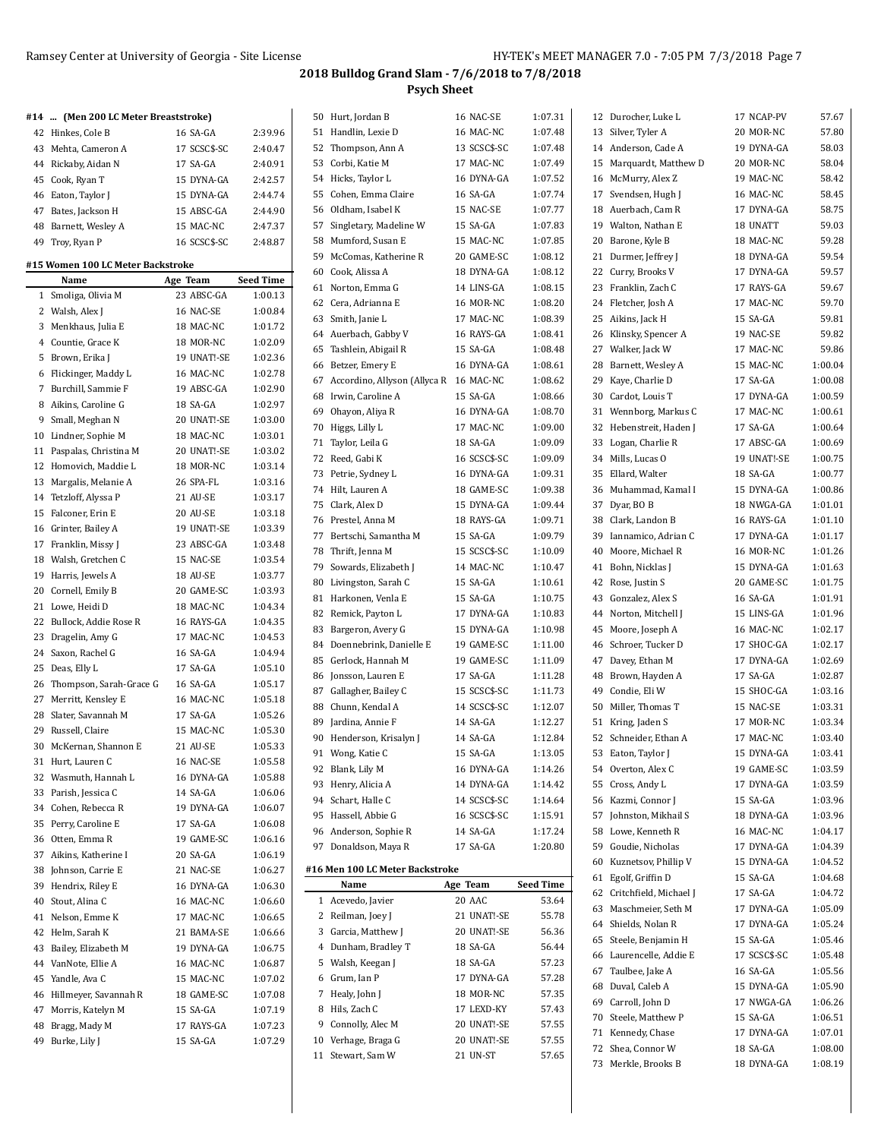#### Ramsey Center at University of Georgia - Site License HY-TEK's MEET MANAGER 7.0 - 7:05 PM 7/3/2018 Page 7

73 Merkle, Brooks B 18 DYNA-GA 1:08.19

| #14  (Men 200 LC Meter Breaststroke) |              |                  | 50 Hurt, Jordan B                         | 16 NAC-SE    | 1:07.31          | 12 Durocher, Luke L       | 17 NCAP-PV   | 57.67   |
|--------------------------------------|--------------|------------------|-------------------------------------------|--------------|------------------|---------------------------|--------------|---------|
| 42 Hinkes, Cole B                    | 16 SA-GA     | 2:39.96          | 51 Handlin, Lexie D                       | 16 MAC-NC    | 1:07.48          | 13 Silver, Tyler A        | 20 MOR-NC    | 57.80   |
| 43 Mehta, Cameron A                  | 17 SCSC\$-SC | 2:40.47          | 52 Thompson, Ann A                        | 13 SCSC\$-SC | 1:07.48          | 14 Anderson, Cade A       | 19 DYNA-GA   | 58.03   |
| 44 Rickaby, Aidan N                  | 17 SA-GA     | 2:40.91          | 53 Corbi, Katie M                         | 17 MAC-NC    | 1:07.49          | 15 Marquardt, Matthew D   | 20 MOR-NC    | 58.04   |
| 45 Cook, Ryan T                      | 15 DYNA-GA   | 2:42.57          | 54 Hicks, Taylor L                        | 16 DYNA-GA   | 1:07.52          | 16 McMurry, Alex Z        | 19 MAC-NC    | 58.42   |
| 46 Eaton, Taylor J                   | 15 DYNA-GA   | 2:44.74          | 55 Cohen, Emma Claire                     | 16 SA-GA     | 1:07.74          | 17 Svendsen, Hugh J       | 16 MAC-NC    | 58.45   |
| Bates, Jackson H<br>47               | 15 ABSC-GA   | 2:44.90          | 56 Oldham, Isabel K                       | 15 NAC-SE    | 1:07.77          | 18 Auerbach, Cam R        | 17 DYNA-GA   | 58.75   |
| 48 Barnett, Wesley A                 | 15 MAC-NC    | 2:47.37          | 57 Singletary, Madeline W                 | 15 SA-GA     | 1:07.83          | 19 Walton, Nathan E       | 18 UNATT     | 59.03   |
| 49 Troy, Ryan P                      | 16 SCSC\$-SC | 2:48.87          | 58 Mumford, Susan E                       | 15 MAC-NC    | 1:07.85          | 20 Barone, Kyle B         | 18 MAC-NC    | 59.28   |
|                                      |              |                  | 59 McComas, Katherine R                   | 20 GAME-SC   | 1:08.12          | 21 Durmer, Jeffrey J      | 18 DYNA-GA   | 59.54   |
| #15 Women 100 LC Meter Backstroke    |              |                  | 60 Cook, Alissa A                         | 18 DYNA-GA   | 1:08.12          | 22 Curry, Brooks V        | 17 DYNA-GA   | 59.57   |
| Name                                 | Age Team     | <b>Seed Time</b> | 61 Norton, Emma G                         | 14 LINS-GA   | 1:08.15          | 23 Franklin, Zach C       | 17 RAYS-GA   | 59.67   |
| 1 Smoliga, Olivia M                  | 23 ABSC-GA   | 1:00.13          | 62 Cera, Adrianna E                       | 16 MOR-NC    | 1:08.20          | 24 Fletcher, Josh A       | 17 MAC-NC    | 59.70   |
| 2 Walsh, Alex J                      | 16 NAC-SE    | 1:00.84          | 63 Smith, Janie L                         | 17 MAC-NC    | 1:08.39          | 25 Aikins, Jack H         | 15 SA-GA     | 59.81   |
| 3 Menkhaus, Julia E                  | 18 MAC-NC    | 1:01.72          | 64 Auerbach, Gabby V                      | 16 RAYS-GA   | 1:08.41          | 26 Klinsky, Spencer A     | 19 NAC-SE    | 59.82   |
| 4 Countie, Grace K                   | 18 MOR-NC    | 1:02.09          | 65 Tashlein, Abigail R                    | 15 SA-GA     | 1:08.48          | 27 Walker, Jack W         | 17 MAC-NC    | 59.86   |
| 5 Brown, Erika J                     | 19 UNAT!-SE  | 1:02.36          | 66 Betzer, Emery E                        | 16 DYNA-GA   | 1:08.61          | 28 Barnett, Wesley A      | 15 MAC-NC    | 1:00.04 |
| 6 Flickinger, Maddy L                | 16 MAC-NC    | 1:02.78          | 67 Accordino, Allyson (Allyca R 16 MAC-NC |              | 1:08.62          | 29 Kaye, Charlie D        | 17 SA-GA     | 1:00.08 |
| 7 Burchill, Sammie F                 | 19 ABSC-GA   | 1:02.90          | 68 Irwin, Caroline A                      | 15 SA-GA     | 1:08.66          | 30 Cardot, Louis T        | 17 DYNA-GA   | 1:00.59 |
| 8 Aikins, Caroline G                 | 18 SA-GA     | 1:02.97          | 69 Ohayon, Aliya R                        | 16 DYNA-GA   | 1:08.70          | 31 Wennborg, Markus C     | 17 MAC-NC    | 1:00.61 |
| 9 Small, Meghan N                    | 20 UNAT!-SE  | 1:03.00          |                                           |              | 1:09.00          |                           | 17 SA-GA     | 1:00.64 |
| 10 Lindner, Sophie M                 | 18 MAC-NC    | 1:03.01          | 70 Higgs, Lilly L                         | 17 MAC-NC    |                  | 32 Hebenstreit, Haden J   |              |         |
| 11 Paspalas, Christina M             | 20 UNAT!-SE  | 1:03.02          | 71 Taylor, Leila G<br>72 Reed, Gabi K     | 18 SA-GA     | 1:09.09          | 33 Logan, Charlie R       | 17 ABSC-GA   | 1:00.69 |
| 12 Homovich, Maddie L                | 18 MOR-NC    | 1:03.14          |                                           | 16 SCSC\$-SC | 1:09.09          | 34 Mills, Lucas O         | 19 UNAT!-SE  | 1:00.75 |
| 13 Margalis, Melanie A               | 26 SPA-FL    | 1:03.16          | 73 Petrie, Sydney L                       | 16 DYNA-GA   | 1:09.31          | 35 Ellard, Walter         | 18 SA-GA     | 1:00.77 |
| 14 Tetzloff, Alyssa P                | 21 AU-SE     | 1:03.17          | 74 Hilt, Lauren A                         | 18 GAME-SC   | 1:09.38          | 36 Muhammad, Kamal I      | 15 DYNA-GA   | 1:00.86 |
| 15 Falconer, Erin E                  | 20 AU-SE     | 1:03.18          | 75 Clark, Alex D                          | 15 DYNA-GA   | 1:09.44          | 37 Dyar, BO B             | 18 NWGA-GA   | 1:01.01 |
| 16 Grinter, Bailey A                 | 19 UNAT!-SE  | 1:03.39          | 76 Prestel, Anna M                        | 18 RAYS-GA   | 1:09.71          | 38 Clark, Landon B        | 16 RAYS-GA   | 1:01.10 |
| 17 Franklin, Missy J                 | 23 ABSC-GA   | 1:03.48          | 77 Bertschi, Samantha M                   | 15 SA-GA     | 1:09.79          | 39 Iannamico, Adrian C    | 17 DYNA-GA   | 1:01.17 |
| 18 Walsh, Gretchen C                 | 15 NAC-SE    | 1:03.54          | 78 Thrift, Jenna M                        | 15 SCSC\$-SC | 1:10.09          | 40 Moore, Michael R       | 16 MOR-NC    | 1:01.26 |
| 19 Harris, Jewels A                  | 18 AU-SE     | 1:03.77          | 79 Sowards, Elizabeth J                   | 14 MAC-NC    | 1:10.47          | 41 Bohn, Nicklas J        | 15 DYNA-GA   | 1:01.63 |
| 20 Cornell, Emily B                  | 20 GAME-SC   | 1:03.93          | 80 Livingston, Sarah C                    | 15 SA-GA     | 1:10.61          | 42 Rose, Justin S         | 20 GAME-SC   | 1:01.75 |
| 21 Lowe, Heidi D                     | 18 MAC-NC    | 1:04.34          | 81 Harkonen, Venla E                      | 15 SA-GA     | 1:10.75          | 43 Gonzalez, Alex S       | 16 SA-GA     | 1:01.91 |
| 22 Bullock, Addie Rose R             | 16 RAYS-GA   | 1:04.35          | 82 Remick, Payton L                       | 17 DYNA-GA   | 1:10.83          | 44 Norton, Mitchell J     | 15 LINS-GA   | 1:01.96 |
|                                      | 17 MAC-NC    | 1:04.53          | 83 Bargeron, Avery G                      | 15 DYNA-GA   | 1:10.98          | 45 Moore, Joseph A        | 16 MAC-NC    | 1:02.17 |
| 23 Dragelin, Amy G                   |              |                  | 84 Doennebrink, Danielle E                | 19 GAME-SC   | 1:11.00          | 46 Schroer, Tucker D      | 17 SHOC-GA   | 1:02.17 |
| 24 Saxon, Rachel G                   | 16 SA-GA     | 1:04.94          | 85 Gerlock, Hannah M                      | 19 GAME-SC   | 1:11.09          | 47 Davey, Ethan M         | 17 DYNA-GA   | 1:02.69 |
| 25 Deas, Elly L                      | 17 SA-GA     | 1:05.10          | 86 Jonsson, Lauren E                      | 17 SA-GA     | 1:11.28          | 48 Brown, Hayden A        | 17 SA-GA     | 1:02.87 |
| 26 Thompson, Sarah-Grace G           | 16 SA-GA     | 1:05.17          | 87 Gallagher, Bailey C                    | 15 SCSC\$-SC | 1:11.73          | 49 Condie, Eli W          | 15 SHOC-GA   | 1:03.16 |
| 27 Merritt, Kensley E                | 16 MAC-NC    | 1:05.18          | 88 Chunn, Kendal A                        | 14 SCSC\$-SC | 1:12.07          | 50 Miller, Thomas T       | 15 NAC-SE    | 1:03.31 |
| 28 Slater, Savannah M                | 17 SA-GA     | 1:05.26          | 89 Jardina, Annie F                       | 14 SA-GA     | 1:12.27          | 51 Kring, Jaden S         | 17 MOR-NC    | 1:03.34 |
| 29 Russell, Claire                   | 15 MAC-NC    | 1:05.30          | 90 Henderson, Krisalyn J                  | 14 SA-GA     | 1:12.84          | 52 Schneider, Ethan A     | 17 MAC-NC    | 1:03.40 |
| 30 McKernan, Shannon E               | 21 AU-SE     | 1:05.33          | 91 Wong, Katie C                          | 15 SA-GA     | 1:13.05          | 53 Eaton, Taylor J        | 15 DYNA-GA   | 1:03.41 |
| 31 Hurt, Lauren C                    | 16 NAC-SE    | 1:05.58          | 92 Blank, Lily M                          | 16 DYNA-GA   | 1:14.26          | 54 Overton, Alex C        | 19 GAME-SC   | 1:03.59 |
| 32 Wasmuth, Hannah L                 | 16 DYNA-GA   | 1:05.88          | 93 Henry, Alicia A                        | 14 DYNA-GA   | 1:14.42          | 55 Cross, Andy L          | 17 DYNA-GA   | 1:03.59 |
| 33 Parish, Jessica C                 | 14 SA-GA     | 1:06.06          | 94 Schart, Halle C                        | 14 SCSC\$-SC | 1:14.64          | 56 Kazmi, Connor J        | 15 SA-GA     | 1:03.96 |
| 34 Cohen, Rebecca R                  | 19 DYNA-GA   | 1:06.07          | 95 Hassell, Abbie G                       | 16 SCSC\$-SC | 1:15.91          | 57 Johnston, Mikhail S    | 18 DYNA-GA   | 1:03.96 |
| 35 Perry, Caroline E                 | 17 SA-GA     | 1:06.08          | 96 Anderson, Sophie R                     | 14 SA-GA     | 1:17.24          | 58 Lowe, Kenneth R        | 16 MAC-NC    | 1:04.17 |
| 36 Otten, Emma R                     | 19 GAME-SC   | 1:06.16          |                                           |              |                  |                           | 17 DYNA-GA   |         |
| 37 Aikins, Katherine I               | 20 SA-GA     | 1:06.19          | 97 Donaldson, Maya R                      | 17 SA-GA     | 1:20.80          | 59 Goudie, Nicholas       |              | 1:04.39 |
| 38 Johnson, Carrie E                 | 21 NAC-SE    | 1:06.27          | #16 Men 100 LC Meter Backstroke           |              |                  | 60 Kuznetsov, Phillip V   | 15 DYNA-GA   | 1:04.52 |
| 39 Hendrix, Riley E                  | 16 DYNA-GA   | 1:06.30          | Name                                      | Age Team     | <b>Seed Time</b> | 61 Egolf, Griffin D       | 15 SA-GA     | 1:04.68 |
| 40 Stout, Alina C                    | 16 MAC-NC    | 1:06.60          | 1 Acevedo, Javier                         | 20 AAC       | 53.64            | 62 Critchfield, Michael J | 17 SA-GA     | 1:04.72 |
| 41 Nelson, Emme K                    | 17 MAC-NC    | 1:06.65          | 2 Reilman, Joey J                         | 21 UNAT!-SE  | 55.78            | 63 Maschmeier, Seth M     | 17 DYNA-GA   | 1:05.09 |
| 42 Helm, Sarah K                     | 21 BAMA-SE   | 1:06.66          | 3 Garcia, Matthew J                       | 20 UNAT!-SE  | 56.36            | 64 Shields, Nolan R       | 17 DYNA-GA   | 1:05.24 |
| 43 Bailey, Elizabeth M               | 19 DYNA-GA   | 1:06.75          | 4 Dunham, Bradley T                       | 18 SA-GA     | 56.44            | 65 Steele, Benjamin H     | 15 SA-GA     | 1:05.46 |
| 44 VanNote, Ellie A                  | 16 MAC-NC    | 1:06.87          | 5 Walsh, Keegan J                         | 18 SA-GA     | 57.23            | 66 Laurencelle, Addie E   | 17 SCSC\$-SC | 1:05.48 |
| 45 Yandle, Ava C                     | 15 MAC-NC    | 1:07.02          | 6 Grum, Ian P                             | 17 DYNA-GA   | 57.28            | 67 Taulbee, Jake A        | 16 SA-GA     | 1:05.56 |
| Hillmeyer, Savannah R<br>46          | 18 GAME-SC   | 1:07.08          | 7 Healy, John J                           | 18 MOR-NC    | 57.35            | 68 Duval, Caleb A         | 15 DYNA-GA   | 1:05.90 |
| 47 Morris, Katelyn M                 | 15 SA-GA     | 1:07.19          | 8 Hils, Zach C                            | 17 LEXD-KY   | 57.43            | 69 Carroll, John D        | 17 NWGA-GA   | 1:06.26 |
| Bragg, Mady M<br>48                  | 17 RAYS-GA   | 1:07.23          | 9 Connolly, Alec M                        | 20 UNAT!-SE  | 57.55            | 70 Steele, Matthew P      | 15 SA-GA     | 1:06.51 |
|                                      |              |                  | 10 Verhage, Braga G                       | 20 UNAT!-SE  | 57.55            | 71 Kennedy, Chase         | 17 DYNA-GA   | 1:07.01 |
| 49 Burke, Lily J                     | 15 SA-GA     | 1:07.29          | 11 Stewart, Sam W                         | 21 UN-ST     | 57.65            | 72 Shea, Connor W         | 18 SA-GA     | 1:08.00 |
|                                      |              |                  |                                           |              |                  |                           |              |         |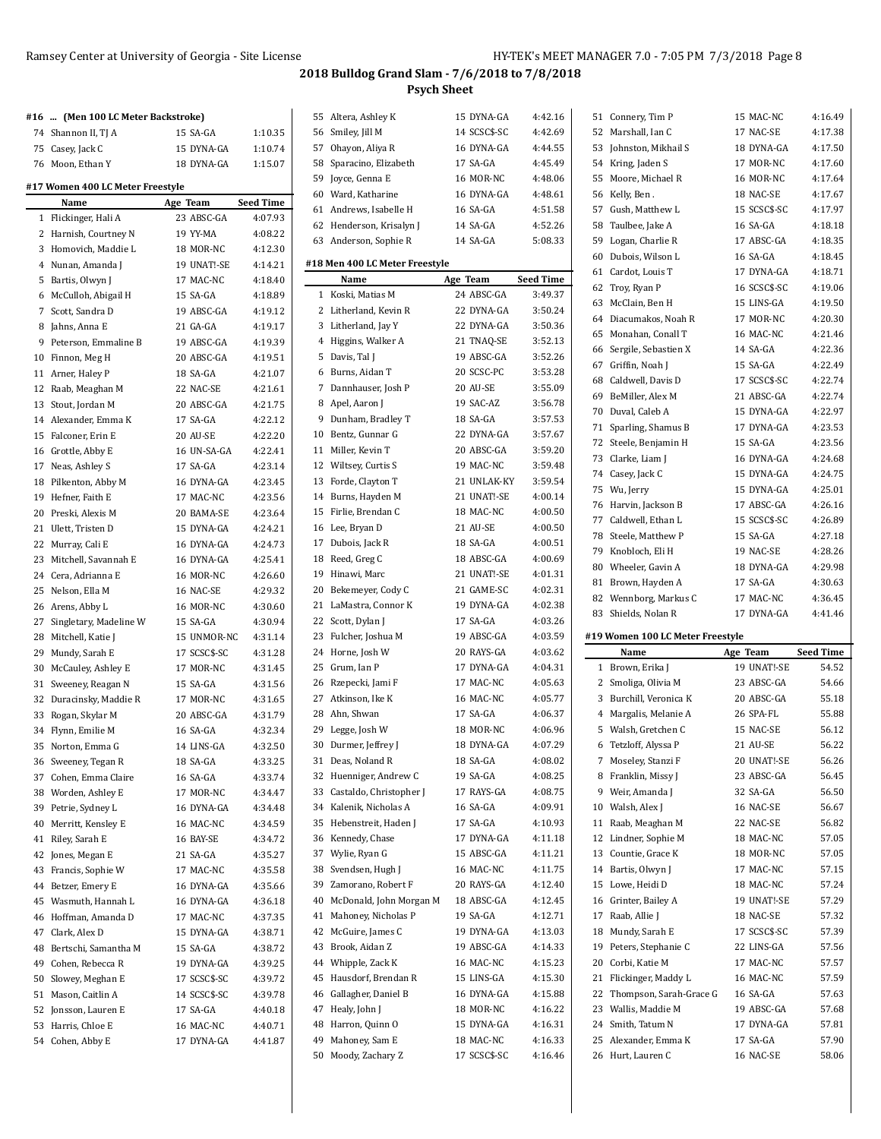## Ramsey Center at University of Georgia - Site License HY-TEK's MEET MANAGER 7.0 - 7:05 PM 7/3/2018 Page 8

|    | #16  (Men 100 LC Meter Backstroke) |              |           |    | 55 Altera, Ashley K  |
|----|------------------------------------|--------------|-----------|----|----------------------|
|    | 74 Shannon II, TJ A                | 15 SA-GA     | 1:10.35   |    | 56 Smiley, Jill M    |
|    | 75 Casey, Jack C                   | 15 DYNA-GA   | 1:10.74   | 57 | Ohayon, Aliya R      |
|    | 76 Moon, Ethan Y                   | 18 DYNA-GA   | 1:15.07   | 58 | Sparacino, Elizal    |
|    |                                    |              |           | 59 | Joyce, Genna E       |
|    | #17 Women 400 LC Meter Freestyle   |              |           |    | 60 Ward, Katharine   |
|    | Name                               | Age Team     | Seed Time |    | 61 Andrews, Isabell  |
|    | 1 Flickinger, Hali A               | 23 ABSC-GA   | 4:07.93   |    | 62 Henderson, Kris   |
|    | 2 Harnish, Courtney N              | 19 YY-MA     | 4:08.22   |    | 63 Anderson, Sophi   |
|    | 3 Homovich, Maddie L               | 18 MOR-NC    | 4:12.30   |    |                      |
|    | 4 Nunan, Amanda J                  | 19 UNAT!-SE  | 4:14.21   |    | #18 Men 400 LC Mete  |
|    | 5 Bartis, Olwyn J                  | 17 MAC-NC    | 4:18.40   |    | Name                 |
|    | 6 McCulloh, Abigail H              | 15 SA-GA     | 4:18.89   |    | 1 Koski, Matias M    |
|    | 7 Scott, Sandra D                  | 19 ABSC-GA   | 4:19.12   |    | 2 Litherland, Kevii  |
|    | 8 Jahns, Anna E                    | 21 GA-GA     | 4:19.17   |    | 3 Litherland, Jay Y  |
|    | 9 Peterson, Emmaline B             | 19 ABSC-GA   | 4:19.39   |    | 4 Higgins, Walker    |
|    | 10 Finnon, Meg H                   | 20 ABSC-GA   | 4:19.51   |    | 5 Davis, Tal J       |
|    | 11 Arner, Haley P                  | 18 SA-GA     | 4:21.07   |    | 6 Burns, Aidan T     |
|    | 12 Raab, Meaghan M                 | 22 NAC-SE    | 4:21.61   |    | 7 Dannhauser, Josl   |
| 13 | Stout, Jordan M                    | 20 ABSC-GA   | 4:21.75   |    | 8 Apel, Aaron J      |
|    | 14 Alexander, Emma K               | 17 SA-GA     | 4:22.12   |    | 9 Dunham, Bradle     |
|    | 15 Falconer, Erin E                | 20 AU-SE     | 4:22.20   |    | 10 Bentz, Gunnar G   |
|    | 16 Grottle, Abby E                 | 16 UN-SA-GA  | 4:22.41   |    | 11 Miller, Kevin T   |
| 17 | Neas, Ashley S                     | 17 SA-GA     | 4:23.14   |    | 12 Wiltsey, Curtis S |
| 18 | Pilkenton, Abby M                  | 16 DYNA-GA   | 4:23.45   |    | 13 Forde, Clayton T  |
|    | 19 Hefner, Faith E                 | 17 MAC-NC    | 4:23.56   |    | 14 Burns, Hayden M   |
|    | 20 Preski, Alexis M                | 20 BAMA-SE   | 4:23.64   | 15 | Firlie, Brendan C    |
|    | 21 Ulett, Tristen D                | 15 DYNA-GA   | 4:24.21   |    | 16 Lee, Bryan D      |
|    | 22 Murray, Cali E                  | 16 DYNA-GA   | 4:24.73   |    | 17 Dubois, Jack R    |
|    | 23 Mitchell, Savannah E            | 16 DYNA-GA   | 4:25.41   |    | 18 Reed, Greg C      |
|    | 24 Cera, Adrianna E                | 16 MOR-NC    | 4:26.60   |    | 19 Hinawi, Marc      |
|    |                                    |              |           |    | 20 Bekemeyer, Cody   |
|    | 25 Nelson, Ella M                  | 16 NAC-SE    | 4:29.32   |    | 21 LaMastra, Conno   |
|    | 26 Arens, Abby L                   | 16 MOR-NC    | 4:30.60   |    |                      |
| 27 | Singletary, Madeline W             | 15 SA-GA     | 4:30.94   |    | 22 Scott, Dylan J    |
|    | 28 Mitchell, Katie J               | 15 UNMOR-NC  | 4:31.14   |    | 23 Fulcher, Joshua M |
|    | 29 Mundy, Sarah E                  | 17 SCSC\$-SC | 4:31.28   |    | 24 Horne, Josh W     |
|    | 30 McCauley, Ashley E              | 17 MOR-NC    | 4:31.45   |    | 25 Grum, Ian P       |
| 31 | Sweeney, Reagan N                  | 15 SA-GA     | 4:31.56   |    | 26 Rzepecki, Jami F  |
|    | 32 Duracinsky, Maddie R            | 17 MOR-NC    | 4:31.65   |    | 27 Atkinson, Ike K   |
| 33 | Rogan, Skylar M                    | 20 ABSC-GA   | 4:31.79   |    | 28 Ahn, Shwan        |
| 34 | Flynn, Emilie M                    | 16 SA-GA     | 4:32.34   |    | 29 Legge, Josh W     |
|    | 35 Norton, Emma G                  | 14 LINS-GA   | 4:32.50   |    | 30 Durmer, Jeffrey J |
|    | 36 Sweeney, Tegan R                | 18 SA-GA     | 4:33.25   |    | 31 Deas, Noland R    |
| 37 | Cohen, Emma Claire                 | 16 SA-GA     | 4:33.74   | 32 | Huenniger, Andr      |
| 38 | Worden, Ashley E                   | 17 MOR-NC    | 4:34.47   | 33 | Castaldo, Christo    |
| 39 | Petrie, Sydney L                   | 16 DYNA-GA   | 4:34.48   |    | 34 Kalenik, Nichola  |
| 40 | Merritt, Kensley E                 | 16 MAC-NC    | 4:34.59   | 35 | Hebenstreit, Hac     |
| 41 | Riley, Sarah E                     | 16 BAY-SE    | 4:34.72   |    | 36 Kennedy, Chase    |
| 42 | Jones, Megan E                     | 21 SA-GA     | 4:35.27   | 37 | Wylie, Ryan G        |
| 43 | Francis, Sophie W                  | 17 MAC-NC    | 4:35.58   |    | 38 Svendsen, Hugh    |
| 44 | Betzer, Emery E                    | 16 DYNA-GA   | 4:35.66   | 39 | Zamorano, Robe       |
| 45 | Wasmuth, Hannah L                  | 16 DYNA-GA   | 4:36.18   |    | 40 McDonald, John    |
|    | 46 Hoffman, Amanda D               | 17 MAC-NC    | 4:37.35   | 41 | Mahoney, Nichol      |
| 47 | Clark, Alex D                      | 15 DYNA-GA   | 4:38.71   | 42 | McGuire, James (     |
| 48 | Bertschi, Samantha M               | 15 SA-GA     | 4:38.72   | 43 | Brook, Aidan Z       |
| 49 | Cohen, Rebecca R                   | 19 DYNA-GA   | 4:39.25   |    | 44 Whipple, Zack K   |
| 50 | Slowey, Meghan E                   | 17 SCSC\$-SC | 4:39.72   |    | 45 Hausdorf, Brend   |
| 51 | Mason, Caitlin A                   | 14 SCSC\$-SC | 4:39.78   | 46 | Gallagher, Daniel    |
| 52 | Jonsson, Lauren E                  | 17 SA-GA     | 4:40.18   | 47 | Healy, John J        |
| 53 | Harris, Chloe E                    | 16 MAC-NC    | 4:40.71   | 48 | Harron, Quinn O      |
| 54 | Cohen, Abby E                      | 17 DYNA-GA   | 4:41.87   | 49 | Mahoney, Sam E       |
|    |                                    |              |           | 50 | Moody, Zachary       |
|    |                                    |              |           |    |                      |

| 55 | Altera, Ashley K               | 15 DYNA-GA            | 4:42.16          |
|----|--------------------------------|-----------------------|------------------|
| 56 | Smiley, Jill M                 | 14 SCSC\$-SC          | 4:42.69          |
| 57 | Ohayon, Aliya R                | 16 DYNA-GA            | 4:44.55          |
| 58 | Sparacino, Elizabeth           | 17 SA-GA              | 4:45.49          |
| 59 | Joyce, Genna E                 | 16 MOR-NC             | 4.48.06          |
|    | 60 Ward. Katharine             | 16 DYNA-GA            | 4:48.61          |
| 61 | Andrews, Isabelle H            | 16 SA-GA              | 4:51.58          |
| 62 | Henderson, Krisalyn J          | 14 SA-GA              | 4:52.26          |
| 63 | Anderson, Sophie R             | 14 SA-GA              | 5:08.33          |
|    |                                |                       |                  |
|    | #18 Men 400 LC Meter Freestyle |                       |                  |
|    | Name                           | Age Team              | <b>Seed Time</b> |
|    | 1 Koski, Matias M              | 24 ABSC-GA            | 3:49.37          |
| 2  | Litherland, Kevin R            | 22 DYNA-GA            | 3:50.24          |
| 3  | Litherland, Jay Y              | 22 DYNA-GA            | 3:50.36          |
| 4  | Higgins, Walker A              | 21 TNAQ-SE            | 3:52.13          |
| 5  | Davis, Tal J                   | 19 ABSC-GA            | 3:52.26          |
| 6  | Burns, Aidan T                 | 20 SCSC-PC            | 3:53.28          |
|    | Dannhauser, Josh P             |                       |                  |
| 7  |                                | 20 AU-SE<br>19 SAC-AZ | 3:55.09          |
|    | 8 Apel, Aaron J                |                       | 3:56.78          |
| 9  | Dunham, Bradley T              | 18 SA-GA              | 3:57.53          |
| 10 | Bentz, Gunnar G                | 22 DYNA-GA            | 3:57.67          |
| 11 | Miller, Kevin T                | 20 ABSC-GA            | 3:59.20          |
| 12 | Wiltsey, Curtis S              | 19 MAC-NC             | 3.59.48          |
| 13 | Forde, Clayton T               | 21 UNLAK-KY           | 3:59.54          |
| 14 | Burns, Hayden M                | 21 UNAT!-SE           | 4:00.14          |
| 15 | Firlie, Brendan C              | 18 MAC-NC             | 4:00.50          |
| 16 | Lee, Bryan D                   | 21 AU-SE              | 4:00.50          |
| 17 | Dubois, Jack R                 | 18 SA-GA              | 4:00.51          |
| 18 | Reed, Greg C                   | 18 ABSC-GA            | 4:00.69          |
| 19 | Hinawi, Marc                   | 21 UNAT!-SE           | 4:01.31          |
| 20 | Bekemeyer, Cody C              | 21 GAME-SC            | 4:02.31          |
| 21 | LaMastra, Connor K             | 19 DYNA-GA            | 4:02.38          |
| 22 | Scott, Dylan J                 | 17 SA-GA              | 4:03.26          |
| 23 | Fulcher, Joshua M              | 19 ABSC-GA            | 4:03.59          |
| 24 | Horne, Josh W                  | 20 RAYS-GA            | 4:03.62          |
| 25 | Grum, Ian P                    | 17 DYNA-GA            | 4:04.31          |
| 26 | Rzepecki, Jami F               | 17 MAC-NC             | 4:05.63          |
|    |                                |                       |                  |
| 27 | Atkinson, Ike K                | 16 MAC-NC             | 4:05.77          |
| 28 | Ahn, Shwan                     | 17 SA-GA              | 4:06.37          |
| 29 | Legge, Josh W                  | 18 MOR-NC             | 4:06.96          |
| 30 | Durmer, Jeffrey J              | 18 DYNA-GA            | 4:07.29          |
| 31 | Deas, Noland R                 | 18 SA-GA              | 4:08.02          |
| 32 | Huenniger, Andrew C            | 19 SA-GA              | 4:08.25          |
| 33 | Castaldo, Christopher J        | 17 RAYS-GA            | 4.08.75          |
| 34 | Kalenik, Nicholas A            | 16 SA-GA              | 4:09.91          |
| 35 | Hebenstreit, Haden J           | 17 SA-GA              | 4:10.93          |
| 36 | Kennedy, Chase                 | 17 DYNA-GA            | 4:11.18          |
| 37 | Wylie, Ryan G                  | 15 ABSC-GA            | 4:11.21          |
| 38 | Svendsen, Hugh J               | 16 MAC-NC             | 4:11.75          |
| 39 | Zamorano, Robert F             | 20 RAYS-GA            | 4:12.40          |
| 40 | McDonald, John Morgan M        | 18 ABSC-GA            | 4:12.45          |
| 41 | Mahoney, Nicholas P            | 19 SA-GA              | 4:12.71          |
| 42 | McGuire, James C               | 19 DYNA-GA            | 4:13.03          |
| 43 | Brook, Aidan Z                 | 19 ABSC-GA            | 4.14.33          |
| 44 | Whipple, Zack K                | 16 MAC-NC             | 4:15.23          |
| 45 | Hausdorf, Brendan R            | 15 LINS-GA            | 4:15.30          |
| 46 | Gallagher, Daniel B            | 16 DYNA-GA            | 4:15.88          |
|    |                                |                       |                  |
| 47 | Healy, John J                  | 18 MOR-NC             | 4:16.22          |
| 48 | Harron, Quinn O                | 15 DYNA-GA            | 4:16.31          |
| 49 | Mahoney, Sam E                 | 18 MAC-NC             | 4:16.33          |
| 50 | Moody, Zachary Z               | 17 SCSC\$-SC          | 4:16.46          |

| 51 | Connery, Tim P                            | 15 MAC-NC              | 4:16.49          |
|----|-------------------------------------------|------------------------|------------------|
| 52 | Marshall, Ian C                           | 17 NAC-SE              | 4:17.38          |
| 53 | Johnston, Mikhail S                       | 18 DYNA-GA             | 4:17.50          |
|    | 54 Kring, Jaden S                         | 17 MOR-NC              | 4:17.60          |
| 55 | Moore, Michael R                          | 16 MOR-NC              | 4:17.64          |
| 56 | Kelly, Ben .                              | 18 NAC-SE              | 4:17.67          |
| 57 | Gush, Matthew L                           | 15 SCSC\$-SC           | 4:17.97          |
| 58 | Taulbee, Jake A                           | 16 SA-GA               | 4:18.18          |
| 59 | Logan, Charlie R                          | 17 ABSC-GA             | 4:18.35          |
| 60 |                                           | 16 SA-GA               | 4:18.45          |
|    | Dubois, Wilson L                          |                        |                  |
| 61 | Cardot, Louis T                           | 17 DYNA-GA             | 4:18.71          |
| 62 | Troy, Ryan P                              | 16 SCSC\$-SC           | 4:19.06          |
| 63 | McClain, Ben H                            | 15 LINS-GA             | 4:19.50          |
| 64 | Diacumakos, Noah R                        | 17 MOR-NC              | 4:20.30          |
| 65 | Monahan, Conall T                         | 16 MAC-NC              | 4:21.46          |
| 66 | Sergile, Sebastien X                      | 14 SA-GA               | 4:22.36          |
| 67 | Griffin, Noah J                           | 15 SA-GA               | 4:22.49          |
| 68 | Caldwell, Davis D                         | 17 SCSC\$-SC           | 4:22.74          |
| 69 | BeMiller, Alex M                          | 21 ABSC-GA             | 4:22.74          |
| 70 | Duval, Caleb A                            | 15 DYNA-GA             | 4:22.97          |
| 71 | Sparling, Shamus B                        | 17 DYNA-GA             | 4:23.53          |
| 72 | Steele, Benjamin H                        | 15 SA-GA               | 4:23.56          |
| 73 | Clarke, Liam J                            | 16 DYNA-GA             | 4:24.68          |
|    | 74 Casey, Jack C                          | 15 DYNA-GA             | 4:24.75          |
| 75 | Wu, Jerry                                 | 15 DYNA-GA             | 4:25.01          |
| 76 | Harvin, Jackson B                         | 17 ABSC-GA             | 4:26.16          |
| 77 | Caldwell, Ethan L                         | 15 SCSC\$-SC           | 4:26.89          |
| 78 | Steele, Matthew P                         | 15 SA-GA               | 4:27.18          |
| 79 | Knobloch, Eli H                           | 19 NAC-SE              | 4:28.26          |
| 80 | Wheeler, Gavin A                          | 18 DYNA-GA             | 4:29.98          |
|    | 81 Brown, Hayden A                        |                        |                  |
|    |                                           |                        |                  |
|    |                                           | 17 SA-GA               | 4:30.63          |
| 82 | Wennborg, Markus C                        | 17 MAC-NC              | 4:36.45          |
| 83 | Shields, Nolan R                          | 17 DYNA-GA             | 4:41.46          |
|    | #19 Women 100 LC Meter Freestyle          |                        |                  |
|    | Name                                      | Age Team               | <b>Seed Time</b> |
| 1  | Brown, Erika J                            | 19 UNAT!-SE            | 54.52            |
| 2  | Smoliga, Olivia M                         | 23 ABSC-GA             | 54.66            |
| 3  | Burchill, Veronica K                      | 20 ABSC-GA             | 55.18            |
| 4  | Margalis, Melanie A                       | 26 SPA-FL              | 55.88            |
| 5  | Walsh, Gretchen C                         | 15 NAC-SE              | 56.12            |
| 6  | Tetzloff, Alyssa P                        | 21 AU-SE               | 56.22            |
| 7. | Moseley, Stanzi F                         | 20 UNAT!-SE            | 56.26            |
|    | 8 Franklin, Missy J                       | 23 ABSC-GA             | 56.45            |
|    | 9 Weir, Amanda J                          | 32 SA-GA               | 56.50            |
|    | 10 Walsh, Alex J                          | 16 NAC-SE              | 56.67            |
|    | 11 Raab, Meaghan M                        | 22 NAC-SE              | 56.82            |
|    |                                           |                        | 57.05            |
|    | 12 Lindner, Sophie M                      | 18 MAC-NC              |                  |
|    | 13 Countie, Grace K                       | 18 MOR-NC              | 57.05            |
|    | 14 Bartis, Olwyn J                        | 17 MAC-NC<br>18 MAC-NC | 57.15<br>57.24   |
|    | 15 Lowe, Heidi D                          |                        |                  |
|    | 16 Grinter, Bailey A                      | 19 UNAT!-SE            | 57.29            |
|    | 17 Raab, Allie J                          | 18 NAC-SE              | 57.32            |
|    | 18 Mundy, Sarah E                         | 17 SCSC\$-SC           | 57.39            |
| 19 | Peters, Stephanie C                       | 22 LINS-GA             | 57.56            |
| 20 | Corbi, Katie M                            | 17 MAC-NC              | 57.57            |
| 21 | Flickinger, Maddy L                       | 16 MAC-NC              | 57.59            |
|    | 22 Thompson, Sarah-Grace G                | 16 SA-GA               | 57.63            |
|    | 23 Wallis, Maddie M                       | 19 ABSC-GA             | 57.68            |
|    | 24 Smith, Tatum N                         | 17 DYNA-GA             | 57.81            |
|    | 25 Alexander, Emma K<br>26 Hurt, Lauren C | 17 SA-GA<br>16 NAC-SE  | 57.90<br>58.06   |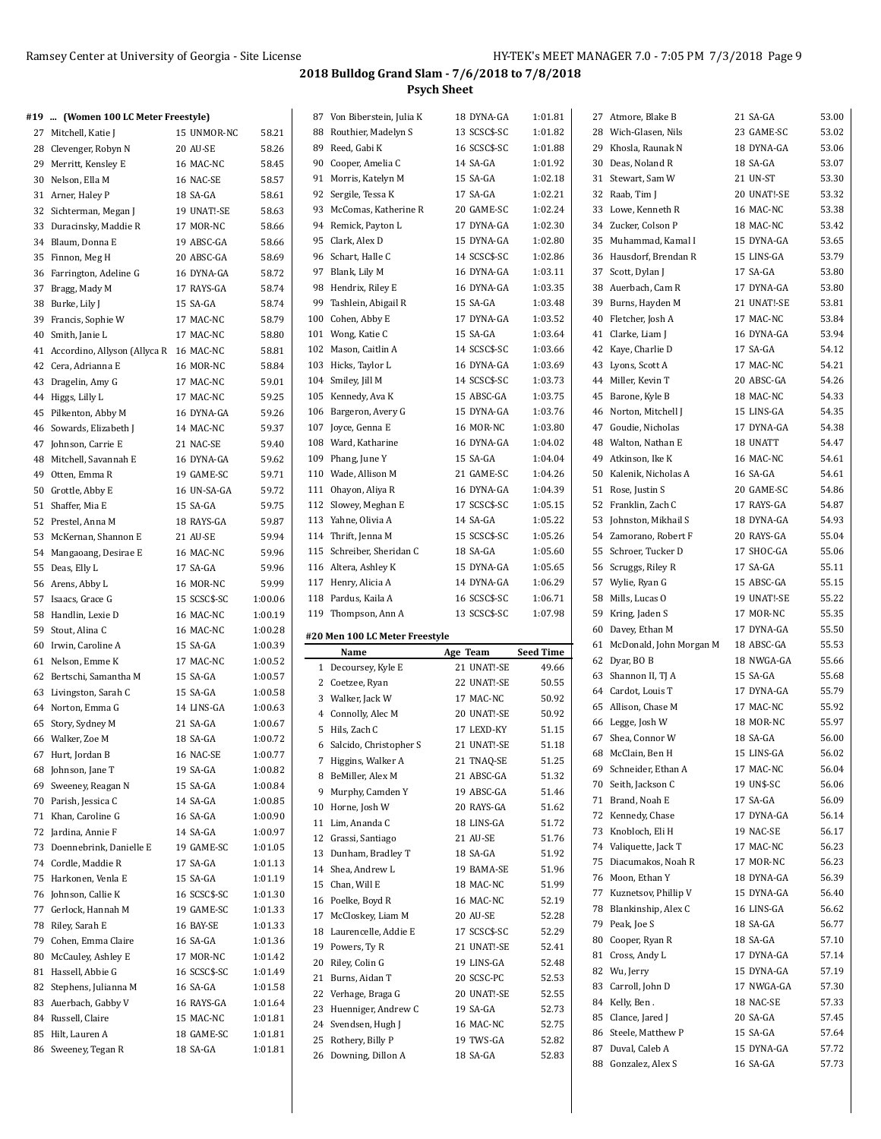| #19  (Women 100 LC Meter Freestyle)       |              |         | 87 Von Biberstein, Julia K                  | 18 DYNA-GA            | 1:01.81          | 27 Atmore, Blake B         | 21 SA-GA    | 53.00 |
|-------------------------------------------|--------------|---------|---------------------------------------------|-----------------------|------------------|----------------------------|-------------|-------|
| 27 Mitchell, Katie J                      | 15 UNMOR-NC  | 58.21   | 88 Routhier, Madelyn S                      | 13 SCSC\$-SC          | 1:01.82          | 28 Wich-Glasen, Nils       | 23 GAME-SC  | 53.02 |
| 28 Clevenger, Robyn N                     | 20 AU-SE     | 58.26   | 89 Reed, Gabi K                             | 16 SCSC\$-SC          | 1:01.88          | 29 Khosla, Raunak N        | 18 DYNA-GA  | 53.06 |
| 29 Merritt, Kensley E                     | 16 MAC-NC    | 58.45   | 90 Cooper, Amelia C                         | 14 SA-GA              | 1:01.92          | 30 Deas, Noland R          | 18 SA-GA    | 53.07 |
| 30 Nelson, Ella M                         | 16 NAC-SE    | 58.57   | 91 Morris, Katelyn M                        | 15 SA-GA              | 1:02.18          | 31 Stewart, Sam W          | 21 UN-ST    | 53.30 |
| 31 Arner, Haley P                         | 18 SA-GA     | 58.61   | 92 Sergile, Tessa K                         | 17 SA-GA              | 1:02.21          | 32 Raab, Tim J             | 20 UNAT!-SE | 53.32 |
| 32 Sichterman, Megan J                    | 19 UNAT!-SE  | 58.63   | 93 McComas, Katherine R                     | 20 GAME-SC            | 1:02.24          | 33 Lowe, Kenneth R         | 16 MAC-NC   | 53.38 |
| 33 Duracinsky, Maddie R                   | 17 MOR-NC    | 58.66   | 94 Remick, Payton L                         | 17 DYNA-GA            | 1:02.30          | 34 Zucker, Colson P        | 18 MAC-NC   | 53.42 |
| 34 Blaum, Donna E                         | 19 ABSC-GA   | 58.66   | 95 Clark, Alex D                            | 15 DYNA-GA            | 1:02.80          | 35 Muhammad, Kamal I       | 15 DYNA-GA  | 53.65 |
| 35 Finnon, Meg H                          | 20 ABSC-GA   | 58.69   | 96 Schart, Halle C                          | 14 SCSC\$-SC          | 1:02.86          | 36 Hausdorf, Brendan R     | 15 LINS-GA  | 53.79 |
| 36 Farrington, Adeline G                  | 16 DYNA-GA   | 58.72   | 97 Blank, Lily M                            | 16 DYNA-GA            | 1:03.11          | 37 Scott, Dylan J          | 17 SA-GA    | 53.80 |
| 37 Bragg, Mady M                          | 17 RAYS-GA   | 58.74   | 98 Hendrix, Riley E                         | 16 DYNA-GA            | 1:03.35          | 38 Auerbach, Cam R         | 17 DYNA-GA  | 53.80 |
| 38 Burke, Lily J                          | 15 SA-GA     | 58.74   | 99 Tashlein, Abigail R                      | 15 SA-GA              | 1:03.48          | 39 Burns, Hayden M         | 21 UNAT!-SE | 53.81 |
| 39 Francis, Sophie W                      | 17 MAC-NC    | 58.79   | 100 Cohen, Abby E                           | 17 DYNA-GA            | 1:03.52          | 40 Fletcher, Josh A        | 17 MAC-NC   | 53.84 |
| 40 Smith, Janie L                         | 17 MAC-NC    | 58.80   | 101 Wong, Katie C                           | 15 SA-GA              | 1:03.64          | 41 Clarke, Liam J          | 16 DYNA-GA  | 53.94 |
| 41 Accordino, Allyson (Allyca R 16 MAC-NC |              | 58.81   | 102 Mason, Caitlin A                        | 14 SCSC\$-SC          | 1:03.66          | 42 Kaye, Charlie D         | 17 SA-GA    | 54.12 |
| 42 Cera, Adrianna E                       | 16 MOR-NC    | 58.84   | 103 Hicks, Taylor L                         | 16 DYNA-GA            | 1:03.69          | 43 Lyons, Scott A          | 17 MAC-NC   | 54.21 |
| 43 Dragelin, Amy G                        | 17 MAC-NC    | 59.01   | 104 Smiley, Jill M                          | 14 SCSC\$-SC          | 1:03.73          | 44 Miller, Kevin T         | 20 ABSC-GA  | 54.26 |
| 44 Higgs, Lilly L                         | 17 MAC-NC    | 59.25   | 105 Kennedy, Ava K                          | 15 ABSC-GA            | 1:03.75          | 45 Barone, Kyle B          | 18 MAC-NC   | 54.33 |
| 45 Pilkenton, Abby M                      | 16 DYNA-GA   | 59.26   | 106 Bargeron, Avery G                       | 15 DYNA-GA            | 1:03.76          | 46 Norton, Mitchell J      | 15 LINS-GA  | 54.35 |
| 46 Sowards, Elizabeth J                   | 14 MAC-NC    | 59.37   | 107 Joyce, Genna E                          | 16 MOR-NC             | 1:03.80          | 47 Goudie, Nicholas        | 17 DYNA-GA  | 54.38 |
| 47 Johnson, Carrie E                      | 21 NAC-SE    | 59.40   | 108 Ward, Katharine                         | 16 DYNA-GA            | 1:04.02          | 48 Walton, Nathan E        | 18 UNATT    | 54.47 |
| 48 Mitchell, Savannah E                   | 16 DYNA-GA   | 59.62   | 109 Phang, June Y                           | 15 SA-GA              | 1:04.04          | 49 Atkinson, Ike K         | 16 MAC-NC   | 54.61 |
| 49 Otten, Emma R                          | 19 GAME-SC   | 59.71   | 110 Wade, Allison M                         | 21 GAME-SC            | 1:04.26          | 50 Kalenik, Nicholas A     | 16 SA-GA    | 54.61 |
| 50 Grottle, Abby E                        | 16 UN-SA-GA  | 59.72   | 111 Ohayon, Aliya R                         | 16 DYNA-GA            | 1:04.39          | 51 Rose, Justin S          | 20 GAME-SC  | 54.86 |
| 51 Shaffer, Mia E                         | 15 SA-GA     | 59.75   | 112 Slowey, Meghan E                        | 17 SCSC\$-SC          | 1:05.15          | 52 Franklin, Zach C        | 17 RAYS-GA  | 54.87 |
| 52 Prestel, Anna M                        | 18 RAYS-GA   | 59.87   | 113 Yahne, Olivia A                         | 14 SA-GA              | 1:05.22          | 53 Johnston, Mikhail S     | 18 DYNA-GA  | 54.93 |
| 53 McKernan, Shannon E                    | 21 AU-SE     | 59.94   | 114 Thrift, Jenna M                         | 15 SCSC\$-SC          | 1:05.26          | 54 Zamorano, Robert F      | 20 RAYS-GA  | 55.04 |
| 54 Mangaoang, Desirae E                   | 16 MAC-NC    | 59.96   | 115 Schreiber, Sheridan C                   | 18 SA-GA              | 1:05.60          | 55 Schroer, Tucker D       | 17 SHOC-GA  | 55.06 |
| 55 Deas, Elly L                           | 17 SA-GA     | 59.96   | 116 Altera, Ashley K                        | 15 DYNA-GA            | 1:05.65          | 56 Scruggs, Riley R        | 17 SA-GA    | 55.11 |
| 56 Arens, Abby L                          | 16 MOR-NC    | 59.99   | 117 Henry, Alicia A                         | 14 DYNA-GA            | 1:06.29          | 57 Wylie, Ryan G           | 15 ABSC-GA  | 55.15 |
|                                           |              |         |                                             |                       |                  |                            |             |       |
| 57 Isaacs, Grace G                        | 15 SCSC\$-SC | 1:00.06 | 118 Pardus, Kaila A                         | 16 SCSC\$-SC          | 1:06.71          | 58 Mills, Lucas O          | 19 UNAT!-SE | 55.22 |
| 58 Handlin, Lexie D                       | 16 MAC-NC    | 1:00.19 | 119 Thompson, Ann A                         | 13 SCSC\$-SC          | 1:07.98          | 59 Kring, Jaden S          | 17 MOR-NC   | 55.35 |
| 59 Stout, Alina C                         | 16 MAC-NC    | 1:00.28 |                                             |                       |                  | 60 Davey, Ethan M          | 17 DYNA-GA  | 55.50 |
| 60 Irwin, Caroline A                      | 15 SA-GA     | 1:00.39 | #20 Men 100 LC Meter Freestyle              |                       |                  | 61 McDonald, John Morgan M | 18 ABSC-GA  | 55.53 |
| 61 Nelson, Emme K                         | 17 MAC-NC    | 1:00.52 | Name                                        | Age Team              | <b>Seed Time</b> | 62 Dyar, BO B              | 18 NWGA-GA  | 55.66 |
| 62 Bertschi, Samantha M                   | 15 SA-GA     | 1:00.57 | 1 Decoursey, Kyle E                         | 21 UNAT!-SE           | 49.66            | 63 Shannon II, TJ A        | 15 SA-GA    | 55.68 |
| 63 Livingston, Sarah C                    | 15 SA-GA     | 1:00.58 | 2 Coetzee, Ryan                             | 22 UNAT!-SE           | 50.55            | 64 Cardot, Louis T         | 17 DYNA-GA  | 55.79 |
| 64 Norton, Emma G                         | 14 LINS-GA   | 1:00.63 | 3 Walker, Jack W                            | 17 MAC-NC             | 50.92            | 65 Allison, Chase M        | 17 MAC-NC   | 55.92 |
| 65 Story, Sydney M                        | 21 SA-GA     | 1:00.67 | 4 Connolly, Alec M                          | 20 UNAT!-SE           | 50.92            | 66 Legge, Josh W           | 18 MOR-NC   | 55.97 |
| 66 Walker, Zoe M                          | 18 SA-GA     | 1:00.72 | 5 Hils, Zach C                              | 17 LEXD-KY            | 51.15            | 67 Shea, Connor W          | 18 SA-GA    | 56.00 |
| 67 Hurt, Jordan B                         | 16 NAC-SE    | 1:00.77 | 6 Salcido, Christopher S                    | 21 UNAT!-SE           | 51.18            | 68 McClain, Ben H          | 15 LINS-GA  | 56.02 |
| 68 Johnson, Jane T                        | 19 SA-GA     | 1:00.82 | 7 Higgins, Walker A                         | 21 TNAQ-SE            | 51.25            | 69 Schneider, Ethan A      | 17 MAC-NC   | 56.04 |
| 69 Sweeney, Reagan N                      | 15 SA-GA     | 1:00.84 | 8 BeMiller, Alex M                          | 21 ABSC-GA            | 51.32            | 70 Seith, Jackson C        | 19 UN\$-SC  | 56.06 |
| 70 Parish, Jessica C                      | 14 SA-GA     | 1:00.85 | 9 Murphy, Camden Y                          | 19 ABSC-GA            | 51.46            | 71 Brand, Noah E           | 17 SA-GA    | 56.09 |
| 71 Khan, Caroline G                       | 16 SA-GA     | 1:00.90 | 10 Horne, Josh W                            | 20 RAYS-GA            | 51.62            | 72 Kennedy, Chase          | 17 DYNA-GA  | 56.14 |
| 72 Jardina, Annie F                       | 14 SA-GA     | 1:00.97 | 11 Lim, Ananda C                            | 18 LINS-GA            | 51.72            | 73 Knobloch, Eli H         | 19 NAC-SE   | 56.17 |
| 73 Doennebrink, Danielle E                | 19 GAME-SC   | 1:01.05 | 12 Grassi, Santiago                         | 21 AU-SE              | 51.76            | 74 Valiquette, Jack T      | 17 MAC-NC   | 56.23 |
| 74 Cordle, Maddie R                       | 17 SA-GA     | 1:01.13 | 13 Dunham, Bradley T                        | 18 SA-GA              | 51.92            | 75 Diacumakos, Noah R      | 17 MOR-NC   | 56.23 |
| 75 Harkonen, Venla E                      | 15 SA-GA     | 1:01.19 | 14 Shea, Andrew L                           | 19 BAMA-SE            | 51.96            | 76 Moon, Ethan Y           | 18 DYNA-GA  | 56.39 |
| 76 Johnson, Callie K                      | 16 SCSC\$-SC | 1:01.30 | 15 Chan, Will E                             | 18 MAC-NC             | 51.99            | 77 Kuznetsov, Phillip V    | 15 DYNA-GA  | 56.40 |
| 77 Gerlock, Hannah M                      | 19 GAME-SC   | 1:01.33 | 16 Poelke, Boyd R                           | 16 MAC-NC             | 52.19            | 78 Blankinship, Alex C     | 16 LINS-GA  | 56.62 |
| 78 Riley, Sarah E                         | 16 BAY-SE    | 1:01.33 | 17 McCloskey, Liam M                        | 20 AU-SE              | 52.28            | 79 Peak, Joe S             | 18 SA-GA    | 56.77 |
| 79 Cohen, Emma Claire                     | 16 SA-GA     | 1:01.36 | 18 Laurencelle, Addie E                     | 17 SCSC\$-SC          | 52.29            | 80 Cooper, Ryan R          | 18 SA-GA    | 57.10 |
| 80 McCauley, Ashley E                     | 17 MOR-NC    | 1:01.42 | 19 Powers, Ty R                             | 21 UNAT!-SE           | 52.41            | 81 Cross, Andy L           | 17 DYNA-GA  | 57.14 |
| 81 Hassell, Abbie G                       | 16 SCSC\$-SC | 1:01.49 | 20 Riley, Colin G                           | 19 LINS-GA            | 52.48            | 82 Wu, Jerry               | 15 DYNA-GA  | 57.19 |
| 82 Stephens, Julianna M                   | 16 SA-GA     | 1:01.58 | 21 Burns, Aidan T                           | 20 SCSC-PC            | 52.53            | 83 Carroll, John D         | 17 NWGA-GA  | 57.30 |
| 83 Auerbach, Gabby V                      | 16 RAYS-GA   | 1:01.64 | 22 Verhage, Braga G                         | 20 UNAT!-SE           | 52.55            | 84 Kelly, Ben.             | 18 NAC-SE   | 57.33 |
| 84 Russell, Claire                        | 15 MAC-NC    | 1:01.81 | 23 Huenniger, Andrew C                      | 19 SA-GA              | 52.73            | 85 Clance, Jared J         | 20 SA-GA    | 57.45 |
| 85 Hilt, Lauren A                         | 18 GAME-SC   | 1:01.81 | 24 Svendsen, Hugh J                         | 16 MAC-NC             | 52.75            | 86 Steele, Matthew P       | 15 SA-GA    | 57.64 |
| 86 Sweeney, Tegan R                       | 18 SA-GA     | 1:01.81 | 25 Rothery, Billy P<br>26 Downing, Dillon A | 19 TWS-GA<br>18 SA-GA | 52.82<br>52.83   | 87 Duval, Caleb A          | 15 DYNA-GA  | 57.72 |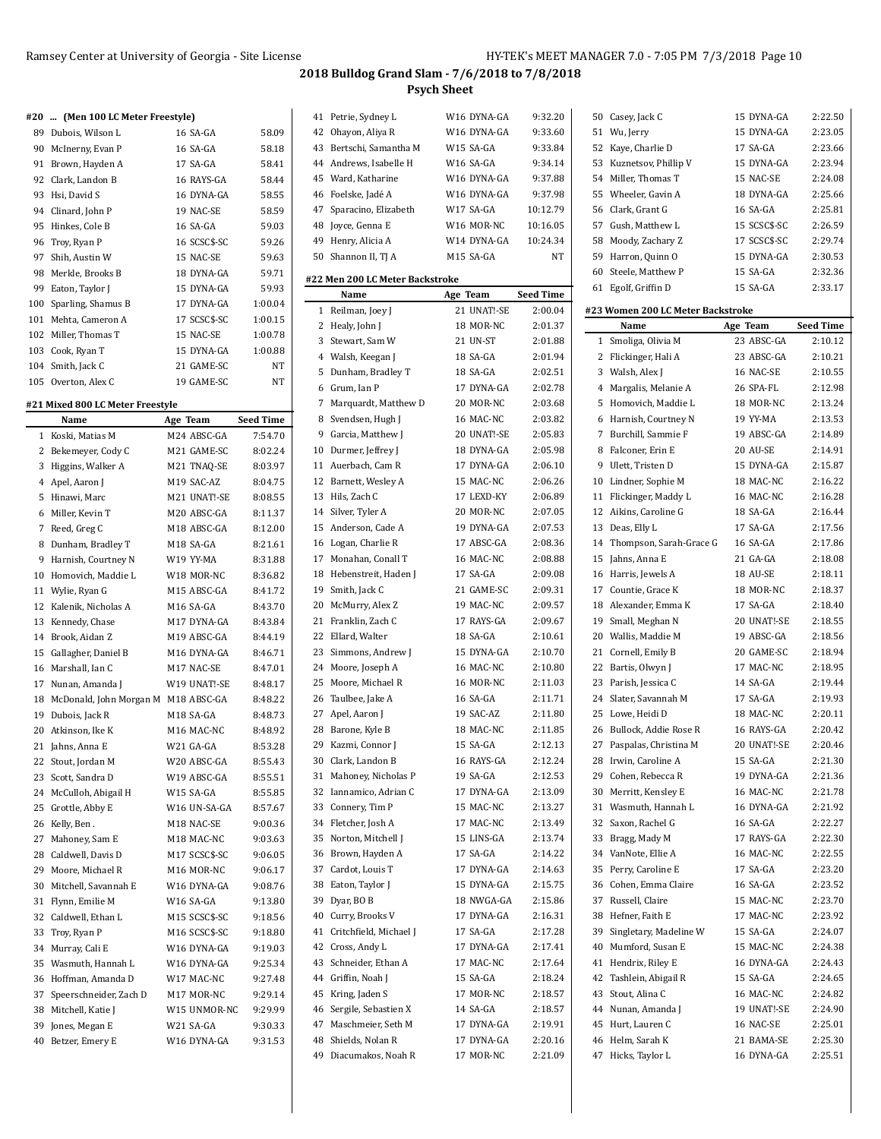#### **#20 ... (Men 100 LC Meter Freestyle)**

| 89  | Dubois, Wilson L    | 16 SA-GA     | 58.09   |
|-----|---------------------|--------------|---------|
| 90  | McInerny, Evan P    | 16 SA-GA     | 58.18   |
| 91  | Brown, Hayden A     | 17 SA-GA     | 58.41   |
| 92  | Clark, Landon B     | 16 RAYS-GA   | 58.44   |
| 93  | Hsi, David S        | 16 DYNA-GA   | 58.55   |
| 94  | Clinard, John P     | 19 NAC-SE    | 58.59   |
| 95  | Hinkes, Cole B      | 16 SA-GA     | 59.03   |
|     | 96 Troy, Ryan P     | 16 SCSC\$-SC | 59.26   |
| 97  | Shih, Austin W      | 15 NAC-SE    | 59.63   |
| 98  | Merkle, Brooks B    | 18 DYNA-GA   | 59.71   |
| 99  | Eaton, Taylor J     | 15 DYNA-GA   | 59.93   |
| 100 | Sparling, Shamus B  | 17 DYNA-GA   | 1:00.04 |
| 101 | Mehta, Cameron A    | 17 SCSC\$-SC | 1:00.15 |
| 102 | Miller, Thomas T    | 15 NAC-SE    | 1:00.78 |
| 103 | Cook, Ryan T        | 15 DYNA-GA   | 1:00.88 |
|     | 104 Smith, Jack C   | 21 GAME-SC   | NT      |
|     | 105 Overton, Alex C | 19 GAME-SC   | NT      |

## **#21 Mixed 800 LC Meter Freestyle**

| M24 ABSC-GA<br>Koski, Matias M<br>7:54.70<br>$\mathbf{1}$<br>2<br>Bekemeyer, Cody C<br>M21 GAME-SC<br>8:02.24<br>3<br>M21 TNAQ-SE<br>Higgins, Walker A<br>8:03.97<br>$\overline{4}$<br>Apel, Aaron J<br>M19 SAC-AZ<br>8:04.75<br>5<br>Hinawi, Marc<br>M21 UNAT!-SE<br>8:08.55<br>Miller, Kevin T<br>M20 ABSC-GA<br>8:11.37<br>6<br>Reed, Greg C<br>M18 ABSC-GA<br>7<br>8:12.00<br>Dunham, Bradley T<br>M18 SA-GA<br>8<br>8:21.61<br>9<br>Harnish, Courtney N<br>W19 YY-MA<br>8:31.88<br>W18 MOR-NC<br>10<br>Homovich, Maddie L<br>8:36.82<br>M15 ABSC-GA<br>8:41.72<br>11<br>Wylie, Ryan G<br>M16 SA-GA<br>12<br>Kalenik, Nicholas A<br>8:43.70<br>13<br>Kennedy, Chase<br>M17 DYNA-GA<br>8:43.84<br>Brook, Aidan Z<br>M19 ABSC-GA<br>14<br>8:44.19<br>M16 DYNA-GA<br>15<br>Gallagher, Daniel B<br>8:46.71<br>Marshall, Ian C<br>M17 NAC-SE<br>8:47.01<br>16<br>17<br>Nunan, Amanda J<br>W19 UNAT!-SE<br>8:48.17<br>18<br>McDonald, John Morgan M<br>M18 ABSC-GA<br>8:48.22<br>19<br>Dubois, Jack R<br>M18 SA-GA<br>8:48.73<br>20<br>Atkinson, Ike K<br>M16 MAC-NC<br>8:48.92<br>21<br>Jahns, Anna E<br>W21 GA-GA<br>8:53.28<br>22<br>Stout, Jordan M<br>W20 ABSC-GA<br>8:55.43<br>23<br>Scott, Sandra D<br>W19 ABSC-GA<br>8:55.51<br>24<br>McCulloh, Abigail H<br>W15 SA-GA<br>8:55.85<br>25<br>W16 UN-SA-GA<br>Grottle, Abby E<br>8:57.67<br>26<br>M18 NAC-SE<br>Kelly, Ben.<br>9:00.36<br>27<br>Mahoney, Sam E<br>M18 MAC-NC<br>9:03.63<br>Caldwell, Davis D<br>M17 SCSC\$-SC<br>28<br>9:06.05<br>29<br>Moore, Michael R<br>M16 MOR-NC<br>9:06.17<br>Mitchell, Savannah E<br>30<br>W16 DYNA-GA<br>9:08.76<br>31<br>Flynn, Emilie M<br>W16 SA-GA<br>9:13.80<br>32<br>Caldwell, Ethan L<br>M15 SCSC\$-SC<br>9:18.56<br>M16 SCSC\$-SC<br>33<br>Troy, Ryan P<br>9:18.80<br>34<br>Murray, Cali E<br>W16 DYNA-GA<br>9:19.03<br>35<br>Wasmuth, Hannah L<br>W16 DYNA-GA<br>9:25.34<br>36<br>Hoffman, Amanda D<br>W17 MAC-NC<br>9:27.48<br>37<br>Speerschneider, Zach D<br>9:29.14<br>M17 MOR-NC<br>38<br>Mitchell, Katie J<br>W15 UNMOR-NC<br>9:29.99<br>39<br>W21 SA-GA<br>Jones, Megan E<br>9:30.33<br>W16 DYNA-GA<br>9:31.53<br>40<br>Betzer, Emery E | Name | Age Team | <b>Seed Time</b> |
|-----------------------------------------------------------------------------------------------------------------------------------------------------------------------------------------------------------------------------------------------------------------------------------------------------------------------------------------------------------------------------------------------------------------------------------------------------------------------------------------------------------------------------------------------------------------------------------------------------------------------------------------------------------------------------------------------------------------------------------------------------------------------------------------------------------------------------------------------------------------------------------------------------------------------------------------------------------------------------------------------------------------------------------------------------------------------------------------------------------------------------------------------------------------------------------------------------------------------------------------------------------------------------------------------------------------------------------------------------------------------------------------------------------------------------------------------------------------------------------------------------------------------------------------------------------------------------------------------------------------------------------------------------------------------------------------------------------------------------------------------------------------------------------------------------------------------------------------------------------------------------------------------------------------------------------------------------------------------------------------------------------------------------------------------------------------------------------------------------------------------------------------------------|------|----------|------------------|
|                                                                                                                                                                                                                                                                                                                                                                                                                                                                                                                                                                                                                                                                                                                                                                                                                                                                                                                                                                                                                                                                                                                                                                                                                                                                                                                                                                                                                                                                                                                                                                                                                                                                                                                                                                                                                                                                                                                                                                                                                                                                                                                                                     |      |          |                  |
|                                                                                                                                                                                                                                                                                                                                                                                                                                                                                                                                                                                                                                                                                                                                                                                                                                                                                                                                                                                                                                                                                                                                                                                                                                                                                                                                                                                                                                                                                                                                                                                                                                                                                                                                                                                                                                                                                                                                                                                                                                                                                                                                                     |      |          |                  |
|                                                                                                                                                                                                                                                                                                                                                                                                                                                                                                                                                                                                                                                                                                                                                                                                                                                                                                                                                                                                                                                                                                                                                                                                                                                                                                                                                                                                                                                                                                                                                                                                                                                                                                                                                                                                                                                                                                                                                                                                                                                                                                                                                     |      |          |                  |
|                                                                                                                                                                                                                                                                                                                                                                                                                                                                                                                                                                                                                                                                                                                                                                                                                                                                                                                                                                                                                                                                                                                                                                                                                                                                                                                                                                                                                                                                                                                                                                                                                                                                                                                                                                                                                                                                                                                                                                                                                                                                                                                                                     |      |          |                  |
|                                                                                                                                                                                                                                                                                                                                                                                                                                                                                                                                                                                                                                                                                                                                                                                                                                                                                                                                                                                                                                                                                                                                                                                                                                                                                                                                                                                                                                                                                                                                                                                                                                                                                                                                                                                                                                                                                                                                                                                                                                                                                                                                                     |      |          |                  |
|                                                                                                                                                                                                                                                                                                                                                                                                                                                                                                                                                                                                                                                                                                                                                                                                                                                                                                                                                                                                                                                                                                                                                                                                                                                                                                                                                                                                                                                                                                                                                                                                                                                                                                                                                                                                                                                                                                                                                                                                                                                                                                                                                     |      |          |                  |
|                                                                                                                                                                                                                                                                                                                                                                                                                                                                                                                                                                                                                                                                                                                                                                                                                                                                                                                                                                                                                                                                                                                                                                                                                                                                                                                                                                                                                                                                                                                                                                                                                                                                                                                                                                                                                                                                                                                                                                                                                                                                                                                                                     |      |          |                  |
|                                                                                                                                                                                                                                                                                                                                                                                                                                                                                                                                                                                                                                                                                                                                                                                                                                                                                                                                                                                                                                                                                                                                                                                                                                                                                                                                                                                                                                                                                                                                                                                                                                                                                                                                                                                                                                                                                                                                                                                                                                                                                                                                                     |      |          |                  |
|                                                                                                                                                                                                                                                                                                                                                                                                                                                                                                                                                                                                                                                                                                                                                                                                                                                                                                                                                                                                                                                                                                                                                                                                                                                                                                                                                                                                                                                                                                                                                                                                                                                                                                                                                                                                                                                                                                                                                                                                                                                                                                                                                     |      |          |                  |
|                                                                                                                                                                                                                                                                                                                                                                                                                                                                                                                                                                                                                                                                                                                                                                                                                                                                                                                                                                                                                                                                                                                                                                                                                                                                                                                                                                                                                                                                                                                                                                                                                                                                                                                                                                                                                                                                                                                                                                                                                                                                                                                                                     |      |          |                  |
|                                                                                                                                                                                                                                                                                                                                                                                                                                                                                                                                                                                                                                                                                                                                                                                                                                                                                                                                                                                                                                                                                                                                                                                                                                                                                                                                                                                                                                                                                                                                                                                                                                                                                                                                                                                                                                                                                                                                                                                                                                                                                                                                                     |      |          |                  |
|                                                                                                                                                                                                                                                                                                                                                                                                                                                                                                                                                                                                                                                                                                                                                                                                                                                                                                                                                                                                                                                                                                                                                                                                                                                                                                                                                                                                                                                                                                                                                                                                                                                                                                                                                                                                                                                                                                                                                                                                                                                                                                                                                     |      |          |                  |
|                                                                                                                                                                                                                                                                                                                                                                                                                                                                                                                                                                                                                                                                                                                                                                                                                                                                                                                                                                                                                                                                                                                                                                                                                                                                                                                                                                                                                                                                                                                                                                                                                                                                                                                                                                                                                                                                                                                                                                                                                                                                                                                                                     |      |          |                  |
|                                                                                                                                                                                                                                                                                                                                                                                                                                                                                                                                                                                                                                                                                                                                                                                                                                                                                                                                                                                                                                                                                                                                                                                                                                                                                                                                                                                                                                                                                                                                                                                                                                                                                                                                                                                                                                                                                                                                                                                                                                                                                                                                                     |      |          |                  |
|                                                                                                                                                                                                                                                                                                                                                                                                                                                                                                                                                                                                                                                                                                                                                                                                                                                                                                                                                                                                                                                                                                                                                                                                                                                                                                                                                                                                                                                                                                                                                                                                                                                                                                                                                                                                                                                                                                                                                                                                                                                                                                                                                     |      |          |                  |
|                                                                                                                                                                                                                                                                                                                                                                                                                                                                                                                                                                                                                                                                                                                                                                                                                                                                                                                                                                                                                                                                                                                                                                                                                                                                                                                                                                                                                                                                                                                                                                                                                                                                                                                                                                                                                                                                                                                                                                                                                                                                                                                                                     |      |          |                  |
|                                                                                                                                                                                                                                                                                                                                                                                                                                                                                                                                                                                                                                                                                                                                                                                                                                                                                                                                                                                                                                                                                                                                                                                                                                                                                                                                                                                                                                                                                                                                                                                                                                                                                                                                                                                                                                                                                                                                                                                                                                                                                                                                                     |      |          |                  |
|                                                                                                                                                                                                                                                                                                                                                                                                                                                                                                                                                                                                                                                                                                                                                                                                                                                                                                                                                                                                                                                                                                                                                                                                                                                                                                                                                                                                                                                                                                                                                                                                                                                                                                                                                                                                                                                                                                                                                                                                                                                                                                                                                     |      |          |                  |
|                                                                                                                                                                                                                                                                                                                                                                                                                                                                                                                                                                                                                                                                                                                                                                                                                                                                                                                                                                                                                                                                                                                                                                                                                                                                                                                                                                                                                                                                                                                                                                                                                                                                                                                                                                                                                                                                                                                                                                                                                                                                                                                                                     |      |          |                  |
|                                                                                                                                                                                                                                                                                                                                                                                                                                                                                                                                                                                                                                                                                                                                                                                                                                                                                                                                                                                                                                                                                                                                                                                                                                                                                                                                                                                                                                                                                                                                                                                                                                                                                                                                                                                                                                                                                                                                                                                                                                                                                                                                                     |      |          |                  |
|                                                                                                                                                                                                                                                                                                                                                                                                                                                                                                                                                                                                                                                                                                                                                                                                                                                                                                                                                                                                                                                                                                                                                                                                                                                                                                                                                                                                                                                                                                                                                                                                                                                                                                                                                                                                                                                                                                                                                                                                                                                                                                                                                     |      |          |                  |
|                                                                                                                                                                                                                                                                                                                                                                                                                                                                                                                                                                                                                                                                                                                                                                                                                                                                                                                                                                                                                                                                                                                                                                                                                                                                                                                                                                                                                                                                                                                                                                                                                                                                                                                                                                                                                                                                                                                                                                                                                                                                                                                                                     |      |          |                  |
|                                                                                                                                                                                                                                                                                                                                                                                                                                                                                                                                                                                                                                                                                                                                                                                                                                                                                                                                                                                                                                                                                                                                                                                                                                                                                                                                                                                                                                                                                                                                                                                                                                                                                                                                                                                                                                                                                                                                                                                                                                                                                                                                                     |      |          |                  |
|                                                                                                                                                                                                                                                                                                                                                                                                                                                                                                                                                                                                                                                                                                                                                                                                                                                                                                                                                                                                                                                                                                                                                                                                                                                                                                                                                                                                                                                                                                                                                                                                                                                                                                                                                                                                                                                                                                                                                                                                                                                                                                                                                     |      |          |                  |
|                                                                                                                                                                                                                                                                                                                                                                                                                                                                                                                                                                                                                                                                                                                                                                                                                                                                                                                                                                                                                                                                                                                                                                                                                                                                                                                                                                                                                                                                                                                                                                                                                                                                                                                                                                                                                                                                                                                                                                                                                                                                                                                                                     |      |          |                  |
|                                                                                                                                                                                                                                                                                                                                                                                                                                                                                                                                                                                                                                                                                                                                                                                                                                                                                                                                                                                                                                                                                                                                                                                                                                                                                                                                                                                                                                                                                                                                                                                                                                                                                                                                                                                                                                                                                                                                                                                                                                                                                                                                                     |      |          |                  |
|                                                                                                                                                                                                                                                                                                                                                                                                                                                                                                                                                                                                                                                                                                                                                                                                                                                                                                                                                                                                                                                                                                                                                                                                                                                                                                                                                                                                                                                                                                                                                                                                                                                                                                                                                                                                                                                                                                                                                                                                                                                                                                                                                     |      |          |                  |
|                                                                                                                                                                                                                                                                                                                                                                                                                                                                                                                                                                                                                                                                                                                                                                                                                                                                                                                                                                                                                                                                                                                                                                                                                                                                                                                                                                                                                                                                                                                                                                                                                                                                                                                                                                                                                                                                                                                                                                                                                                                                                                                                                     |      |          |                  |
|                                                                                                                                                                                                                                                                                                                                                                                                                                                                                                                                                                                                                                                                                                                                                                                                                                                                                                                                                                                                                                                                                                                                                                                                                                                                                                                                                                                                                                                                                                                                                                                                                                                                                                                                                                                                                                                                                                                                                                                                                                                                                                                                                     |      |          |                  |
|                                                                                                                                                                                                                                                                                                                                                                                                                                                                                                                                                                                                                                                                                                                                                                                                                                                                                                                                                                                                                                                                                                                                                                                                                                                                                                                                                                                                                                                                                                                                                                                                                                                                                                                                                                                                                                                                                                                                                                                                                                                                                                                                                     |      |          |                  |
|                                                                                                                                                                                                                                                                                                                                                                                                                                                                                                                                                                                                                                                                                                                                                                                                                                                                                                                                                                                                                                                                                                                                                                                                                                                                                                                                                                                                                                                                                                                                                                                                                                                                                                                                                                                                                                                                                                                                                                                                                                                                                                                                                     |      |          |                  |
|                                                                                                                                                                                                                                                                                                                                                                                                                                                                                                                                                                                                                                                                                                                                                                                                                                                                                                                                                                                                                                                                                                                                                                                                                                                                                                                                                                                                                                                                                                                                                                                                                                                                                                                                                                                                                                                                                                                                                                                                                                                                                                                                                     |      |          |                  |
|                                                                                                                                                                                                                                                                                                                                                                                                                                                                                                                                                                                                                                                                                                                                                                                                                                                                                                                                                                                                                                                                                                                                                                                                                                                                                                                                                                                                                                                                                                                                                                                                                                                                                                                                                                                                                                                                                                                                                                                                                                                                                                                                                     |      |          |                  |
|                                                                                                                                                                                                                                                                                                                                                                                                                                                                                                                                                                                                                                                                                                                                                                                                                                                                                                                                                                                                                                                                                                                                                                                                                                                                                                                                                                                                                                                                                                                                                                                                                                                                                                                                                                                                                                                                                                                                                                                                                                                                                                                                                     |      |          |                  |
|                                                                                                                                                                                                                                                                                                                                                                                                                                                                                                                                                                                                                                                                                                                                                                                                                                                                                                                                                                                                                                                                                                                                                                                                                                                                                                                                                                                                                                                                                                                                                                                                                                                                                                                                                                                                                                                                                                                                                                                                                                                                                                                                                     |      |          |                  |
|                                                                                                                                                                                                                                                                                                                                                                                                                                                                                                                                                                                                                                                                                                                                                                                                                                                                                                                                                                                                                                                                                                                                                                                                                                                                                                                                                                                                                                                                                                                                                                                                                                                                                                                                                                                                                                                                                                                                                                                                                                                                                                                                                     |      |          |                  |
|                                                                                                                                                                                                                                                                                                                                                                                                                                                                                                                                                                                                                                                                                                                                                                                                                                                                                                                                                                                                                                                                                                                                                                                                                                                                                                                                                                                                                                                                                                                                                                                                                                                                                                                                                                                                                                                                                                                                                                                                                                                                                                                                                     |      |          |                  |
|                                                                                                                                                                                                                                                                                                                                                                                                                                                                                                                                                                                                                                                                                                                                                                                                                                                                                                                                                                                                                                                                                                                                                                                                                                                                                                                                                                                                                                                                                                                                                                                                                                                                                                                                                                                                                                                                                                                                                                                                                                                                                                                                                     |      |          |                  |
|                                                                                                                                                                                                                                                                                                                                                                                                                                                                                                                                                                                                                                                                                                                                                                                                                                                                                                                                                                                                                                                                                                                                                                                                                                                                                                                                                                                                                                                                                                                                                                                                                                                                                                                                                                                                                                                                                                                                                                                                                                                                                                                                                     |      |          |                  |
|                                                                                                                                                                                                                                                                                                                                                                                                                                                                                                                                                                                                                                                                                                                                                                                                                                                                                                                                                                                                                                                                                                                                                                                                                                                                                                                                                                                                                                                                                                                                                                                                                                                                                                                                                                                                                                                                                                                                                                                                                                                                                                                                                     |      |          |                  |

|              | 41 Petrie, Sydney L                   | W16 DYNA-GA            | 9 32 20          |
|--------------|---------------------------------------|------------------------|------------------|
|              | 42 Ohayon, Aliya R                    | W16 DYNA-GA            | 9:33.60          |
| 43           | Bertschi, Samantha M                  | W15 SA-GA              | 9:33.84          |
|              | 44 Andrews, Isabelle H                | W16 SA-GA              | 9:34.14          |
| 45           | Ward, Katharine                       | W16 DYNA-GA            | 9:37.88          |
| 46           | Foelske, Jadé A                       | W16 DYNA-GA            | 9:37.98          |
| 47           | Sparacino, Elizabeth                  | W17 SA-GA              | 10:12.79         |
| 48           | Joyce, Genna E                        | W16 MOR-NC             | 10:16.05         |
| 49           | Henry, Alicia A                       | W14 DYNA-GA            | 10:24.34         |
|              | 50 Shannon II, TJ A                   | M15 SA-GA              | NT               |
|              |                                       |                        |                  |
|              | #22 Men 200 LC Meter Backstroke       |                        |                  |
|              | Name                                  | Age Team               | <b>Seed Time</b> |
| $\mathbf{1}$ | Reilman, Joey J                       | 21 UNAT!-SE            | 2:00.04          |
|              | 2 Healy, John J                       | 18 MOR-NC              | 2:01.37          |
|              | 3 Stewart, Sam W                      | 21 UN-ST               | 2:01.88          |
|              | 4 Walsh, Keegan J                     | 18 SA-GA               | 2:01.94          |
| 5            | Dunham, Bradley T                     | 18 SA-GA               | 2:02.51          |
|              | 6 Grum, Ian P                         | 17 DYNA-GA             | 2:02.78          |
|              | 7 Marquardt, Matthew D                | 20 MOR-NC              | 2:03.68          |
|              | 8 Svendsen, Hugh J                    | 16 MAC-NC              | 2:03.82          |
|              | 9 Garcia, Matthew J                   | 20 UNAT!-SE            | 2:05.83          |
|              | 10 Durmer, Jeffrey J                  | 18 DYNA-GA             | 2:05.98          |
|              | 11 Auerbach, Cam R                    | 17 DYNA-GA             | 2:06.10          |
|              | 12 Barnett, Wesley A                  | 15 MAC-NC              | 2:06.26          |
|              | 13 Hils, Zach C                       | 17 LEXD-KY             | 2:06.89          |
|              | 14 Silver, Tyler A                    | 20 MOR-NC              | 2:07.05          |
|              | 15 Anderson, Cade A                   | 19 DYNA-GA             | 2:07.53          |
| 16           | Logan, Charlie R                      | 17 ABSC-GA             | 2:08.36          |
| 17           | Monahan, Conall T                     | 16 MAC-NC              | 2:08.88          |
| 18           | Hebenstreit, Haden J                  | 17 SA-GA               | 2:09.08          |
| 19           | Smith, Jack C                         | 21 GAME-SC             | 2:09.31          |
| 20           | McMurry, Alex Z                       | 19 MAC-NC              | 2:09.57          |
| 21           | Franklin, Zach C                      | 17 RAYS-GA             | 2:09.67          |
| 22           | Ellard, Walter                        | 18 SA-GA               | 2:10.61          |
| 23           | Simmons, Andrew J                     | 15 DYNA-GA             | 2:10.70          |
|              | 24 Moore, Joseph A                    | 16 MAC-NC              | 2:10.80          |
| 25           | Moore, Michael R                      | 16 MOR-NC              | 2:11.03          |
| 26           | Taulbee, Jake A                       | 16 SA-GA               | 2:11.71          |
| 27           | Apel, Aaron J                         | 19 SAC-AZ              | 2:11.80          |
| 28           | Barone, Kyle B                        | 18 MAC-NC              | 2:11.85          |
|              | 29 Kazmi, Connor J                    | 15 SA-GA               | 2:12.13          |
|              | 30 Clark, Landon B                    | 16 RAYS-GA             | 2:12.24          |
| 31           | Mahoney, Nicholas P                   | 19 SA-GA               | 2:12.53          |
| 32           | Iannamico, Adrian C                   | 17 DYNA-GA             | 2:13.09          |
|              | 33 Connery, Tim P                     | 15 MAC-NC              | 2:13.27          |
|              | 34 Fletcher, Josh A                   | 17 MAC-NC              | 2:13.49          |
|              |                                       |                        |                  |
| 35<br>36     | Norton, Mitchell J<br>Brown, Hayden A | 15 LINS-GA<br>17 SA-GA | 2:13.74          |
|              |                                       |                        | 2:14.22          |
|              | 37 Cardot, Louis T                    | 17 DYNA-GA             | 2:14.63          |
|              | 38 Eaton, Taylor J                    | 15 DYNA-GA             | 2:15.75          |
| 39           | Dyar, BO B                            | 18 NWGA-GA             | 2:15.86          |
| 40           | Curry, Brooks V                       | 17 DYNA-GA             | 2:16.31          |
| 41           | Critchfield, Michael J                | 17 SA-GA               | 2:17.28          |
|              | 42 Cross, Andy L                      | 17 DYNA-GA             | 2:17.41          |
|              | 43 Schneider, Ethan A                 | 17 MAC-NC              | 2:17.64          |
|              | 44 Griffin, Noah J                    | 15 SA-GA               | 2:18.24          |
| 45           | Kring, Jaden S                        | 17 MOR-NC              | 2:18.57          |
|              | 46 Sergile, Sebastien X               | 14 SA-GA               | 2:18.57          |
|              | 47 Maschmeier, Seth M                 | 17 DYNA-GA             | 2:19.91          |
|              | 48 Shields, Nolan R                   | 17 DYNA-GA             | 2:20.16          |

Diacumakos, Noah R 17 MOR-NC 2:21.09

|    | 50 Casey, Jack C                  | 15 DYNA-GA   | 2:22.50            |
|----|-----------------------------------|--------------|--------------------|
|    | 51 Wu, Jerry                      | 15 DYNA-GA   | 2:23.05            |
|    | 52 Kaye, Charlie D                | 17 SA-GA     | 2:23.66            |
|    | 53 Kuznetsov, Phillip V           | 15 DYNA-GA   | 2:23.94            |
|    | 54 Miller, Thomas T               | 15 NAC-SE    | 2:24.08            |
|    | 55 Wheeler, Gavin A               | 18 DYNA-GA   | 2:25.66            |
|    | 56 Clark, Grant G                 | 16 SA-GA     | 2:25.81            |
|    | 57 Gush, Matthew L                | 15 SCSC\$-SC | 2:26.59            |
|    | 58 Moody, Zachary Z               | 17 SCSC\$-SC | 2:29.74            |
|    | 59 Harron, Quinn O                | 15 DYNA-GA   | 2:30.53            |
|    |                                   | 15 SA-GA     |                    |
|    | 60 Steele, Matthew P              | 15 SA-GA     | 2:32.36<br>2:33.17 |
|    | 61 Egolf, Griffin D               |              |                    |
|    | #23 Women 200 LC Meter Backstroke |              |                    |
|    | Name                              | Age Team     | Seed Time          |
| 1  | Smoliga, Olivia M                 | 23 ABSC-GA   | 2:10.12            |
|    | 2 Flickinger, Hali A              | 23 ABSC-GA   | 2:10.21            |
|    | 3 Walsh, Alex J                   | 16 NAC-SE    | 2:10.55            |
|    | 4 Margalis, Melanie A             | 26 SPA-FL    | 2:12.98            |
|    | 5 Homovich, Maddie L              | 18 MOR-NC    | 2:13.24            |
|    | 6 Harnish, Courtney N             | 19 YY-MA     | 2:13.53            |
|    | 7 Burchill, Sammie F              | 19 ABSC-GA   | 2:14.89            |
| 8  | Falconer. Erin E                  | 20 AU-SE     | 2:14.91            |
| 9  | Ulett, Tristen D                  | 15 DYNA-GA   | 2:15.87            |
|    | 10 Lindner, Sophie M              | 18 MAC-NC    | 2:16.22            |
|    | 11 Flickinger, Maddy L            | 16 MAC-NC    | 2:16.28            |
|    | 12 Aikins, Caroline G             | 18 SA-GA     | 2:16.44            |
|    | 13 Deas, Elly L                   | 17 SA-GA     | 2:17.56            |
| 14 | Thompson, Sarah-Grace G           | 16 SA-GA     | 2:17.86            |
| 15 | Jahns, Anna E                     | 21 GA-GA     | 2:18.08            |
|    | 16 Harris, Jewels A               | 18 AU-SE     | 2:18.11            |
|    | 17 Countie, Grace K               | 18 MOR-NC    | 2:18.37            |
|    | 18 Alexander, Emma K              | 17 SA-GA     | 2:18.40            |
| 19 | Small, Meghan N                   | 20 UNAT!-SE  | 2:18.55            |
|    | 20 Wallis, Maddie M               | 19 ABSC-GA   | 2:18.56            |
|    | 21 Cornell, Emily B               | 20 GAME-SC   | 2:18.94            |
|    | 22 Bartis, Olwyn J                | 17 MAC-NC    | 2:18.95            |
|    | 23 Parish, Jessica C              | 14 SA-GA     | 2:19.44            |
|    | 24 Slater, Savannah M             | 17 SA-GA     | 2:19.93            |
|    | 25 Lowe, Heidi D                  | 18 MAC-NC    | 2:20.11            |
|    | 26 Bullock, Addie Rose R          | 16 RAYS-GA   | 2:20.42            |
| 27 | Paspalas, Christina M             | 20 UNAT!-SE  | 2:20.46            |
|    |                                   |              |                    |
| 28 | Irwin, Caroline A                 | 15 SA-GA     | 2:21.30            |
| 29 | Cohen, Rebecca R                  | 19 DYNA-GA   | 2:21.36            |
|    | 30 Merritt, Kensley E             | 16 MAC-NC    | 2:21.78            |
|    | 31 Wasmuth, Hannah L              | 16 DYNA-GA   | 2:21.92            |
|    | 32 Saxon, Rachel G                | 16 SA-GA     | 2:22.27            |
|    | 33 Bragg, Mady M                  | 17 RAYS-GA   | 2:22.30            |
| 34 | VanNote, Ellie A                  | 16 MAC-NC    | 2:22.55            |
| 35 | Perry, Caroline E                 | 17 SA-GA     | 2:23.20            |
|    | 36 Cohen, Emma Claire             | 16 SA-GA     | 2:23.52            |
| 37 | Russell, Claire                   | 15 MAC-NC    | 2:23.70            |
| 38 | Hefner, Faith E                   | 17 MAC-NC    | 2:23.92            |
| 39 | Singletary, Madeline W            | 15 SA-GA     | 2:24.07            |
| 40 | Mumford, Susan E                  | 15 MAC-NC    | 2:24.38            |
| 41 | Hendrix, Riley E                  | 16 DYNA-GA   | 2:24.43            |
|    | 42 Tashlein, Abigail R            | 15 SA-GA     | 2:24.65            |
|    | 43 Stout, Alina C                 | 16 MAC-NC    | 2:24.82            |
|    | 44 Nunan, Amanda J                | 19 UNAT!-SE  | 2:24.90            |
| 45 | Hurt, Lauren C                    | 16 NAC-SE    | 2:25.01            |
| 46 | Helm, Sarah K                     | 21 BAMA-SE   | 2:25.30            |
| 47 | Hicks, Taylor L                   | 16 DYNA-GA   | 2:25.51            |
|    |                                   |              |                    |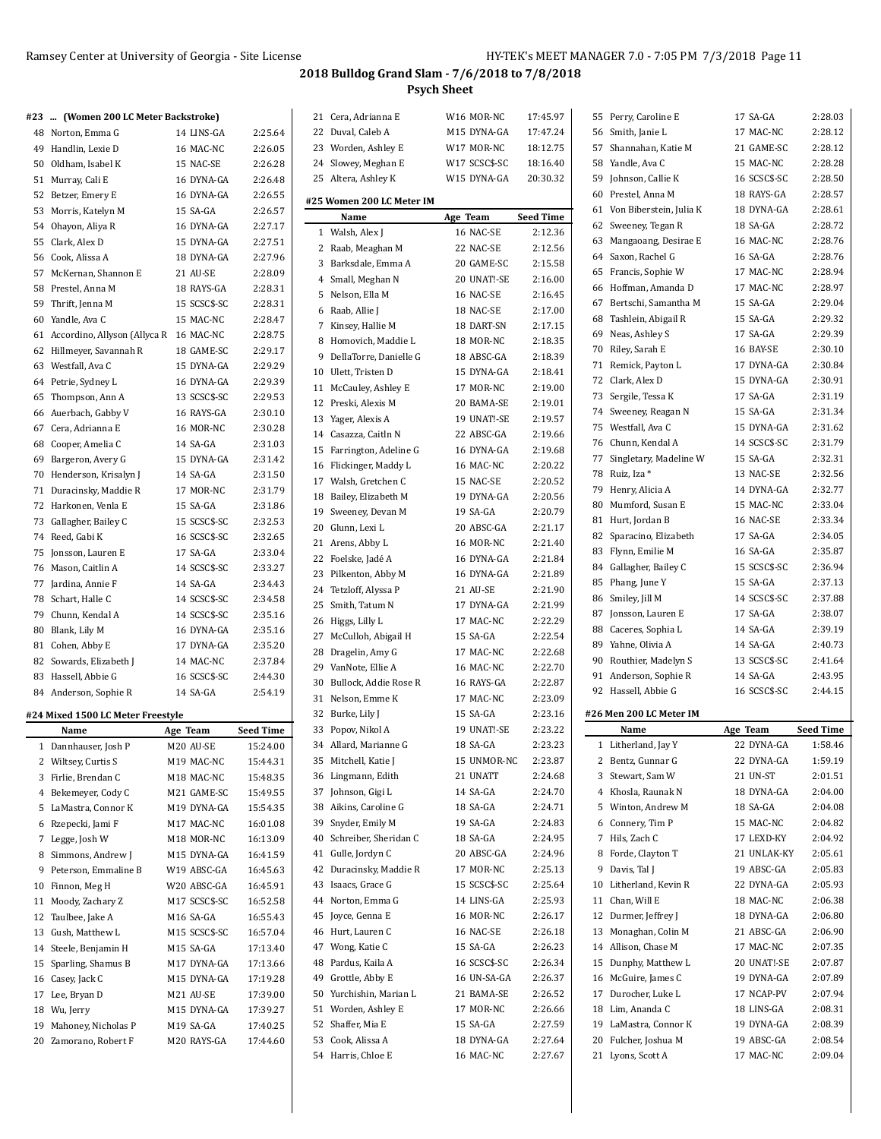| #23  (Women 200 LC Meter Backstroke)      |               |                  | 21 Cera, Adrianna E       | W16 MOR-NC    | 17:45.97         | 55 Perry, Caroline E       | 17 SA-GA     | 2:28.03          |
|-------------------------------------------|---------------|------------------|---------------------------|---------------|------------------|----------------------------|--------------|------------------|
| 48 Norton, Emma G                         | 14 LINS-GA    | 2:25.64          | 22 Duval, Caleb A         | M15 DYNA-GA   | 17:47.24         | 56 Smith, Janie L          | 17 MAC-NC    | 2:28.12          |
| 49 Handlin, Lexie D                       | 16 MAC-NC     | 2:26.05          | 23 Worden, Ashley E       | W17 MOR-NC    | 18:12.75         | 57 Shannahan, Katie M      | 21 GAME-SC   | 2:28.12          |
| 50 Oldham, Isabel K                       | 15 NAC-SE     | 2:26.28          | 24 Slowey, Meghan E       | W17 SCSC\$-SC | 18:16.40         | 58 Yandle, Ava C           | 15 MAC-NC    | 2:28.28          |
| 51 Murray, Cali E                         | 16 DYNA-GA    | 2:26.48          | 25 Altera, Ashley K       | W15 DYNA-GA   | 20:30.32         | 59 Johnson, Callie K       | 16 SCSC\$-SC | 2:28.50          |
| 52 Betzer, Emery E                        | 16 DYNA-GA    | 2:26.55          |                           |               |                  | 60 Prestel, Anna M         | 18 RAYS-GA   | 2:28.57          |
| 53 Morris, Katelyn M                      | 15 SA-GA      | 2:26.57          | #25 Women 200 LC Meter IM |               |                  | 61 Von Biberstein, Julia K | 18 DYNA-GA   | 2:28.61          |
| 54 Ohayon, Aliya R                        | 16 DYNA-GA    | 2:27.17          | Name                      | Age Team      | <b>Seed Time</b> | 62 Sweeney, Tegan R        | 18 SA-GA     | 2:28.72          |
| 55 Clark, Alex D                          | 15 DYNA-GA    | 2:27.51          | 1 Walsh, Alex J           | 16 NAC-SE     | 2:12.36          | 63 Mangaoang, Desirae E    | 16 MAC-NC    | 2:28.76          |
| 56 Cook, Alissa A                         | 18 DYNA-GA    | 2:27.96          | 2 Raab, Meaghan M         | 22 NAC-SE     | 2:12.56          | 64 Saxon, Rachel G         | 16 SA-GA     | 2:28.76          |
| 57 McKernan, Shannon E                    | 21 AU-SE      | 2:28.09          | 3 Barksdale, Emma A       | 20 GAME-SC    | 2:15.58          | 65 Francis, Sophie W       | 17 MAC-NC    | 2:28.94          |
| 58 Prestel, Anna M                        | 18 RAYS-GA    | 2:28.31          | 4 Small, Meghan N         | 20 UNAT!-SE   | 2:16.00          | 66 Hoffman, Amanda D       | 17 MAC-NC    | 2:28.97          |
| 59 Thrift, Jenna M                        | 15 SCSC\$-SC  | 2:28.31          | 5 Nelson, Ella M          | 16 NAC-SE     | 2:16.45          | 67 Bertschi, Samantha M    | 15 SA-GA     | 2:29.04          |
|                                           |               |                  | 6 Raab, Allie J           | 18 NAC-SE     | 2:17.00          | 68 Tashlein, Abigail R     | 15 SA-GA     | 2:29.32          |
| 60 Yandle, Ava C                          | 15 MAC-NC     | 2:28.47          | 7 Kinsey, Hallie M        | 18 DART-SN    | 2:17.15          |                            | 17 SA-GA     | 2:29.39          |
| 61 Accordino, Allyson (Allyca R 16 MAC-NC |               | 2:28.75          | 8 Homovich, Maddie L      | 18 MOR-NC     | 2:18.35          | 69 Neas, Ashley S          |              |                  |
| 62 Hillmeyer, Savannah R                  | 18 GAME-SC    | 2:29.17          | 9 DellaTorre, Danielle G  | 18 ABSC-GA    | 2:18.39          | 70 Riley, Sarah E          | 16 BAY-SE    | 2:30.10          |
| 63 Westfall, Ava C                        | 15 DYNA-GA    | 2:29.29          | 10 Ulett, Tristen D       | 15 DYNA-GA    | 2:18.41          | 71 Remick, Payton L        | 17 DYNA-GA   | 2:30.84          |
| 64 Petrie, Sydney L                       | 16 DYNA-GA    | 2:29.39          | 11 McCauley, Ashley E     | 17 MOR-NC     | 2:19.00          | 72 Clark, Alex D           | 15 DYNA-GA   | 2:30.91          |
| 65 Thompson, Ann A                        | 13 SCSC\$-SC  | 2:29.53          | 12 Preski, Alexis M       | 20 BAMA-SE    | 2:19.01          | 73 Sergile, Tessa K        | 17 SA-GA     | 2:31.19          |
| 66 Auerbach, Gabby V                      | 16 RAYS-GA    | 2:30.10          | 13 Yager, Alexis A        | 19 UNAT!-SE   | 2:19.57          | 74 Sweeney, Reagan N       | 15 SA-GA     | 2:31.34          |
| 67 Cera, Adrianna E                       | 16 MOR-NC     | 2:30.28          | 14 Casazza, Caitln N      | 22 ABSC-GA    | 2:19.66          | 75 Westfall, Ava C         | 15 DYNA-GA   | 2:31.62          |
| 68 Cooper, Amelia C                       | 14 SA-GA      | 2:31.03          | 15 Farrington, Adeline G  | 16 DYNA-GA    | 2:19.68          | 76 Chunn, Kendal A         | 14 SCSC\$-SC | 2:31.79          |
| 69 Bargeron, Avery G                      | 15 DYNA-GA    | 2:31.42          | 16 Flickinger, Maddy L    | 16 MAC-NC     | 2:20.22          | 77 Singletary, Madeline W  | 15 SA-GA     | 2:32.31          |
| 70 Henderson, Krisalyn J                  | 14 SA-GA      | 2:31.50          | 17 Walsh, Gretchen C      | 15 NAC-SE     | 2:20.52          | 78 Ruiz, Iza *             | 13 NAC-SE    | 2:32.56          |
| 71 Duracinsky, Maddie R                   | 17 MOR-NC     | 2:31.79          |                           |               |                  | 79 Henry, Alicia A         | 14 DYNA-GA   | 2:32.77          |
| 72 Harkonen, Venla E                      | 15 SA-GA      | 2:31.86          | 18 Bailey, Elizabeth M    | 19 DYNA-GA    | 2:20.56          | 80 Mumford, Susan E        | 15 MAC-NC    | 2:33.04          |
| 73 Gallagher, Bailey C                    | 15 SCSC\$-SC  | 2:32.53          | 19 Sweeney, Devan M       | 19 SA-GA      | 2:20.79          | 81 Hurt, Jordan B          | 16 NAC-SE    | 2:33.34          |
| 74 Reed, Gabi K                           | 16 SCSC\$-SC  | 2:32.65          | 20 Glunn, Lexi L          | 20 ABSC-GA    | 2:21.17          | 82 Sparacino, Elizabeth    | 17 SA-GA     | 2:34.05          |
| 75 Jonsson, Lauren E                      | 17 SA-GA      | 2:33.04          | 21 Arens, Abby L          | 16 MOR-NC     | 2:21.40          | 83 Flynn, Emilie M         | 16 SA-GA     | 2:35.87          |
| 76 Mason, Caitlin A                       | 14 SCSC\$-SC  | 2:33.27          | 22 Foelske, Jadé A        | 16 DYNA-GA    | 2:21.84          | 84 Gallagher, Bailey C     | 15 SCSC\$-SC | 2:36.94          |
| 77 Jardina, Annie F                       | 14 SA-GA      | 2:34.43          | 23 Pilkenton, Abby M      | 16 DYNA-GA    | 2:21.89          | 85 Phang, June Y           | 15 SA-GA     | 2:37.13          |
| 78 Schart, Halle C                        | 14 SCSC\$-SC  | 2:34.58          | 24 Tetzloff, Alyssa P     | 21 AU-SE      | 2:21.90          | 86 Smiley, Jill M          | 14 SCSC\$-SC | 2:37.88          |
| 79 Chunn, Kendal A                        | 14 SCSC\$-SC  | 2:35.16          | 25 Smith, Tatum N         | 17 DYNA-GA    | 2:21.99          | 87 Jonsson, Lauren E       | 17 SA-GA     | 2:38.07          |
|                                           |               |                  | 26 Higgs, Lilly L         | 17 MAC-NC     | 2:22.29          | 88 Caceres, Sophia L       | 14 SA-GA     | 2:39.19          |
| 80 Blank, Lily M                          | 16 DYNA-GA    | 2:35.16          | 27 McCulloh, Abigail H    | 15 SA-GA      | 2:22.54          | 89 Yahne, Olivia A         | 14 SA-GA     | 2:40.73          |
| 81 Cohen, Abby E                          | 17 DYNA-GA    | 2:35.20          | 28 Dragelin, Amy G        | 17 MAC-NC     | 2:22.68          |                            |              |                  |
| 82 Sowards, Elizabeth J                   | 14 MAC-NC     | 2:37.84          | 29 VanNote, Ellie A       | 16 MAC-NC     | 2:22.70          | 90 Routhier, Madelyn S     | 13 SCSC\$-SC | 2:41.64          |
| 83 Hassell, Abbie G                       | 16 SCSC\$-SC  | 2:44.30          | 30 Bullock, Addie Rose R  | 16 RAYS-GA    | 2:22.87          | 91 Anderson, Sophie R      | 14 SA-GA     | 2:43.95          |
| 84 Anderson, Sophie R                     | 14 SA-GA      | 2:54.19          | 31 Nelson, Emme K         | 17 MAC-NC     | 2:23.09          | 92 Hassell, Abbie G        | 16 SCSC\$-SC | 2:44.15          |
| #24 Mixed 1500 LC Meter Freestyle         |               |                  | 32 Burke, Lily J          | 15 SA-GA      | 2:23.16          | #26 Men 200 LC Meter IM    |              |                  |
| Name                                      | Age Team      | <b>Seed Time</b> | 33 Popov, Nikol A         | 19 UNAT!-SE   | 2:23.22          | Name                       | Age Team     | <b>Seed Time</b> |
| 1 Dannhauser, Josh P                      | M20 AU-SE     | 15:24.00         | 34 Allard, Marianne G     | 18 SA-GA      | 2:23.23          | 1 Litherland, Jay Y        | 22 DYNA-GA   | 1:58.46          |
| 2 Wiltsey, Curtis S                       | M19 MAC-NC    | 15:44.31         | 35 Mitchell, Katie J      | 15 UNMOR-NC   | 2:23.87          | 2 Bentz, Gunnar G          | 22 DYNA-GA   | 1:59.19          |
| 3 Firlie, Brendan C                       | M18 MAC-NC    | 15:48.35         | 36 Lingmann, Edith        | 21 UNATT      | 2:24.68          | 3 Stewart, Sam W           | 21 UN-ST     | 2:01.51          |
| 4 Bekemeyer, Cody C                       | M21 GAME-SC   | 15:49.55         | 37 Johnson, Gigi L        | 14 SA-GA      | 2:24.70          | 4 Khosla, Raunak N         | 18 DYNA-GA   | 2:04.00          |
| 5 LaMastra, Connor K                      | M19 DYNA-GA   | 15:54.35         | 38 Aikins, Caroline G     | 18 SA-GA      | 2:24.71          | 5 Winton, Andrew M         | 18 SA-GA     | 2:04.08          |
| 6 Rzepecki, Jami F                        | M17 MAC-NC    | 16:01.08         | 39 Snyder, Emily M        | 19 SA-GA      | 2:24.83          | 6 Connery, Tim P           | 15 MAC-NC    | 2:04.82          |
| 7 Legge, Josh W                           | M18 MOR-NC    | 16:13.09         | 40 Schreiber, Sheridan C  | 18 SA-GA      | 2:24.95          | 7 Hils, Zach C             | 17 LEXD-KY   | 2:04.92          |
| 8 Simmons, Andrew J                       | M15 DYNA-GA   | 16:41.59         | 41 Gulle, Jordyn C        | 20 ABSC-GA    | 2:24.96          | 8 Forde, Clayton T         | 21 UNLAK-KY  | 2:05.61          |
| 9 Peterson, Emmaline B                    | W19 ABSC-GA   | 16:45.63         | 42 Duracinsky, Maddie R   | 17 MOR-NC     | 2:25.13          | 9 Davis, Tal J             | 19 ABSC-GA   | 2:05.83          |
|                                           |               |                  | 43 Isaacs, Grace G        |               | 2:25.64          | 10 Litherland, Kevin R     | 22 DYNA-GA   | 2:05.93          |
| 10 Finnon, Meg H                          | W20 ABSC-GA   | 16:45.91         |                           | 15 SCSC\$-SC  |                  |                            |              |                  |
| 11 Moody, Zachary Z                       | M17 SCSC\$-SC | 16:52.58         | 44 Norton, Emma G         | 14 LINS-GA    | 2:25.93          | 11 Chan, Will E            | 18 MAC-NC    | 2:06.38          |
| 12 Taulbee, Jake A                        | M16 SA-GA     | 16:55.43         | 45 Joyce, Genna E         | 16 MOR-NC     | 2:26.17          | 12 Durmer, Jeffrey J       | 18 DYNA-GA   | 2:06.80          |
| 13 Gush, Matthew L                        | M15 SCSC\$-SC | 16:57.04         | 46 Hurt, Lauren C         | 16 NAC-SE     | 2:26.18          | 13 Monaghan, Colin M       | 21 ABSC-GA   | 2:06.90          |
| 14 Steele, Benjamin H                     | M15 SA-GA     | 17:13.40         | 47 Wong, Katie C          | 15 SA-GA      | 2:26.23          | 14 Allison, Chase M        | 17 MAC-NC    | 2:07.35          |
| 15 Sparling, Shamus B                     | M17 DYNA-GA   | 17:13.66         | 48 Pardus, Kaila A        | 16 SCSC\$-SC  | 2.26.34          | 15 Dunphy, Matthew L       | 20 UNAT!-SE  | 2:07.87          |
| 16 Casey, Jack C                          | M15 DYNA-GA   | 17:19.28         | 49 Grottle, Abby E        | 16 UN-SA-GA   | 2:26.37          | 16 McGuire, James C        | 19 DYNA-GA   | 2:07.89          |
| 17 Lee, Bryan D                           | M21 AU-SE     | 17:39.00         | 50 Yurchishin, Marian L   | 21 BAMA-SE    | 2:26.52          | 17 Durocher, Luke L        | 17 NCAP-PV   | 2:07.94          |
| 18 Wu, Jerry                              | M15 DYNA-GA   | 17:39.27         | 51 Worden, Ashley E       | 17 MOR-NC     | 2:26.66          | 18 Lim, Ananda C           | 18 LINS-GA   | 2:08.31          |
| 19 Mahoney, Nicholas P                    | M19 SA-GA     | 17:40.25         | 52 Shaffer, Mia E         | 15 SA-GA      | 2:27.59          | 19 LaMastra, Connor K      | 19 DYNA-GA   | 2:08.39          |
| 20 Zamorano, Robert F                     | M20 RAYS-GA   | 17:44.60         | 53 Cook, Alissa A         | 18 DYNA-GA    | 2.27.64          | 20 Fulcher, Joshua M       | 19 ABSC-GA   | 2:08.54          |
|                                           |               |                  | 54 Harris, Chloe E        | 16 MAC-NC     | 2:27.67          | 21 Lyons, Scott A          | 17 MAC-NC    | 2:09.04          |